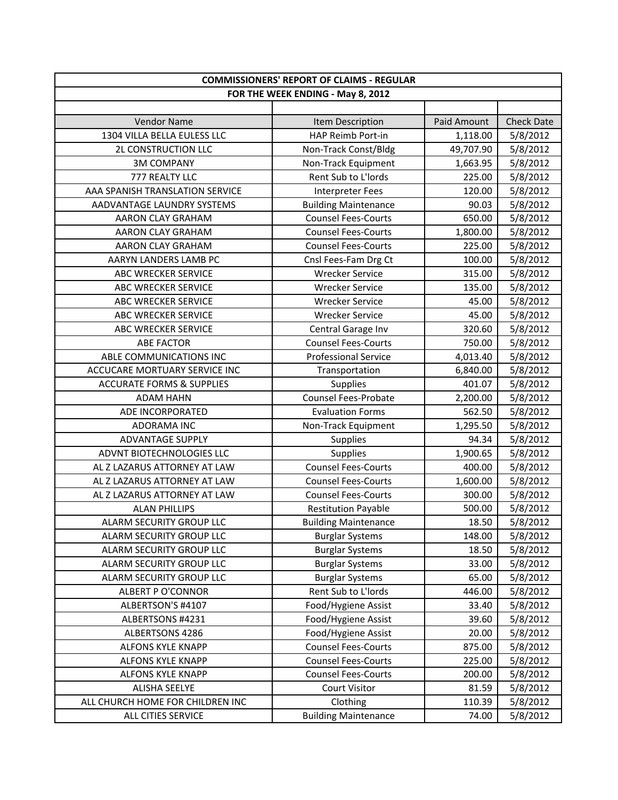| <b>COMMISSIONERS' REPORT OF CLAIMS - REGULAR</b> |                             |             |                   |
|--------------------------------------------------|-----------------------------|-------------|-------------------|
| FOR THE WEEK ENDING - May 8, 2012                |                             |             |                   |
|                                                  |                             |             |                   |
| <b>Vendor Name</b>                               | Item Description            | Paid Amount | <b>Check Date</b> |
| 1304 VILLA BELLA EULESS LLC                      | HAP Reimb Port-in           | 1,118.00    | 5/8/2012          |
| <b>2L CONSTRUCTION LLC</b>                       | Non-Track Const/Bldg        | 49,707.90   | 5/8/2012          |
| <b>3M COMPANY</b>                                | Non-Track Equipment         | 1,663.95    | 5/8/2012          |
| 777 REALTY LLC                                   | Rent Sub to L'Iords         | 225.00      | 5/8/2012          |
| AAA SPANISH TRANSLATION SERVICE                  | <b>Interpreter Fees</b>     | 120.00      | 5/8/2012          |
| AADVANTAGE LAUNDRY SYSTEMS                       | <b>Building Maintenance</b> | 90.03       | 5/8/2012          |
| AARON CLAY GRAHAM                                | <b>Counsel Fees-Courts</b>  | 650.00      | 5/8/2012          |
| AARON CLAY GRAHAM                                | <b>Counsel Fees-Courts</b>  | 1,800.00    | 5/8/2012          |
| AARON CLAY GRAHAM                                | <b>Counsel Fees-Courts</b>  | 225.00      | 5/8/2012          |
| AARYN LANDERS LAMB PC                            | Cnsl Fees-Fam Drg Ct        | 100.00      | 5/8/2012          |
| ABC WRECKER SERVICE                              | <b>Wrecker Service</b>      | 315.00      | 5/8/2012          |
| <b>ABC WRECKER SERVICE</b>                       | <b>Wrecker Service</b>      | 135.00      | 5/8/2012          |
| <b>ABC WRECKER SERVICE</b>                       | <b>Wrecker Service</b>      | 45.00       | 5/8/2012          |
| ABC WRECKER SERVICE                              | <b>Wrecker Service</b>      | 45.00       | 5/8/2012          |
| ABC WRECKER SERVICE                              | Central Garage Inv          | 320.60      | 5/8/2012          |
| <b>ABE FACTOR</b>                                | <b>Counsel Fees-Courts</b>  | 750.00      | 5/8/2012          |
| ABLE COMMUNICATIONS INC                          | <b>Professional Service</b> | 4,013.40    | 5/8/2012          |
| ACCUCARE MORTUARY SERVICE INC                    | Transportation              | 6,840.00    | 5/8/2012          |
| <b>ACCURATE FORMS &amp; SUPPLIES</b>             | Supplies                    | 401.07      | 5/8/2012          |
| <b>ADAM HAHN</b>                                 | Counsel Fees-Probate        | 2,200.00    | 5/8/2012          |
| ADE INCORPORATED                                 | <b>Evaluation Forms</b>     | 562.50      | 5/8/2012          |
| ADORAMA INC                                      | Non-Track Equipment         | 1,295.50    | 5/8/2012          |
| <b>ADVANTAGE SUPPLY</b>                          | Supplies                    | 94.34       | 5/8/2012          |
| ADVNT BIOTECHNOLOGIES LLC                        | Supplies                    | 1,900.65    | 5/8/2012          |
| AL Z LAZARUS ATTORNEY AT LAW                     | <b>Counsel Fees-Courts</b>  | 400.00      | 5/8/2012          |
| AL Z LAZARUS ATTORNEY AT LAW                     | <b>Counsel Fees-Courts</b>  | 1,600.00    | 5/8/2012          |
| AL Z LAZARUS ATTORNEY AT LAW                     | <b>Counsel Fees-Courts</b>  | 300.00      | 5/8/2012          |
| <b>ALAN PHILLIPS</b>                             | <b>Restitution Payable</b>  | 500.00      | 5/8/2012          |
| ALARM SECURITY GROUP LLC                         | <b>Building Maintenance</b> | 18.50       | 5/8/2012          |
| ALARM SECURITY GROUP LLC                         | <b>Burglar Systems</b>      | 148.00      | 5/8/2012          |
| ALARM SECURITY GROUP LLC                         | <b>Burglar Systems</b>      | 18.50       | 5/8/2012          |
| ALARM SECURITY GROUP LLC                         | <b>Burglar Systems</b>      | 33.00       | 5/8/2012          |
| ALARM SECURITY GROUP LLC                         | <b>Burglar Systems</b>      | 65.00       | 5/8/2012          |
| <b>ALBERT P O'CONNOR</b>                         | Rent Sub to L'Iords         | 446.00      | 5/8/2012          |
| ALBERTSON'S #4107                                | Food/Hygiene Assist         | 33.40       | 5/8/2012          |
| ALBERTSONS #4231                                 | Food/Hygiene Assist         | 39.60       | 5/8/2012          |
| ALBERTSONS 4286                                  | Food/Hygiene Assist         | 20.00       | 5/8/2012          |
| <b>ALFONS KYLE KNAPP</b>                         | <b>Counsel Fees-Courts</b>  | 875.00      | 5/8/2012          |
| ALFONS KYLE KNAPP                                | <b>Counsel Fees-Courts</b>  | 225.00      | 5/8/2012          |
| ALFONS KYLE KNAPP                                | <b>Counsel Fees-Courts</b>  | 200.00      | 5/8/2012          |
| <b>ALISHA SEELYE</b>                             | <b>Court Visitor</b>        | 81.59       | 5/8/2012          |
| ALL CHURCH HOME FOR CHILDREN INC                 | Clothing                    | 110.39      | 5/8/2012          |
| ALL CITIES SERVICE                               | <b>Building Maintenance</b> | 74.00       | 5/8/2012          |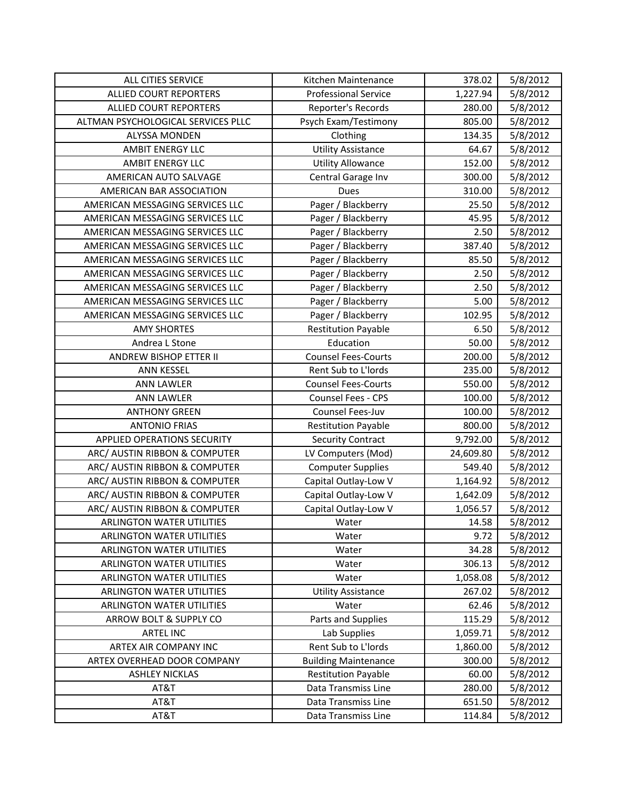| ALL CITIES SERVICE                 | Kitchen Maintenance         | 378.02    | 5/8/2012 |
|------------------------------------|-----------------------------|-----------|----------|
| <b>ALLIED COURT REPORTERS</b>      | <b>Professional Service</b> | 1,227.94  | 5/8/2012 |
| <b>ALLIED COURT REPORTERS</b>      | Reporter's Records          | 280.00    | 5/8/2012 |
| ALTMAN PSYCHOLOGICAL SERVICES PLLC | Psych Exam/Testimony        | 805.00    | 5/8/2012 |
| <b>ALYSSA MONDEN</b>               | Clothing                    | 134.35    | 5/8/2012 |
| <b>AMBIT ENERGY LLC</b>            | <b>Utility Assistance</b>   | 64.67     | 5/8/2012 |
| <b>AMBIT ENERGY LLC</b>            | <b>Utility Allowance</b>    | 152.00    | 5/8/2012 |
| AMERICAN AUTO SALVAGE              | Central Garage Inv          | 300.00    | 5/8/2012 |
| AMERICAN BAR ASSOCIATION           | <b>Dues</b>                 | 310.00    | 5/8/2012 |
| AMERICAN MESSAGING SERVICES LLC    | Pager / Blackberry          | 25.50     | 5/8/2012 |
| AMERICAN MESSAGING SERVICES LLC    | Pager / Blackberry          | 45.95     | 5/8/2012 |
| AMERICAN MESSAGING SERVICES LLC    | Pager / Blackberry          | 2.50      | 5/8/2012 |
| AMERICAN MESSAGING SERVICES LLC    | Pager / Blackberry          | 387.40    | 5/8/2012 |
| AMERICAN MESSAGING SERVICES LLC    | Pager / Blackberry          | 85.50     | 5/8/2012 |
| AMERICAN MESSAGING SERVICES LLC    | Pager / Blackberry          | 2.50      | 5/8/2012 |
| AMERICAN MESSAGING SERVICES LLC    | Pager / Blackberry          | 2.50      | 5/8/2012 |
| AMERICAN MESSAGING SERVICES LLC    | Pager / Blackberry          | 5.00      | 5/8/2012 |
| AMERICAN MESSAGING SERVICES LLC    | Pager / Blackberry          | 102.95    | 5/8/2012 |
| <b>AMY SHORTES</b>                 | <b>Restitution Payable</b>  | 6.50      | 5/8/2012 |
| Andrea L Stone                     | Education                   | 50.00     | 5/8/2012 |
| ANDREW BISHOP ETTER II             | <b>Counsel Fees-Courts</b>  | 200.00    | 5/8/2012 |
| <b>ANN KESSEL</b>                  | Rent Sub to L'Iords         | 235.00    | 5/8/2012 |
| <b>ANN LAWLER</b>                  | <b>Counsel Fees-Courts</b>  | 550.00    | 5/8/2012 |
| <b>ANN LAWLER</b>                  | Counsel Fees - CPS          | 100.00    | 5/8/2012 |
| <b>ANTHONY GREEN</b>               | Counsel Fees-Juv            | 100.00    | 5/8/2012 |
| <b>ANTONIO FRIAS</b>               | <b>Restitution Payable</b>  | 800.00    | 5/8/2012 |
| <b>APPLIED OPERATIONS SECURITY</b> | <b>Security Contract</b>    | 9,792.00  | 5/8/2012 |
| ARC/ AUSTIN RIBBON & COMPUTER      | LV Computers (Mod)          | 24,609.80 | 5/8/2012 |
| ARC/ AUSTIN RIBBON & COMPUTER      | <b>Computer Supplies</b>    | 549.40    | 5/8/2012 |
| ARC/ AUSTIN RIBBON & COMPUTER      | Capital Outlay-Low V        | 1,164.92  | 5/8/2012 |
| ARC/ AUSTIN RIBBON & COMPUTER      | Capital Outlay-Low V        | 1,642.09  | 5/8/2012 |
| ARC/ AUSTIN RIBBON & COMPUTER      | Capital Outlay-Low V        | 1,056.57  | 5/8/2012 |
| <b>ARLINGTON WATER UTILITIES</b>   | Water                       | 14.58     | 5/8/2012 |
| <b>ARLINGTON WATER UTILITIES</b>   | Water                       | 9.72      | 5/8/2012 |
| <b>ARLINGTON WATER UTILITIES</b>   | Water                       | 34.28     | 5/8/2012 |
| ARLINGTON WATER UTILITIES          | Water                       | 306.13    | 5/8/2012 |
| ARLINGTON WATER UTILITIES          | Water                       | 1,058.08  | 5/8/2012 |
| <b>ARLINGTON WATER UTILITIES</b>   | <b>Utility Assistance</b>   | 267.02    | 5/8/2012 |
| ARLINGTON WATER UTILITIES          | Water                       | 62.46     | 5/8/2012 |
| ARROW BOLT & SUPPLY CO             | Parts and Supplies          | 115.29    | 5/8/2012 |
| <b>ARTEL INC</b>                   | Lab Supplies                | 1,059.71  | 5/8/2012 |
| ARTEX AIR COMPANY INC              | Rent Sub to L'Iords         | 1,860.00  | 5/8/2012 |
| ARTEX OVERHEAD DOOR COMPANY        | <b>Building Maintenance</b> | 300.00    | 5/8/2012 |
| <b>ASHLEY NICKLAS</b>              | <b>Restitution Payable</b>  | 60.00     | 5/8/2012 |
| AT&T                               | Data Transmiss Line         | 280.00    | 5/8/2012 |
| AT&T                               | Data Transmiss Line         | 651.50    | 5/8/2012 |
| AT&T                               | Data Transmiss Line         | 114.84    | 5/8/2012 |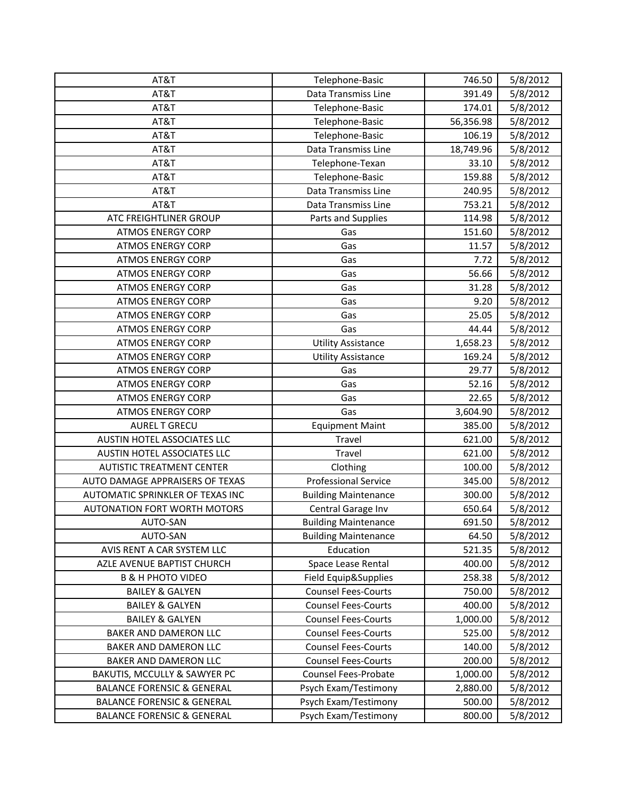| AT&T                                  | Telephone-Basic             | 746.50    | 5/8/2012 |
|---------------------------------------|-----------------------------|-----------|----------|
| AT&T                                  | Data Transmiss Line         | 391.49    | 5/8/2012 |
| AT&T                                  | Telephone-Basic             | 174.01    | 5/8/2012 |
| AT&T                                  | Telephone-Basic             | 56,356.98 | 5/8/2012 |
| AT&T                                  | Telephone-Basic             | 106.19    | 5/8/2012 |
| AT&T                                  | Data Transmiss Line         | 18,749.96 | 5/8/2012 |
| AT&T                                  | Telephone-Texan             | 33.10     | 5/8/2012 |
| AT&T                                  | Telephone-Basic             | 159.88    | 5/8/2012 |
| AT&T                                  | Data Transmiss Line         | 240.95    | 5/8/2012 |
| AT&T                                  | Data Transmiss Line         | 753.21    | 5/8/2012 |
| ATC FREIGHTLINER GROUP                | Parts and Supplies          | 114.98    | 5/8/2012 |
| <b>ATMOS ENERGY CORP</b>              | Gas                         | 151.60    | 5/8/2012 |
| <b>ATMOS ENERGY CORP</b>              | Gas                         | 11.57     | 5/8/2012 |
| <b>ATMOS ENERGY CORP</b>              | Gas                         | 7.72      | 5/8/2012 |
| <b>ATMOS ENERGY CORP</b>              | Gas                         | 56.66     | 5/8/2012 |
| <b>ATMOS ENERGY CORP</b>              | Gas                         | 31.28     | 5/8/2012 |
| <b>ATMOS ENERGY CORP</b>              | Gas                         | 9.20      | 5/8/2012 |
| <b>ATMOS ENERGY CORP</b>              | Gas                         | 25.05     | 5/8/2012 |
| <b>ATMOS ENERGY CORP</b>              | Gas                         | 44.44     | 5/8/2012 |
| <b>ATMOS ENERGY CORP</b>              | <b>Utility Assistance</b>   | 1,658.23  | 5/8/2012 |
| <b>ATMOS ENERGY CORP</b>              | <b>Utility Assistance</b>   | 169.24    | 5/8/2012 |
| <b>ATMOS ENERGY CORP</b>              | Gas                         | 29.77     | 5/8/2012 |
| <b>ATMOS ENERGY CORP</b>              | Gas                         | 52.16     | 5/8/2012 |
| <b>ATMOS ENERGY CORP</b>              | Gas                         | 22.65     | 5/8/2012 |
| <b>ATMOS ENERGY CORP</b>              | Gas                         | 3,604.90  | 5/8/2012 |
| <b>AUREL T GRECU</b>                  | <b>Equipment Maint</b>      | 385.00    | 5/8/2012 |
| AUSTIN HOTEL ASSOCIATES LLC           | Travel                      | 621.00    | 5/8/2012 |
| AUSTIN HOTEL ASSOCIATES LLC           | Travel                      | 621.00    | 5/8/2012 |
| <b>AUTISTIC TREATMENT CENTER</b>      | Clothing                    | 100.00    | 5/8/2012 |
| AUTO DAMAGE APPRAISERS OF TEXAS       | <b>Professional Service</b> | 345.00    | 5/8/2012 |
| AUTOMATIC SPRINKLER OF TEXAS INC      | <b>Building Maintenance</b> | 300.00    | 5/8/2012 |
| <b>AUTONATION FORT WORTH MOTORS</b>   | Central Garage Inv          | 650.64    | 5/8/2012 |
| AUTO-SAN                              | <b>Building Maintenance</b> | 691.50    | 5/8/2012 |
| AUTO-SAN                              | <b>Building Maintenance</b> | 64.50     | 5/8/2012 |
| AVIS RENT A CAR SYSTEM LLC            | Education                   | 521.35    | 5/8/2012 |
| AZLE AVENUE BAPTIST CHURCH            | Space Lease Rental          | 400.00    | 5/8/2012 |
| <b>B &amp; H PHOTO VIDEO</b>          | Field Equip&Supplies        | 258.38    | 5/8/2012 |
| <b>BAILEY &amp; GALYEN</b>            | <b>Counsel Fees-Courts</b>  | 750.00    | 5/8/2012 |
| <b>BAILEY &amp; GALYEN</b>            | <b>Counsel Fees-Courts</b>  | 400.00    | 5/8/2012 |
| <b>BAILEY &amp; GALYEN</b>            | <b>Counsel Fees-Courts</b>  | 1,000.00  | 5/8/2012 |
| <b>BAKER AND DAMERON LLC</b>          | <b>Counsel Fees-Courts</b>  | 525.00    | 5/8/2012 |
| BAKER AND DAMERON LLC                 | <b>Counsel Fees-Courts</b>  | 140.00    | 5/8/2012 |
| BAKER AND DAMERON LLC                 | <b>Counsel Fees-Courts</b>  | 200.00    | 5/8/2012 |
| BAKUTIS, MCCULLY & SAWYER PC          | Counsel Fees-Probate        | 1,000.00  | 5/8/2012 |
| <b>BALANCE FORENSIC &amp; GENERAL</b> | Psych Exam/Testimony        | 2,880.00  | 5/8/2012 |
| <b>BALANCE FORENSIC &amp; GENERAL</b> | Psych Exam/Testimony        | 500.00    | 5/8/2012 |
| <b>BALANCE FORENSIC &amp; GENERAL</b> | Psych Exam/Testimony        | 800.00    | 5/8/2012 |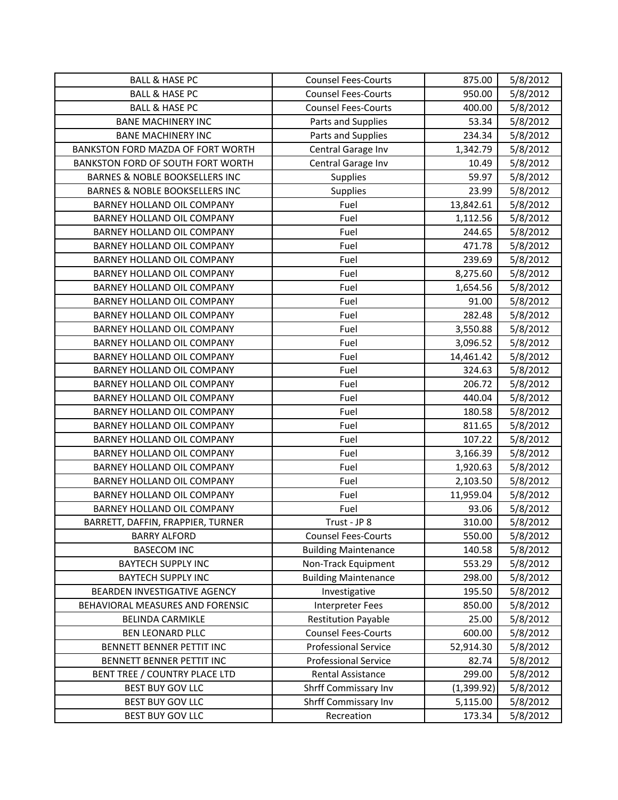| <b>BALL &amp; HASE PC</b>                 | <b>Counsel Fees-Courts</b>  | 875.00      | 5/8/2012 |
|-------------------------------------------|-----------------------------|-------------|----------|
| <b>BALL &amp; HASE PC</b>                 | <b>Counsel Fees-Courts</b>  | 950.00      | 5/8/2012 |
| <b>BALL &amp; HASE PC</b>                 | <b>Counsel Fees-Courts</b>  | 400.00      | 5/8/2012 |
| <b>BANE MACHINERY INC</b>                 | Parts and Supplies          | 53.34       | 5/8/2012 |
| <b>BANE MACHINERY INC</b>                 | Parts and Supplies          | 234.34      | 5/8/2012 |
| BANKSTON FORD MAZDA OF FORT WORTH         | Central Garage Inv          | 1,342.79    | 5/8/2012 |
| BANKSTON FORD OF SOUTH FORT WORTH         | Central Garage Inv          | 10.49       | 5/8/2012 |
| <b>BARNES &amp; NOBLE BOOKSELLERS INC</b> | Supplies                    | 59.97       | 5/8/2012 |
| <b>BARNES &amp; NOBLE BOOKSELLERS INC</b> | <b>Supplies</b>             | 23.99       | 5/8/2012 |
| BARNEY HOLLAND OIL COMPANY                | Fuel                        | 13,842.61   | 5/8/2012 |
| BARNEY HOLLAND OIL COMPANY                | Fuel                        | 1,112.56    | 5/8/2012 |
| BARNEY HOLLAND OIL COMPANY                | Fuel                        | 244.65      | 5/8/2012 |
| BARNEY HOLLAND OIL COMPANY                | Fuel                        | 471.78      | 5/8/2012 |
| BARNEY HOLLAND OIL COMPANY                | Fuel                        | 239.69      | 5/8/2012 |
| <b>BARNEY HOLLAND OIL COMPANY</b>         | Fuel                        | 8,275.60    | 5/8/2012 |
| BARNEY HOLLAND OIL COMPANY                | Fuel                        | 1,654.56    | 5/8/2012 |
| BARNEY HOLLAND OIL COMPANY                | Fuel                        | 91.00       | 5/8/2012 |
| BARNEY HOLLAND OIL COMPANY                | Fuel                        | 282.48      | 5/8/2012 |
| BARNEY HOLLAND OIL COMPANY                | Fuel                        | 3,550.88    | 5/8/2012 |
| <b>BARNEY HOLLAND OIL COMPANY</b>         | Fuel                        | 3,096.52    | 5/8/2012 |
| BARNEY HOLLAND OIL COMPANY                | Fuel                        | 14,461.42   | 5/8/2012 |
| BARNEY HOLLAND OIL COMPANY                | Fuel                        | 324.63      | 5/8/2012 |
| BARNEY HOLLAND OIL COMPANY                | Fuel                        | 206.72      | 5/8/2012 |
| BARNEY HOLLAND OIL COMPANY                | Fuel                        | 440.04      | 5/8/2012 |
| BARNEY HOLLAND OIL COMPANY                | Fuel                        | 180.58      | 5/8/2012 |
| BARNEY HOLLAND OIL COMPANY                | Fuel                        | 811.65      | 5/8/2012 |
| BARNEY HOLLAND OIL COMPANY                | Fuel                        | 107.22      | 5/8/2012 |
| BARNEY HOLLAND OIL COMPANY                | Fuel                        | 3,166.39    | 5/8/2012 |
| BARNEY HOLLAND OIL COMPANY                | Fuel                        | 1,920.63    | 5/8/2012 |
| BARNEY HOLLAND OIL COMPANY                | Fuel                        | 2,103.50    | 5/8/2012 |
| BARNEY HOLLAND OIL COMPANY                | Fuel                        | 11,959.04   | 5/8/2012 |
| <b>BARNEY HOLLAND OIL COMPANY</b>         | Fuel                        | 93.06       | 5/8/2012 |
| BARRETT, DAFFIN, FRAPPIER, TURNER         | Trust - JP 8                | 310.00      | 5/8/2012 |
| <b>BARRY ALFORD</b>                       | <b>Counsel Fees-Courts</b>  | 550.00      | 5/8/2012 |
| <b>BASECOM INC</b>                        | <b>Building Maintenance</b> | 140.58      | 5/8/2012 |
| <b>BAYTECH SUPPLY INC</b>                 | Non-Track Equipment         | 553.29      | 5/8/2012 |
| <b>BAYTECH SUPPLY INC</b>                 | <b>Building Maintenance</b> | 298.00      | 5/8/2012 |
| BEARDEN INVESTIGATIVE AGENCY              | Investigative               | 195.50      | 5/8/2012 |
| BEHAVIORAL MEASURES AND FORENSIC          | Interpreter Fees            | 850.00      | 5/8/2012 |
| <b>BELINDA CARMIKLE</b>                   | <b>Restitution Payable</b>  | 25.00       | 5/8/2012 |
| <b>BEN LEONARD PLLC</b>                   | <b>Counsel Fees-Courts</b>  | 600.00      | 5/8/2012 |
| BENNETT BENNER PETTIT INC                 | Professional Service        | 52,914.30   | 5/8/2012 |
| BENNETT BENNER PETTIT INC                 | <b>Professional Service</b> | 82.74       | 5/8/2012 |
| BENT TREE / COUNTRY PLACE LTD             | Rental Assistance           | 299.00      | 5/8/2012 |
| BEST BUY GOV LLC                          | Shrff Commissary Inv        | (1, 399.92) | 5/8/2012 |
| <b>BEST BUY GOV LLC</b>                   | Shrff Commissary Inv        | 5,115.00    | 5/8/2012 |
| BEST BUY GOV LLC                          | Recreation                  | 173.34      | 5/8/2012 |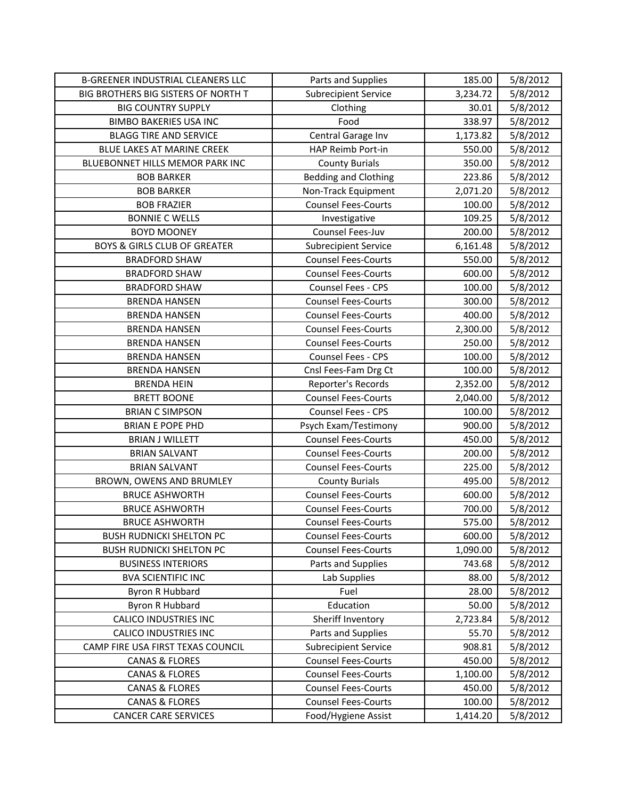| <b>B-GREENER INDUSTRIAL CLEANERS LLC</b> | Parts and Supplies          | 185.00   | 5/8/2012 |
|------------------------------------------|-----------------------------|----------|----------|
| BIG BROTHERS BIG SISTERS OF NORTH T      | <b>Subrecipient Service</b> | 3,234.72 | 5/8/2012 |
| <b>BIG COUNTRY SUPPLY</b>                | Clothing                    | 30.01    | 5/8/2012 |
| <b>BIMBO BAKERIES USA INC</b>            | Food                        | 338.97   | 5/8/2012 |
| <b>BLAGG TIRE AND SERVICE</b>            | Central Garage Inv          | 1,173.82 | 5/8/2012 |
| BLUE LAKES AT MARINE CREEK               | HAP Reimb Port-in           | 550.00   | 5/8/2012 |
| BLUEBONNET HILLS MEMOR PARK INC          | <b>County Burials</b>       | 350.00   | 5/8/2012 |
| <b>BOB BARKER</b>                        | <b>Bedding and Clothing</b> | 223.86   | 5/8/2012 |
| <b>BOB BARKER</b>                        | Non-Track Equipment         | 2,071.20 | 5/8/2012 |
| <b>BOB FRAZIER</b>                       | <b>Counsel Fees-Courts</b>  | 100.00   | 5/8/2012 |
| <b>BONNIE C WELLS</b>                    | Investigative               | 109.25   | 5/8/2012 |
| <b>BOYD MOONEY</b>                       | Counsel Fees-Juv            | 200.00   | 5/8/2012 |
| <b>BOYS &amp; GIRLS CLUB OF GREATER</b>  | <b>Subrecipient Service</b> | 6,161.48 | 5/8/2012 |
| <b>BRADFORD SHAW</b>                     | <b>Counsel Fees-Courts</b>  | 550.00   | 5/8/2012 |
| <b>BRADFORD SHAW</b>                     | <b>Counsel Fees-Courts</b>  | 600.00   | 5/8/2012 |
| <b>BRADFORD SHAW</b>                     | Counsel Fees - CPS          | 100.00   | 5/8/2012 |
| <b>BRENDA HANSEN</b>                     | <b>Counsel Fees-Courts</b>  | 300.00   | 5/8/2012 |
| <b>BRENDA HANSEN</b>                     | <b>Counsel Fees-Courts</b>  | 400.00   | 5/8/2012 |
| <b>BRENDA HANSEN</b>                     | <b>Counsel Fees-Courts</b>  | 2,300.00 | 5/8/2012 |
| <b>BRENDA HANSEN</b>                     | <b>Counsel Fees-Courts</b>  | 250.00   | 5/8/2012 |
| <b>BRENDA HANSEN</b>                     | Counsel Fees - CPS          | 100.00   | 5/8/2012 |
| <b>BRENDA HANSEN</b>                     | Cnsl Fees-Fam Drg Ct        | 100.00   | 5/8/2012 |
| <b>BRENDA HEIN</b>                       | Reporter's Records          | 2,352.00 | 5/8/2012 |
| <b>BRETT BOONE</b>                       | <b>Counsel Fees-Courts</b>  | 2,040.00 | 5/8/2012 |
| <b>BRIAN C SIMPSON</b>                   | Counsel Fees - CPS          | 100.00   | 5/8/2012 |
| <b>BRIAN E POPE PHD</b>                  | Psych Exam/Testimony        | 900.00   | 5/8/2012 |
| <b>BRIAN J WILLETT</b>                   | <b>Counsel Fees-Courts</b>  | 450.00   | 5/8/2012 |
| <b>BRIAN SALVANT</b>                     | <b>Counsel Fees-Courts</b>  | 200.00   | 5/8/2012 |
| <b>BRIAN SALVANT</b>                     | <b>Counsel Fees-Courts</b>  | 225.00   | 5/8/2012 |
| BROWN, OWENS AND BRUMLEY                 | <b>County Burials</b>       | 495.00   | 5/8/2012 |
| <b>BRUCE ASHWORTH</b>                    | <b>Counsel Fees-Courts</b>  | 600.00   | 5/8/2012 |
| <b>BRUCE ASHWORTH</b>                    | <b>Counsel Fees-Courts</b>  | 700.00   | 5/8/2012 |
| <b>BRUCE ASHWORTH</b>                    | <b>Counsel Fees-Courts</b>  | 575.00   | 5/8/2012 |
| <b>BUSH RUDNICKI SHELTON PC</b>          | <b>Counsel Fees-Courts</b>  | 600.00   | 5/8/2012 |
| <b>BUSH RUDNICKI SHELTON PC</b>          | <b>Counsel Fees-Courts</b>  | 1,090.00 | 5/8/2012 |
| <b>BUSINESS INTERIORS</b>                | Parts and Supplies          | 743.68   | 5/8/2012 |
| <b>BVA SCIENTIFIC INC</b>                | Lab Supplies                | 88.00    | 5/8/2012 |
| <b>Byron R Hubbard</b>                   | Fuel                        | 28.00    | 5/8/2012 |
| <b>Byron R Hubbard</b>                   | Education                   | 50.00    | 5/8/2012 |
| <b>CALICO INDUSTRIES INC</b>             | Sheriff Inventory           | 2,723.84 | 5/8/2012 |
| <b>CALICO INDUSTRIES INC</b>             | Parts and Supplies          | 55.70    | 5/8/2012 |
| CAMP FIRE USA FIRST TEXAS COUNCIL        | <b>Subrecipient Service</b> | 908.81   | 5/8/2012 |
| <b>CANAS &amp; FLORES</b>                | <b>Counsel Fees-Courts</b>  | 450.00   | 5/8/2012 |
| <b>CANAS &amp; FLORES</b>                | <b>Counsel Fees-Courts</b>  | 1,100.00 | 5/8/2012 |
| <b>CANAS &amp; FLORES</b>                | <b>Counsel Fees-Courts</b>  | 450.00   | 5/8/2012 |
| <b>CANAS &amp; FLORES</b>                | <b>Counsel Fees-Courts</b>  | 100.00   | 5/8/2012 |
| <b>CANCER CARE SERVICES</b>              | Food/Hygiene Assist         | 1,414.20 | 5/8/2012 |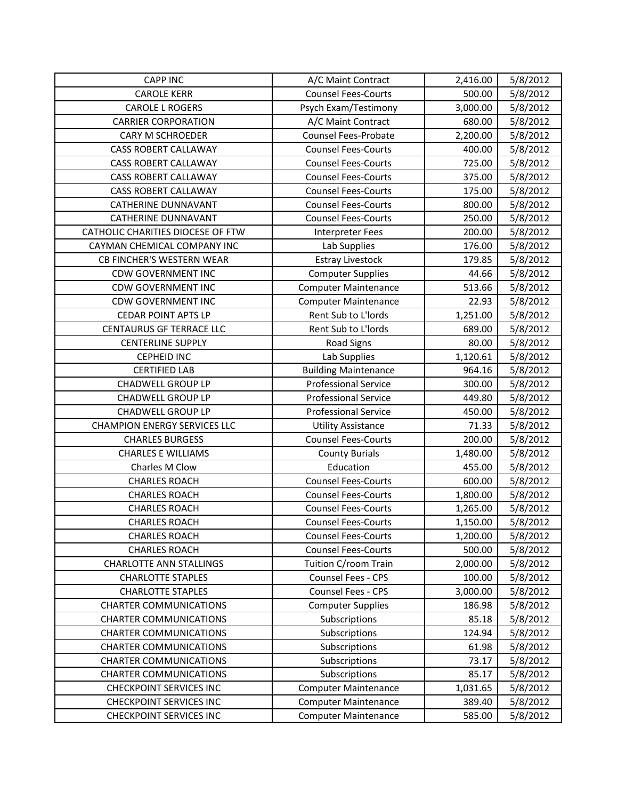| <b>CAPP INC</b>                     | A/C Maint Contract          | 2,416.00 | 5/8/2012 |
|-------------------------------------|-----------------------------|----------|----------|
| <b>CAROLE KERR</b>                  | <b>Counsel Fees-Courts</b>  | 500.00   | 5/8/2012 |
| <b>CAROLE L ROGERS</b>              | Psych Exam/Testimony        | 3,000.00 | 5/8/2012 |
| <b>CARRIER CORPORATION</b>          | A/C Maint Contract          | 680.00   | 5/8/2012 |
| <b>CARY M SCHROEDER</b>             | <b>Counsel Fees-Probate</b> | 2,200.00 | 5/8/2012 |
| <b>CASS ROBERT CALLAWAY</b>         | <b>Counsel Fees-Courts</b>  | 400.00   | 5/8/2012 |
| <b>CASS ROBERT CALLAWAY</b>         | <b>Counsel Fees-Courts</b>  | 725.00   | 5/8/2012 |
| <b>CASS ROBERT CALLAWAY</b>         | <b>Counsel Fees-Courts</b>  | 375.00   | 5/8/2012 |
| <b>CASS ROBERT CALLAWAY</b>         | <b>Counsel Fees-Courts</b>  | 175.00   | 5/8/2012 |
| <b>CATHERINE DUNNAVANT</b>          | <b>Counsel Fees-Courts</b>  | 800.00   | 5/8/2012 |
| <b>CATHERINE DUNNAVANT</b>          | <b>Counsel Fees-Courts</b>  | 250.00   | 5/8/2012 |
| CATHOLIC CHARITIES DIOCESE OF FTW   | Interpreter Fees            | 200.00   | 5/8/2012 |
| CAYMAN CHEMICAL COMPANY INC         | Lab Supplies                | 176.00   | 5/8/2012 |
| CB FINCHER'S WESTERN WEAR           | <b>Estray Livestock</b>     | 179.85   | 5/8/2012 |
| <b>CDW GOVERNMENT INC</b>           | <b>Computer Supplies</b>    | 44.66    | 5/8/2012 |
| <b>CDW GOVERNMENT INC</b>           | <b>Computer Maintenance</b> | 513.66   | 5/8/2012 |
| <b>CDW GOVERNMENT INC</b>           | <b>Computer Maintenance</b> | 22.93    | 5/8/2012 |
| <b>CEDAR POINT APTS LP</b>          | Rent Sub to L'Iords         | 1,251.00 | 5/8/2012 |
| <b>CENTAURUS GF TERRACE LLC</b>     | Rent Sub to L'Iords         | 689.00   | 5/8/2012 |
| <b>CENTERLINE SUPPLY</b>            | <b>Road Signs</b>           | 80.00    | 5/8/2012 |
| <b>CEPHEID INC</b>                  | Lab Supplies                | 1,120.61 | 5/8/2012 |
| <b>CERTIFIED LAB</b>                | <b>Building Maintenance</b> | 964.16   | 5/8/2012 |
| <b>CHADWELL GROUP LP</b>            | <b>Professional Service</b> | 300.00   | 5/8/2012 |
| <b>CHADWELL GROUP LP</b>            | <b>Professional Service</b> | 449.80   | 5/8/2012 |
| <b>CHADWELL GROUP LP</b>            | <b>Professional Service</b> | 450.00   | 5/8/2012 |
| <b>CHAMPION ENERGY SERVICES LLC</b> | <b>Utility Assistance</b>   | 71.33    | 5/8/2012 |
| <b>CHARLES BURGESS</b>              | <b>Counsel Fees-Courts</b>  | 200.00   | 5/8/2012 |
| <b>CHARLES E WILLIAMS</b>           | <b>County Burials</b>       | 1,480.00 | 5/8/2012 |
| Charles M Clow                      | Education                   | 455.00   | 5/8/2012 |
| <b>CHARLES ROACH</b>                | <b>Counsel Fees-Courts</b>  | 600.00   | 5/8/2012 |
| <b>CHARLES ROACH</b>                | <b>Counsel Fees-Courts</b>  | 1,800.00 | 5/8/2012 |
| <b>CHARLES ROACH</b>                | <b>Counsel Fees-Courts</b>  | 1,265.00 | 5/8/2012 |
| <b>CHARLES ROACH</b>                | <b>Counsel Fees-Courts</b>  | 1,150.00 | 5/8/2012 |
| <b>CHARLES ROACH</b>                | <b>Counsel Fees-Courts</b>  | 1,200.00 | 5/8/2012 |
| <b>CHARLES ROACH</b>                | <b>Counsel Fees-Courts</b>  | 500.00   | 5/8/2012 |
| <b>CHARLOTTE ANN STALLINGS</b>      | Tuition C/room Train        | 2,000.00 | 5/8/2012 |
| <b>CHARLOTTE STAPLES</b>            | Counsel Fees - CPS          | 100.00   | 5/8/2012 |
| <b>CHARLOTTE STAPLES</b>            | Counsel Fees - CPS          | 3,000.00 | 5/8/2012 |
| <b>CHARTER COMMUNICATIONS</b>       | <b>Computer Supplies</b>    | 186.98   | 5/8/2012 |
| <b>CHARTER COMMUNICATIONS</b>       | Subscriptions               | 85.18    | 5/8/2012 |
| <b>CHARTER COMMUNICATIONS</b>       | Subscriptions               | 124.94   | 5/8/2012 |
| <b>CHARTER COMMUNICATIONS</b>       | Subscriptions               | 61.98    | 5/8/2012 |
| <b>CHARTER COMMUNICATIONS</b>       | Subscriptions               | 73.17    | 5/8/2012 |
| <b>CHARTER COMMUNICATIONS</b>       | Subscriptions               | 85.17    | 5/8/2012 |
| <b>CHECKPOINT SERVICES INC</b>      | <b>Computer Maintenance</b> | 1,031.65 | 5/8/2012 |
| <b>CHECKPOINT SERVICES INC</b>      | <b>Computer Maintenance</b> | 389.40   | 5/8/2012 |
| <b>CHECKPOINT SERVICES INC</b>      | <b>Computer Maintenance</b> | 585.00   | 5/8/2012 |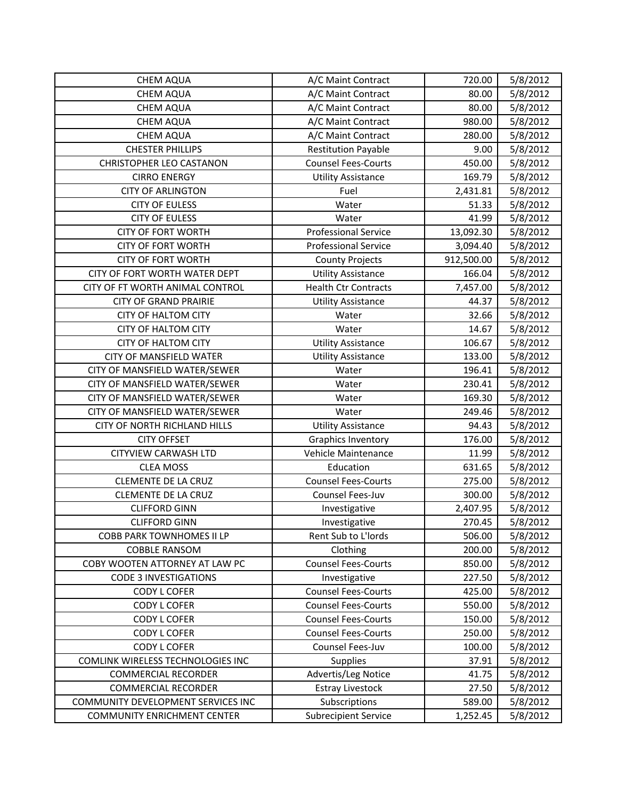| <b>CHEM AQUA</b>                   | A/C Maint Contract          | 720.00     | 5/8/2012 |
|------------------------------------|-----------------------------|------------|----------|
| <b>CHEM AQUA</b>                   | A/C Maint Contract          | 80.00      | 5/8/2012 |
| <b>CHEM AQUA</b>                   | A/C Maint Contract          | 80.00      | 5/8/2012 |
| <b>CHEM AQUA</b>                   | A/C Maint Contract          | 980.00     | 5/8/2012 |
| <b>CHEM AQUA</b>                   | A/C Maint Contract          | 280.00     | 5/8/2012 |
| <b>CHESTER PHILLIPS</b>            | <b>Restitution Payable</b>  | 9.00       | 5/8/2012 |
| <b>CHRISTOPHER LEO CASTANON</b>    | <b>Counsel Fees-Courts</b>  | 450.00     | 5/8/2012 |
| <b>CIRRO ENERGY</b>                | <b>Utility Assistance</b>   | 169.79     | 5/8/2012 |
| <b>CITY OF ARLINGTON</b>           | Fuel                        | 2,431.81   | 5/8/2012 |
| <b>CITY OF EULESS</b>              | Water                       | 51.33      | 5/8/2012 |
| <b>CITY OF EULESS</b>              | Water                       | 41.99      | 5/8/2012 |
| <b>CITY OF FORT WORTH</b>          | <b>Professional Service</b> | 13,092.30  | 5/8/2012 |
| <b>CITY OF FORT WORTH</b>          | <b>Professional Service</b> | 3,094.40   | 5/8/2012 |
| <b>CITY OF FORT WORTH</b>          | <b>County Projects</b>      | 912,500.00 | 5/8/2012 |
| CITY OF FORT WORTH WATER DEPT      | <b>Utility Assistance</b>   | 166.04     | 5/8/2012 |
| CITY OF FT WORTH ANIMAL CONTROL    | <b>Health Ctr Contracts</b> | 7,457.00   | 5/8/2012 |
| <b>CITY OF GRAND PRAIRIE</b>       | <b>Utility Assistance</b>   | 44.37      | 5/8/2012 |
| <b>CITY OF HALTOM CITY</b>         | Water                       | 32.66      | 5/8/2012 |
| <b>CITY OF HALTOM CITY</b>         | Water                       | 14.67      | 5/8/2012 |
| <b>CITY OF HALTOM CITY</b>         | <b>Utility Assistance</b>   | 106.67     | 5/8/2012 |
| CITY OF MANSFIELD WATER            | <b>Utility Assistance</b>   | 133.00     | 5/8/2012 |
| CITY OF MANSFIELD WATER/SEWER      | Water                       | 196.41     | 5/8/2012 |
| CITY OF MANSFIELD WATER/SEWER      | Water                       | 230.41     | 5/8/2012 |
| CITY OF MANSFIELD WATER/SEWER      | Water                       | 169.30     | 5/8/2012 |
| CITY OF MANSFIELD WATER/SEWER      | Water                       | 249.46     | 5/8/2012 |
| CITY OF NORTH RICHLAND HILLS       | <b>Utility Assistance</b>   | 94.43      | 5/8/2012 |
| <b>CITY OFFSET</b>                 | Graphics Inventory          | 176.00     | 5/8/2012 |
| <b>CITYVIEW CARWASH LTD</b>        | Vehicle Maintenance         | 11.99      | 5/8/2012 |
| <b>CLEA MOSS</b>                   | Education                   | 631.65     | 5/8/2012 |
| <b>CLEMENTE DE LA CRUZ</b>         | <b>Counsel Fees-Courts</b>  | 275.00     | 5/8/2012 |
| <b>CLEMENTE DE LA CRUZ</b>         | Counsel Fees-Juv            | 300.00     | 5/8/2012 |
| <b>CLIFFORD GINN</b>               | Investigative               | 2,407.95   | 5/8/2012 |
| <b>CLIFFORD GINN</b>               | Investigative               | 270.45     | 5/8/2012 |
| <b>COBB PARK TOWNHOMES II LP</b>   | Rent Sub to L'Iords         | 506.00     | 5/8/2012 |
| <b>COBBLE RANSOM</b>               | Clothing                    | 200.00     | 5/8/2012 |
| COBY WOOTEN ATTORNEY AT LAW PC     | <b>Counsel Fees-Courts</b>  | 850.00     | 5/8/2012 |
| <b>CODE 3 INVESTIGATIONS</b>       | Investigative               | 227.50     | 5/8/2012 |
| CODY L COFER                       | <b>Counsel Fees-Courts</b>  | 425.00     | 5/8/2012 |
| <b>CODY L COFER</b>                | <b>Counsel Fees-Courts</b>  | 550.00     | 5/8/2012 |
| <b>CODY L COFER</b>                | <b>Counsel Fees-Courts</b>  | 150.00     | 5/8/2012 |
| <b>CODY L COFER</b>                | <b>Counsel Fees-Courts</b>  | 250.00     | 5/8/2012 |
| <b>CODY L COFER</b>                | Counsel Fees-Juv            | 100.00     | 5/8/2012 |
| COMLINK WIRELESS TECHNOLOGIES INC  | <b>Supplies</b>             | 37.91      | 5/8/2012 |
| <b>COMMERCIAL RECORDER</b>         | Advertis/Leg Notice         | 41.75      | 5/8/2012 |
| <b>COMMERCIAL RECORDER</b>         | <b>Estray Livestock</b>     | 27.50      | 5/8/2012 |
| COMMUNITY DEVELOPMENT SERVICES INC | Subscriptions               | 589.00     | 5/8/2012 |
| <b>COMMUNITY ENRICHMENT CENTER</b> | <b>Subrecipient Service</b> | 1,252.45   | 5/8/2012 |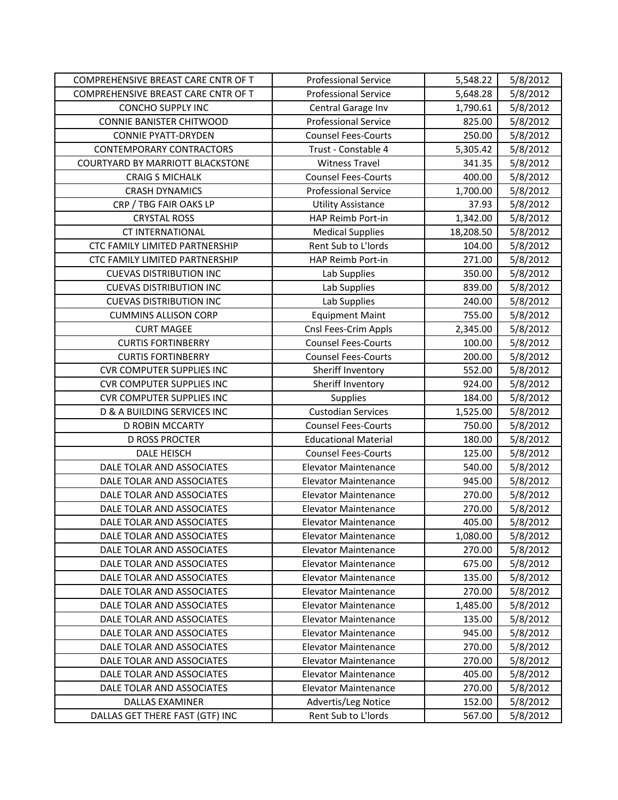| COMPREHENSIVE BREAST CARE CNTR OF T    | <b>Professional Service</b> | 5,548.22  | 5/8/2012 |
|----------------------------------------|-----------------------------|-----------|----------|
| COMPREHENSIVE BREAST CARE CNTR OF T    | <b>Professional Service</b> | 5,648.28  | 5/8/2012 |
| <b>CONCHO SUPPLY INC</b>               | Central Garage Inv          | 1,790.61  | 5/8/2012 |
| <b>CONNIE BANISTER CHITWOOD</b>        | <b>Professional Service</b> | 825.00    | 5/8/2012 |
| <b>CONNIE PYATT-DRYDEN</b>             | <b>Counsel Fees-Courts</b>  | 250.00    | 5/8/2012 |
| <b>CONTEMPORARY CONTRACTORS</b>        | Trust - Constable 4         | 5,305.42  | 5/8/2012 |
| COURTYARD BY MARRIOTT BLACKSTONE       | <b>Witness Travel</b>       | 341.35    | 5/8/2012 |
| <b>CRAIG S MICHALK</b>                 | <b>Counsel Fees-Courts</b>  | 400.00    | 5/8/2012 |
| <b>CRASH DYNAMICS</b>                  | <b>Professional Service</b> | 1,700.00  | 5/8/2012 |
| CRP / TBG FAIR OAKS LP                 | <b>Utility Assistance</b>   | 37.93     | 5/8/2012 |
| <b>CRYSTAL ROSS</b>                    | <b>HAP Reimb Port-in</b>    | 1,342.00  | 5/8/2012 |
| <b>CT INTERNATIONAL</b>                | <b>Medical Supplies</b>     | 18,208.50 | 5/8/2012 |
| CTC FAMILY LIMITED PARTNERSHIP         | Rent Sub to L'Iords         | 104.00    | 5/8/2012 |
| CTC FAMILY LIMITED PARTNERSHIP         | HAP Reimb Port-in           | 271.00    | 5/8/2012 |
| <b>CUEVAS DISTRIBUTION INC</b>         | Lab Supplies                | 350.00    | 5/8/2012 |
| <b>CUEVAS DISTRIBUTION INC</b>         | Lab Supplies                | 839.00    | 5/8/2012 |
| <b>CUEVAS DISTRIBUTION INC</b>         | Lab Supplies                | 240.00    | 5/8/2012 |
| <b>CUMMINS ALLISON CORP</b>            | <b>Equipment Maint</b>      | 755.00    | 5/8/2012 |
| <b>CURT MAGEE</b>                      | Cnsl Fees-Crim Appls        | 2,345.00  | 5/8/2012 |
| <b>CURTIS FORTINBERRY</b>              | <b>Counsel Fees-Courts</b>  | 100.00    | 5/8/2012 |
| <b>CURTIS FORTINBERRY</b>              | <b>Counsel Fees-Courts</b>  | 200.00    | 5/8/2012 |
| <b>CVR COMPUTER SUPPLIES INC</b>       | Sheriff Inventory           | 552.00    | 5/8/2012 |
| <b>CVR COMPUTER SUPPLIES INC</b>       | Sheriff Inventory           | 924.00    | 5/8/2012 |
| <b>CVR COMPUTER SUPPLIES INC</b>       | <b>Supplies</b>             | 184.00    | 5/8/2012 |
| <b>D &amp; A BUILDING SERVICES INC</b> | <b>Custodian Services</b>   | 1,525.00  | 5/8/2012 |
| D ROBIN MCCARTY                        | <b>Counsel Fees-Courts</b>  | 750.00    | 5/8/2012 |
| <b>D ROSS PROCTER</b>                  | <b>Educational Material</b> | 180.00    | 5/8/2012 |
| <b>DALE HEISCH</b>                     | <b>Counsel Fees-Courts</b>  | 125.00    | 5/8/2012 |
| DALE TOLAR AND ASSOCIATES              | <b>Elevator Maintenance</b> | 540.00    | 5/8/2012 |
| DALE TOLAR AND ASSOCIATES              | <b>Elevator Maintenance</b> | 945.00    | 5/8/2012 |
| DALE TOLAR AND ASSOCIATES              | <b>Elevator Maintenance</b> | 270.00    | 5/8/2012 |
| DALE TOLAR AND ASSOCIATES              | <b>Elevator Maintenance</b> | 270.00    | 5/8/2012 |
| DALE TOLAR AND ASSOCIATES              | <b>Elevator Maintenance</b> | 405.00    | 5/8/2012 |
| DALE TOLAR AND ASSOCIATES              | <b>Elevator Maintenance</b> | 1,080.00  | 5/8/2012 |
| DALE TOLAR AND ASSOCIATES              | <b>Elevator Maintenance</b> | 270.00    | 5/8/2012 |
| DALE TOLAR AND ASSOCIATES              | Elevator Maintenance        | 675.00    | 5/8/2012 |
| DALE TOLAR AND ASSOCIATES              | <b>Elevator Maintenance</b> | 135.00    | 5/8/2012 |
| DALE TOLAR AND ASSOCIATES              | <b>Elevator Maintenance</b> | 270.00    | 5/8/2012 |
| DALE TOLAR AND ASSOCIATES              | <b>Elevator Maintenance</b> | 1,485.00  | 5/8/2012 |
| DALE TOLAR AND ASSOCIATES              | <b>Elevator Maintenance</b> | 135.00    | 5/8/2012 |
| DALE TOLAR AND ASSOCIATES              | <b>Elevator Maintenance</b> | 945.00    | 5/8/2012 |
| DALE TOLAR AND ASSOCIATES              | <b>Elevator Maintenance</b> | 270.00    | 5/8/2012 |
| DALE TOLAR AND ASSOCIATES              | <b>Elevator Maintenance</b> | 270.00    | 5/8/2012 |
| DALE TOLAR AND ASSOCIATES              | <b>Elevator Maintenance</b> | 405.00    | 5/8/2012 |
| DALE TOLAR AND ASSOCIATES              | <b>Elevator Maintenance</b> | 270.00    | 5/8/2012 |
| DALLAS EXAMINER                        | Advertis/Leg Notice         | 152.00    | 5/8/2012 |
| DALLAS GET THERE FAST (GTF) INC        | Rent Sub to L'Iords         | 567.00    | 5/8/2012 |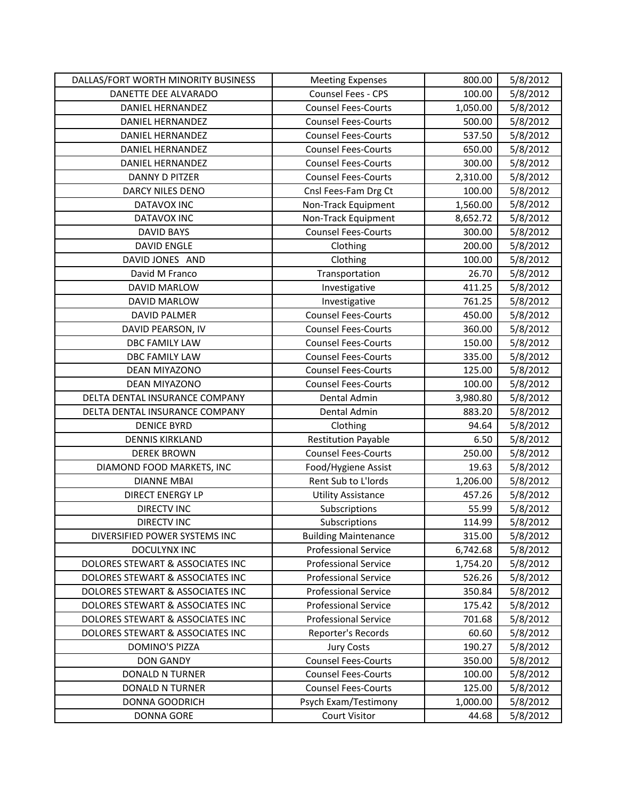| DALLAS/FORT WORTH MINORITY BUSINESS | <b>Meeting Expenses</b>     | 800.00   | 5/8/2012 |
|-------------------------------------|-----------------------------|----------|----------|
| DANETTE DEE ALVARADO                | Counsel Fees - CPS          | 100.00   | 5/8/2012 |
| <b>DANIEL HERNANDEZ</b>             | <b>Counsel Fees-Courts</b>  | 1,050.00 | 5/8/2012 |
| DANIEL HERNANDEZ                    | <b>Counsel Fees-Courts</b>  | 500.00   | 5/8/2012 |
| <b>DANIEL HERNANDEZ</b>             | <b>Counsel Fees-Courts</b>  | 537.50   | 5/8/2012 |
| <b>DANIEL HERNANDEZ</b>             | <b>Counsel Fees-Courts</b>  | 650.00   | 5/8/2012 |
| DANIEL HERNANDEZ                    | <b>Counsel Fees-Courts</b>  | 300.00   | 5/8/2012 |
| DANNY D PITZER                      | <b>Counsel Fees-Courts</b>  | 2,310.00 | 5/8/2012 |
| DARCY NILES DENO                    | Cnsl Fees-Fam Drg Ct        | 100.00   | 5/8/2012 |
| DATAVOX INC                         | Non-Track Equipment         | 1,560.00 | 5/8/2012 |
| <b>DATAVOX INC</b>                  | Non-Track Equipment         | 8,652.72 | 5/8/2012 |
| <b>DAVID BAYS</b>                   | <b>Counsel Fees-Courts</b>  | 300.00   | 5/8/2012 |
| <b>DAVID ENGLE</b>                  | Clothing                    | 200.00   | 5/8/2012 |
| DAVID JONES AND                     | Clothing                    | 100.00   | 5/8/2012 |
| David M Franco                      | Transportation              | 26.70    | 5/8/2012 |
| DAVID MARLOW                        | Investigative               | 411.25   | 5/8/2012 |
| DAVID MARLOW                        | Investigative               | 761.25   | 5/8/2012 |
| <b>DAVID PALMER</b>                 | <b>Counsel Fees-Courts</b>  | 450.00   | 5/8/2012 |
| DAVID PEARSON, IV                   | <b>Counsel Fees-Courts</b>  | 360.00   | 5/8/2012 |
| <b>DBC FAMILY LAW</b>               | <b>Counsel Fees-Courts</b>  | 150.00   | 5/8/2012 |
| <b>DBC FAMILY LAW</b>               | <b>Counsel Fees-Courts</b>  | 335.00   | 5/8/2012 |
| <b>DEAN MIYAZONO</b>                | <b>Counsel Fees-Courts</b>  | 125.00   | 5/8/2012 |
| <b>DEAN MIYAZONO</b>                | <b>Counsel Fees-Courts</b>  | 100.00   | 5/8/2012 |
| DELTA DENTAL INSURANCE COMPANY      | Dental Admin                | 3,980.80 | 5/8/2012 |
| DELTA DENTAL INSURANCE COMPANY      | Dental Admin                | 883.20   | 5/8/2012 |
| <b>DENICE BYRD</b>                  | Clothing                    | 94.64    | 5/8/2012 |
| <b>DENNIS KIRKLAND</b>              | <b>Restitution Payable</b>  | 6.50     | 5/8/2012 |
| <b>DEREK BROWN</b>                  | <b>Counsel Fees-Courts</b>  | 250.00   | 5/8/2012 |
| DIAMOND FOOD MARKETS, INC           | Food/Hygiene Assist         | 19.63    | 5/8/2012 |
| <b>DIANNE MBAI</b>                  | Rent Sub to L'Iords         | 1,206.00 | 5/8/2012 |
| <b>DIRECT ENERGY LP</b>             | <b>Utility Assistance</b>   | 457.26   | 5/8/2012 |
| <b>DIRECTV INC</b>                  | Subscriptions               | 55.99    | 5/8/2012 |
| <b>DIRECTV INC</b>                  | Subscriptions               | 114.99   | 5/8/2012 |
| DIVERSIFIED POWER SYSTEMS INC       | <b>Building Maintenance</b> | 315.00   | 5/8/2012 |
| <b>DOCULYNX INC</b>                 | <b>Professional Service</b> | 6,742.68 | 5/8/2012 |
| DOLORES STEWART & ASSOCIATES INC    | <b>Professional Service</b> | 1,754.20 | 5/8/2012 |
| DOLORES STEWART & ASSOCIATES INC    | <b>Professional Service</b> | 526.26   | 5/8/2012 |
| DOLORES STEWART & ASSOCIATES INC    | <b>Professional Service</b> | 350.84   | 5/8/2012 |
| DOLORES STEWART & ASSOCIATES INC    | <b>Professional Service</b> | 175.42   | 5/8/2012 |
| DOLORES STEWART & ASSOCIATES INC    | <b>Professional Service</b> | 701.68   | 5/8/2012 |
| DOLORES STEWART & ASSOCIATES INC    | Reporter's Records          | 60.60    | 5/8/2012 |
| DOMINO'S PIZZA                      | <b>Jury Costs</b>           | 190.27   | 5/8/2012 |
| <b>DON GANDY</b>                    | <b>Counsel Fees-Courts</b>  | 350.00   | 5/8/2012 |
| <b>DONALD N TURNER</b>              | <b>Counsel Fees-Courts</b>  | 100.00   | 5/8/2012 |
| <b>DONALD N TURNER</b>              | <b>Counsel Fees-Courts</b>  | 125.00   | 5/8/2012 |
| <b>DONNA GOODRICH</b>               | Psych Exam/Testimony        | 1,000.00 | 5/8/2012 |
| <b>DONNA GORE</b>                   | <b>Court Visitor</b>        | 44.68    | 5/8/2012 |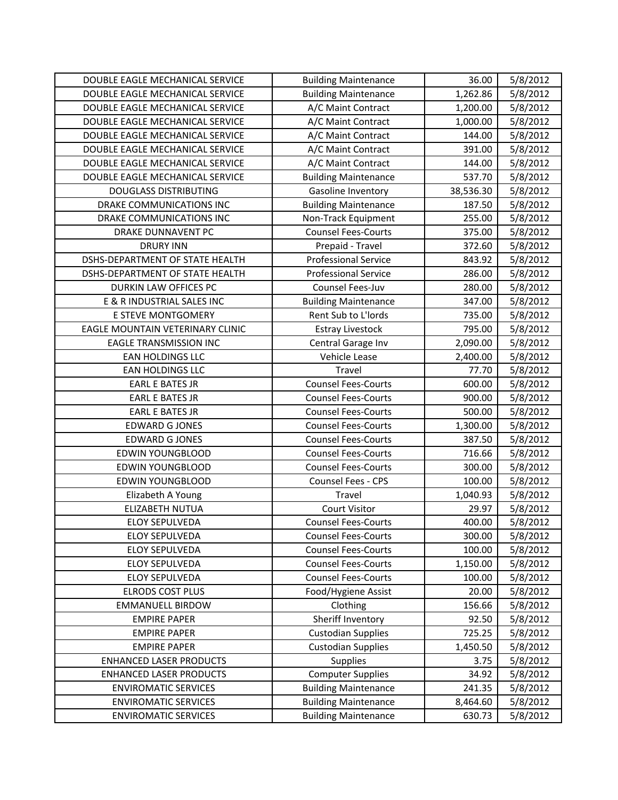| DOUBLE EAGLE MECHANICAL SERVICE  | <b>Building Maintenance</b> | 36.00     | 5/8/2012 |
|----------------------------------|-----------------------------|-----------|----------|
| DOUBLE EAGLE MECHANICAL SERVICE  | <b>Building Maintenance</b> | 1,262.86  | 5/8/2012 |
| DOUBLE EAGLE MECHANICAL SERVICE  | A/C Maint Contract          | 1,200.00  | 5/8/2012 |
| DOUBLE EAGLE MECHANICAL SERVICE  | A/C Maint Contract          | 1,000.00  | 5/8/2012 |
| DOUBLE EAGLE MECHANICAL SERVICE  | A/C Maint Contract          | 144.00    | 5/8/2012 |
| DOUBLE EAGLE MECHANICAL SERVICE  | A/C Maint Contract          | 391.00    | 5/8/2012 |
| DOUBLE EAGLE MECHANICAL SERVICE  | A/C Maint Contract          | 144.00    | 5/8/2012 |
| DOUBLE EAGLE MECHANICAL SERVICE  | <b>Building Maintenance</b> | 537.70    | 5/8/2012 |
| <b>DOUGLASS DISTRIBUTING</b>     | Gasoline Inventory          | 38,536.30 | 5/8/2012 |
| DRAKE COMMUNICATIONS INC         | <b>Building Maintenance</b> | 187.50    | 5/8/2012 |
| DRAKE COMMUNICATIONS INC         | Non-Track Equipment         | 255.00    | 5/8/2012 |
| DRAKE DUNNAVENT PC               | <b>Counsel Fees-Courts</b>  | 375.00    | 5/8/2012 |
| <b>DRURY INN</b>                 | Prepaid - Travel            | 372.60    | 5/8/2012 |
| DSHS-DEPARTMENT OF STATE HEALTH  | <b>Professional Service</b> | 843.92    | 5/8/2012 |
| DSHS-DEPARTMENT OF STATE HEALTH  | <b>Professional Service</b> | 286.00    | 5/8/2012 |
| DURKIN LAW OFFICES PC            | Counsel Fees-Juv            | 280.00    | 5/8/2012 |
| E & R INDUSTRIAL SALES INC       | <b>Building Maintenance</b> | 347.00    | 5/8/2012 |
| E STEVE MONTGOMERY               | Rent Sub to L'Iords         | 735.00    | 5/8/2012 |
| EAGLE MOUNTAIN VETERINARY CLINIC | <b>Estray Livestock</b>     | 795.00    | 5/8/2012 |
| <b>EAGLE TRANSMISSION INC</b>    | Central Garage Inv          | 2,090.00  | 5/8/2012 |
| <b>EAN HOLDINGS LLC</b>          | Vehicle Lease               | 2,400.00  | 5/8/2012 |
| <b>EAN HOLDINGS LLC</b>          | Travel                      | 77.70     | 5/8/2012 |
| <b>EARL E BATES JR</b>           | <b>Counsel Fees-Courts</b>  | 600.00    | 5/8/2012 |
| <b>EARL E BATES JR</b>           | <b>Counsel Fees-Courts</b>  | 900.00    | 5/8/2012 |
| <b>EARL E BATES JR</b>           | <b>Counsel Fees-Courts</b>  | 500.00    | 5/8/2012 |
| <b>EDWARD G JONES</b>            | <b>Counsel Fees-Courts</b>  | 1,300.00  | 5/8/2012 |
| <b>EDWARD G JONES</b>            | <b>Counsel Fees-Courts</b>  | 387.50    | 5/8/2012 |
| <b>EDWIN YOUNGBLOOD</b>          | <b>Counsel Fees-Courts</b>  | 716.66    | 5/8/2012 |
| <b>EDWIN YOUNGBLOOD</b>          | <b>Counsel Fees-Courts</b>  | 300.00    | 5/8/2012 |
| <b>EDWIN YOUNGBLOOD</b>          | Counsel Fees - CPS          | 100.00    | 5/8/2012 |
| Elizabeth A Young                | Travel                      | 1,040.93  | 5/8/2012 |
| ELIZABETH NUTUA                  | <b>Court Visitor</b>        | 29.97     | 5/8/2012 |
| <b>ELOY SEPULVEDA</b>            | <b>Counsel Fees-Courts</b>  | 400.00    | 5/8/2012 |
| <b>ELOY SEPULVEDA</b>            | <b>Counsel Fees-Courts</b>  | 300.00    | 5/8/2012 |
| <b>ELOY SEPULVEDA</b>            | <b>Counsel Fees-Courts</b>  | 100.00    | 5/8/2012 |
| ELOY SEPULVEDA                   | <b>Counsel Fees-Courts</b>  | 1,150.00  | 5/8/2012 |
| ELOY SEPULVEDA                   | <b>Counsel Fees-Courts</b>  | 100.00    | 5/8/2012 |
| <b>ELRODS COST PLUS</b>          | Food/Hygiene Assist         | 20.00     | 5/8/2012 |
| <b>EMMANUELL BIRDOW</b>          | Clothing                    | 156.66    | 5/8/2012 |
| <b>EMPIRE PAPER</b>              | Sheriff Inventory           | 92.50     | 5/8/2012 |
| <b>EMPIRE PAPER</b>              | <b>Custodian Supplies</b>   | 725.25    | 5/8/2012 |
| <b>EMPIRE PAPER</b>              | <b>Custodian Supplies</b>   | 1,450.50  | 5/8/2012 |
| <b>ENHANCED LASER PRODUCTS</b>   | Supplies                    | 3.75      | 5/8/2012 |
| <b>ENHANCED LASER PRODUCTS</b>   | <b>Computer Supplies</b>    | 34.92     | 5/8/2012 |
| <b>ENVIROMATIC SERVICES</b>      | <b>Building Maintenance</b> | 241.35    | 5/8/2012 |
| <b>ENVIROMATIC SERVICES</b>      | <b>Building Maintenance</b> | 8,464.60  | 5/8/2012 |
| <b>ENVIROMATIC SERVICES</b>      | <b>Building Maintenance</b> | 630.73    | 5/8/2012 |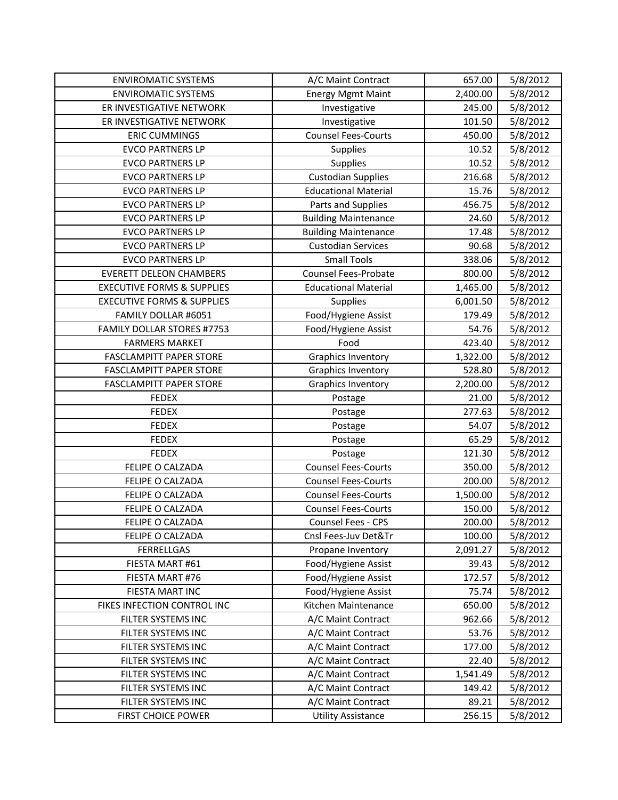| <b>ENVIROMATIC SYSTEMS</b>            | A/C Maint Contract          | 657.00   | 5/8/2012 |
|---------------------------------------|-----------------------------|----------|----------|
| <b>ENVIROMATIC SYSTEMS</b>            | <b>Energy Mgmt Maint</b>    | 2,400.00 | 5/8/2012 |
| ER INVESTIGATIVE NETWORK              | Investigative               | 245.00   | 5/8/2012 |
| ER INVESTIGATIVE NETWORK              | Investigative               | 101.50   | 5/8/2012 |
| <b>ERIC CUMMINGS</b>                  | <b>Counsel Fees-Courts</b>  | 450.00   | 5/8/2012 |
| <b>EVCO PARTNERS LP</b>               | Supplies                    | 10.52    | 5/8/2012 |
| <b>EVCO PARTNERS LP</b>               | Supplies                    | 10.52    | 5/8/2012 |
| <b>EVCO PARTNERS LP</b>               | <b>Custodian Supplies</b>   | 216.68   | 5/8/2012 |
| <b>EVCO PARTNERS LP</b>               | <b>Educational Material</b> | 15.76    | 5/8/2012 |
| <b>EVCO PARTNERS LP</b>               | Parts and Supplies          | 456.75   | 5/8/2012 |
| <b>EVCO PARTNERS LP</b>               | <b>Building Maintenance</b> | 24.60    | 5/8/2012 |
| <b>EVCO PARTNERS LP</b>               | <b>Building Maintenance</b> | 17.48    | 5/8/2012 |
| <b>EVCO PARTNERS LP</b>               | <b>Custodian Services</b>   | 90.68    | 5/8/2012 |
| <b>EVCO PARTNERS LP</b>               | <b>Small Tools</b>          | 338.06   | 5/8/2012 |
| <b>EVERETT DELEON CHAMBERS</b>        | <b>Counsel Fees-Probate</b> | 800.00   | 5/8/2012 |
| <b>EXECUTIVE FORMS &amp; SUPPLIES</b> | <b>Educational Material</b> | 1,465.00 | 5/8/2012 |
| <b>EXECUTIVE FORMS &amp; SUPPLIES</b> | Supplies                    | 6,001.50 | 5/8/2012 |
| FAMILY DOLLAR #6051                   | Food/Hygiene Assist         | 179.49   | 5/8/2012 |
| FAMILY DOLLAR STORES #7753            | Food/Hygiene Assist         | 54.76    | 5/8/2012 |
| <b>FARMERS MARKET</b>                 | Food                        | 423.40   | 5/8/2012 |
| <b>FASCLAMPITT PAPER STORE</b>        | <b>Graphics Inventory</b>   | 1,322.00 | 5/8/2012 |
| <b>FASCLAMPITT PAPER STORE</b>        | <b>Graphics Inventory</b>   | 528.80   | 5/8/2012 |
| <b>FASCLAMPITT PAPER STORE</b>        | <b>Graphics Inventory</b>   | 2,200.00 | 5/8/2012 |
| <b>FEDEX</b>                          | Postage                     | 21.00    | 5/8/2012 |
| <b>FEDEX</b>                          | Postage                     | 277.63   | 5/8/2012 |
| <b>FEDEX</b>                          | Postage                     | 54.07    | 5/8/2012 |
| <b>FEDEX</b>                          | Postage                     | 65.29    | 5/8/2012 |
| <b>FEDEX</b>                          | Postage                     | 121.30   | 5/8/2012 |
| FELIPE O CALZADA                      | <b>Counsel Fees-Courts</b>  | 350.00   | 5/8/2012 |
| FELIPE O CALZADA                      | <b>Counsel Fees-Courts</b>  | 200.00   | 5/8/2012 |
| FELIPE O CALZADA                      | <b>Counsel Fees-Courts</b>  | 1,500.00 | 5/8/2012 |
| FELIPE O CALZADA                      | <b>Counsel Fees-Courts</b>  | 150.00   | 5/8/2012 |
| FELIPE O CALZADA                      | Counsel Fees - CPS          | 200.00   | 5/8/2012 |
| FELIPE O CALZADA                      | Cnsl Fees-Juv Det&Tr        | 100.00   | 5/8/2012 |
| <b>FERRELLGAS</b>                     | Propane Inventory           | 2,091.27 | 5/8/2012 |
| FIESTA MART #61                       | Food/Hygiene Assist         | 39.43    | 5/8/2012 |
| FIESTA MART #76                       | Food/Hygiene Assist         | 172.57   | 5/8/2012 |
| FIESTA MART INC                       | Food/Hygiene Assist         | 75.74    | 5/8/2012 |
| FIKES INFECTION CONTROL INC           | Kitchen Maintenance         | 650.00   | 5/8/2012 |
| FILTER SYSTEMS INC                    | A/C Maint Contract          | 962.66   | 5/8/2012 |
| FILTER SYSTEMS INC                    | A/C Maint Contract          | 53.76    | 5/8/2012 |
| FILTER SYSTEMS INC                    | A/C Maint Contract          | 177.00   | 5/8/2012 |
| FILTER SYSTEMS INC                    | A/C Maint Contract          | 22.40    | 5/8/2012 |
| FILTER SYSTEMS INC                    | A/C Maint Contract          | 1,541.49 | 5/8/2012 |
| FILTER SYSTEMS INC                    | A/C Maint Contract          | 149.42   | 5/8/2012 |
| FILTER SYSTEMS INC                    | A/C Maint Contract          | 89.21    | 5/8/2012 |
| FIRST CHOICE POWER                    | <b>Utility Assistance</b>   | 256.15   | 5/8/2012 |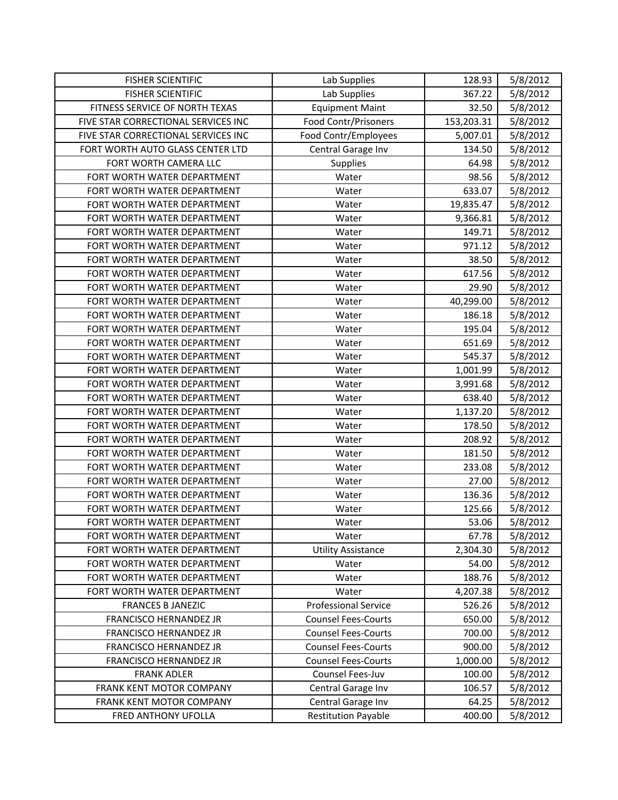| <b>FISHER SCIENTIFIC</b>            | Lab Supplies                | 128.93     | 5/8/2012 |
|-------------------------------------|-----------------------------|------------|----------|
| <b>FISHER SCIENTIFIC</b>            | Lab Supplies                | 367.22     | 5/8/2012 |
| FITNESS SERVICE OF NORTH TEXAS      | <b>Equipment Maint</b>      | 32.50      | 5/8/2012 |
| FIVE STAR CORRECTIONAL SERVICES INC | Food Contr/Prisoners        | 153,203.31 | 5/8/2012 |
| FIVE STAR CORRECTIONAL SERVICES INC | Food Contr/Employees        | 5,007.01   | 5/8/2012 |
| FORT WORTH AUTO GLASS CENTER LTD    | Central Garage Inv          | 134.50     | 5/8/2012 |
| FORT WORTH CAMERA LLC               | <b>Supplies</b>             | 64.98      | 5/8/2012 |
| FORT WORTH WATER DEPARTMENT         | Water                       | 98.56      | 5/8/2012 |
| FORT WORTH WATER DEPARTMENT         | Water                       | 633.07     | 5/8/2012 |
| FORT WORTH WATER DEPARTMENT         | Water                       | 19,835.47  | 5/8/2012 |
| FORT WORTH WATER DEPARTMENT         | Water                       | 9,366.81   | 5/8/2012 |
| FORT WORTH WATER DEPARTMENT         | Water                       | 149.71     | 5/8/2012 |
| FORT WORTH WATER DEPARTMENT         | Water                       | 971.12     | 5/8/2012 |
| FORT WORTH WATER DEPARTMENT         | Water                       | 38.50      | 5/8/2012 |
| FORT WORTH WATER DEPARTMENT         | Water                       | 617.56     | 5/8/2012 |
| FORT WORTH WATER DEPARTMENT         | Water                       | 29.90      | 5/8/2012 |
| FORT WORTH WATER DEPARTMENT         | Water                       | 40,299.00  | 5/8/2012 |
| FORT WORTH WATER DEPARTMENT         | Water                       | 186.18     | 5/8/2012 |
| FORT WORTH WATER DEPARTMENT         | Water                       | 195.04     | 5/8/2012 |
| FORT WORTH WATER DEPARTMENT         | Water                       | 651.69     | 5/8/2012 |
| FORT WORTH WATER DEPARTMENT         | Water                       | 545.37     | 5/8/2012 |
| FORT WORTH WATER DEPARTMENT         | Water                       | 1,001.99   | 5/8/2012 |
| FORT WORTH WATER DEPARTMENT         | Water                       | 3,991.68   | 5/8/2012 |
| FORT WORTH WATER DEPARTMENT         | Water                       | 638.40     | 5/8/2012 |
| FORT WORTH WATER DEPARTMENT         | Water                       | 1,137.20   | 5/8/2012 |
| FORT WORTH WATER DEPARTMENT         | Water                       | 178.50     | 5/8/2012 |
| FORT WORTH WATER DEPARTMENT         | Water                       | 208.92     | 5/8/2012 |
| FORT WORTH WATER DEPARTMENT         | Water                       | 181.50     | 5/8/2012 |
| FORT WORTH WATER DEPARTMENT         | Water                       | 233.08     | 5/8/2012 |
| FORT WORTH WATER DEPARTMENT         | Water                       | 27.00      | 5/8/2012 |
| FORT WORTH WATER DEPARTMENT         | Water                       | 136.36     | 5/8/2012 |
| FORT WORTH WATER DEPARTMENT         | Water                       | 125.66     | 5/8/2012 |
| FORT WORTH WATER DEPARTMENT         | Water                       | 53.06      | 5/8/2012 |
| FORT WORTH WATER DEPARTMENT         | Water                       | 67.78      | 5/8/2012 |
| FORT WORTH WATER DEPARTMENT         | <b>Utility Assistance</b>   | 2,304.30   | 5/8/2012 |
| FORT WORTH WATER DEPARTMENT         | Water                       | 54.00      | 5/8/2012 |
| FORT WORTH WATER DEPARTMENT         | Water                       | 188.76     | 5/8/2012 |
| FORT WORTH WATER DEPARTMENT         | Water                       | 4,207.38   | 5/8/2012 |
| <b>FRANCES B JANEZIC</b>            | <b>Professional Service</b> | 526.26     | 5/8/2012 |
| FRANCISCO HERNANDEZ JR              | <b>Counsel Fees-Courts</b>  | 650.00     | 5/8/2012 |
| FRANCISCO HERNANDEZ JR              | <b>Counsel Fees-Courts</b>  | 700.00     | 5/8/2012 |
| FRANCISCO HERNANDEZ JR              | <b>Counsel Fees-Courts</b>  | 900.00     | 5/8/2012 |
| FRANCISCO HERNANDEZ JR              | <b>Counsel Fees-Courts</b>  | 1,000.00   | 5/8/2012 |
| <b>FRANK ADLER</b>                  | Counsel Fees-Juv            | 100.00     | 5/8/2012 |
| FRANK KENT MOTOR COMPANY            | Central Garage Inv          | 106.57     | 5/8/2012 |
| FRANK KENT MOTOR COMPANY            | Central Garage Inv          | 64.25      | 5/8/2012 |
| FRED ANTHONY UFOLLA                 | <b>Restitution Payable</b>  | 400.00     | 5/8/2012 |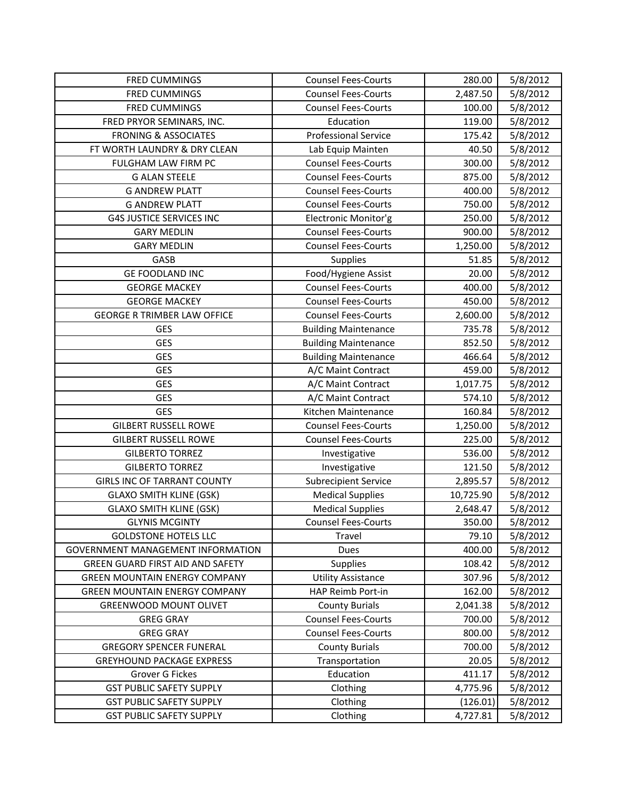| <b>FRED CUMMINGS</b>                    | <b>Counsel Fees-Courts</b>  | 280.00    | 5/8/2012 |
|-----------------------------------------|-----------------------------|-----------|----------|
| <b>FRED CUMMINGS</b>                    | <b>Counsel Fees-Courts</b>  | 2,487.50  | 5/8/2012 |
| <b>FRED CUMMINGS</b>                    | <b>Counsel Fees-Courts</b>  | 100.00    | 5/8/2012 |
| FRED PRYOR SEMINARS, INC.               | Education                   | 119.00    | 5/8/2012 |
| <b>FRONING &amp; ASSOCIATES</b>         | <b>Professional Service</b> | 175.42    | 5/8/2012 |
| FT WORTH LAUNDRY & DRY CLEAN            | Lab Equip Mainten           | 40.50     | 5/8/2012 |
| FULGHAM LAW FIRM PC                     | <b>Counsel Fees-Courts</b>  | 300.00    | 5/8/2012 |
| <b>G ALAN STEELE</b>                    | <b>Counsel Fees-Courts</b>  | 875.00    | 5/8/2012 |
| <b>G ANDREW PLATT</b>                   | <b>Counsel Fees-Courts</b>  | 400.00    | 5/8/2012 |
| <b>G ANDREW PLATT</b>                   | <b>Counsel Fees-Courts</b>  | 750.00    | 5/8/2012 |
| <b>G4S JUSTICE SERVICES INC</b>         | Electronic Monitor'g        | 250.00    | 5/8/2012 |
| <b>GARY MEDLIN</b>                      | <b>Counsel Fees-Courts</b>  | 900.00    | 5/8/2012 |
| <b>GARY MEDLIN</b>                      | <b>Counsel Fees-Courts</b>  | 1,250.00  | 5/8/2012 |
| GASB                                    | Supplies                    | 51.85     | 5/8/2012 |
| <b>GE FOODLAND INC</b>                  | Food/Hygiene Assist         | 20.00     | 5/8/2012 |
| <b>GEORGE MACKEY</b>                    | <b>Counsel Fees-Courts</b>  | 400.00    | 5/8/2012 |
| <b>GEORGE MACKEY</b>                    | <b>Counsel Fees-Courts</b>  | 450.00    | 5/8/2012 |
| <b>GEORGE R TRIMBER LAW OFFICE</b>      | <b>Counsel Fees-Courts</b>  | 2,600.00  | 5/8/2012 |
| <b>GES</b>                              | <b>Building Maintenance</b> | 735.78    | 5/8/2012 |
| <b>GES</b>                              | <b>Building Maintenance</b> | 852.50    | 5/8/2012 |
| <b>GES</b>                              | <b>Building Maintenance</b> | 466.64    | 5/8/2012 |
| <b>GES</b>                              | A/C Maint Contract          | 459.00    | 5/8/2012 |
| <b>GES</b>                              | A/C Maint Contract          | 1,017.75  | 5/8/2012 |
| <b>GES</b>                              | A/C Maint Contract          | 574.10    | 5/8/2012 |
| <b>GES</b>                              | Kitchen Maintenance         | 160.84    | 5/8/2012 |
| <b>GILBERT RUSSELL ROWE</b>             | <b>Counsel Fees-Courts</b>  | 1,250.00  | 5/8/2012 |
| <b>GILBERT RUSSELL ROWE</b>             | <b>Counsel Fees-Courts</b>  | 225.00    | 5/8/2012 |
| <b>GILBERTO TORREZ</b>                  | Investigative               | 536.00    | 5/8/2012 |
| <b>GILBERTO TORREZ</b>                  | Investigative               | 121.50    | 5/8/2012 |
| <b>GIRLS INC OF TARRANT COUNTY</b>      | <b>Subrecipient Service</b> | 2,895.57  | 5/8/2012 |
| <b>GLAXO SMITH KLINE (GSK)</b>          | <b>Medical Supplies</b>     | 10,725.90 | 5/8/2012 |
| <b>GLAXO SMITH KLINE (GSK)</b>          | <b>Medical Supplies</b>     | 2,648.47  | 5/8/2012 |
| <b>GLYNIS MCGINTY</b>                   | <b>Counsel Fees-Courts</b>  | 350.00    | 5/8/2012 |
| <b>GOLDSTONE HOTELS LLC</b>             | Travel                      | 79.10     | 5/8/2012 |
| GOVERNMENT MANAGEMENT INFORMATION       | Dues                        | 400.00    | 5/8/2012 |
| <b>GREEN GUARD FIRST AID AND SAFETY</b> | <b>Supplies</b>             | 108.42    | 5/8/2012 |
| <b>GREEN MOUNTAIN ENERGY COMPANY</b>    | <b>Utility Assistance</b>   | 307.96    | 5/8/2012 |
| <b>GREEN MOUNTAIN ENERGY COMPANY</b>    | HAP Reimb Port-in           | 162.00    | 5/8/2012 |
| <b>GREENWOOD MOUNT OLIVET</b>           | <b>County Burials</b>       | 2,041.38  | 5/8/2012 |
| <b>GREG GRAY</b>                        | <b>Counsel Fees-Courts</b>  | 700.00    | 5/8/2012 |
| <b>GREG GRAY</b>                        | <b>Counsel Fees-Courts</b>  | 800.00    | 5/8/2012 |
| <b>GREGORY SPENCER FUNERAL</b>          | <b>County Burials</b>       | 700.00    | 5/8/2012 |
| <b>GREYHOUND PACKAGE EXPRESS</b>        | Transportation              | 20.05     | 5/8/2012 |
| Grover G Fickes                         | Education                   | 411.17    | 5/8/2012 |
| <b>GST PUBLIC SAFETY SUPPLY</b>         | Clothing                    | 4,775.96  | 5/8/2012 |
| <b>GST PUBLIC SAFETY SUPPLY</b>         | Clothing                    | (126.01)  | 5/8/2012 |
| <b>GST PUBLIC SAFETY SUPPLY</b>         | Clothing                    | 4,727.81  | 5/8/2012 |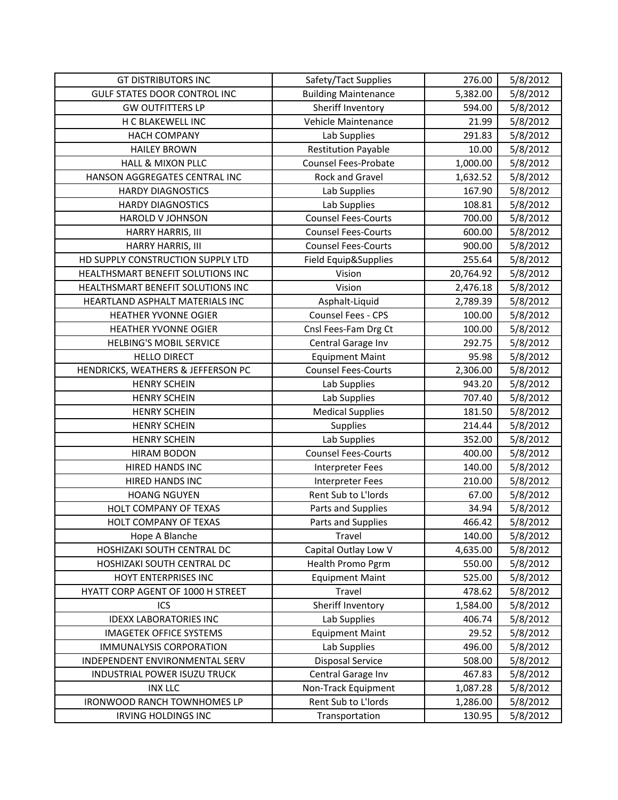| <b>GT DISTRIBUTORS INC</b>          | Safety/Tact Supplies        | 276.00    | 5/8/2012 |
|-------------------------------------|-----------------------------|-----------|----------|
| <b>GULF STATES DOOR CONTROL INC</b> | <b>Building Maintenance</b> | 5,382.00  | 5/8/2012 |
| <b>GW OUTFITTERS LP</b>             | Sheriff Inventory           | 594.00    | 5/8/2012 |
| H C BLAKEWELL INC                   | Vehicle Maintenance         | 21.99     | 5/8/2012 |
| <b>HACH COMPANY</b>                 | Lab Supplies                | 291.83    | 5/8/2012 |
| <b>HAILEY BROWN</b>                 | <b>Restitution Payable</b>  | 10.00     | 5/8/2012 |
| <b>HALL &amp; MIXON PLLC</b>        | <b>Counsel Fees-Probate</b> | 1,000.00  | 5/8/2012 |
| HANSON AGGREGATES CENTRAL INC       | Rock and Gravel             | 1,632.52  | 5/8/2012 |
| <b>HARDY DIAGNOSTICS</b>            | Lab Supplies                | 167.90    | 5/8/2012 |
| <b>HARDY DIAGNOSTICS</b>            | Lab Supplies                | 108.81    | 5/8/2012 |
| HAROLD V JOHNSON                    | <b>Counsel Fees-Courts</b>  | 700.00    | 5/8/2012 |
| HARRY HARRIS, III                   | <b>Counsel Fees-Courts</b>  | 600.00    | 5/8/2012 |
| HARRY HARRIS, III                   | <b>Counsel Fees-Courts</b>  | 900.00    | 5/8/2012 |
| HD SUPPLY CONSTRUCTION SUPPLY LTD   | Field Equip&Supplies        | 255.64    | 5/8/2012 |
| HEALTHSMART BENEFIT SOLUTIONS INC   | Vision                      | 20,764.92 | 5/8/2012 |
| HEALTHSMART BENEFIT SOLUTIONS INC   | Vision                      | 2,476.18  | 5/8/2012 |
| HEARTLAND ASPHALT MATERIALS INC     | Asphalt-Liquid              | 2,789.39  | 5/8/2012 |
| HEATHER YVONNE OGIER                | Counsel Fees - CPS          | 100.00    | 5/8/2012 |
| <b>HEATHER YVONNE OGIER</b>         | Cnsl Fees-Fam Drg Ct        | 100.00    | 5/8/2012 |
| <b>HELBING'S MOBIL SERVICE</b>      | Central Garage Inv          | 292.75    | 5/8/2012 |
| <b>HELLO DIRECT</b>                 | <b>Equipment Maint</b>      | 95.98     | 5/8/2012 |
| HENDRICKS, WEATHERS & JEFFERSON PC  | <b>Counsel Fees-Courts</b>  | 2,306.00  | 5/8/2012 |
| <b>HENRY SCHEIN</b>                 | Lab Supplies                | 943.20    | 5/8/2012 |
| <b>HENRY SCHEIN</b>                 | Lab Supplies                | 707.40    | 5/8/2012 |
| <b>HENRY SCHEIN</b>                 | <b>Medical Supplies</b>     | 181.50    | 5/8/2012 |
| <b>HENRY SCHEIN</b>                 | Supplies                    | 214.44    | 5/8/2012 |
| <b>HENRY SCHEIN</b>                 | Lab Supplies                | 352.00    | 5/8/2012 |
| <b>HIRAM BODON</b>                  | <b>Counsel Fees-Courts</b>  | 400.00    | 5/8/2012 |
| <b>HIRED HANDS INC</b>              | Interpreter Fees            | 140.00    | 5/8/2012 |
| HIRED HANDS INC                     | <b>Interpreter Fees</b>     | 210.00    | 5/8/2012 |
| <b>HOANG NGUYEN</b>                 | Rent Sub to L'Iords         | 67.00     | 5/8/2012 |
| HOLT COMPANY OF TEXAS               | Parts and Supplies          | 34.94     | 5/8/2012 |
| HOLT COMPANY OF TEXAS               | Parts and Supplies          | 466.42    | 5/8/2012 |
| Hope A Blanche                      | Travel                      | 140.00    | 5/8/2012 |
| HOSHIZAKI SOUTH CENTRAL DC          | Capital Outlay Low V        | 4,635.00  | 5/8/2012 |
| HOSHIZAKI SOUTH CENTRAL DC          | Health Promo Pgrm           | 550.00    | 5/8/2012 |
| HOYT ENTERPRISES INC                | <b>Equipment Maint</b>      | 525.00    | 5/8/2012 |
| HYATT CORP AGENT OF 1000 H STREET   | Travel                      | 478.62    | 5/8/2012 |
| ICS                                 | Sheriff Inventory           | 1,584.00  | 5/8/2012 |
| <b>IDEXX LABORATORIES INC</b>       | Lab Supplies                | 406.74    | 5/8/2012 |
| <b>IMAGETEK OFFICE SYSTEMS</b>      | <b>Equipment Maint</b>      | 29.52     | 5/8/2012 |
| <b>IMMUNALYSIS CORPORATION</b>      | Lab Supplies                | 496.00    | 5/8/2012 |
| INDEPENDENT ENVIRONMENTAL SERV      | <b>Disposal Service</b>     | 508.00    | 5/8/2012 |
| INDUSTRIAL POWER ISUZU TRUCK        | Central Garage Inv          | 467.83    | 5/8/2012 |
| <b>INX LLC</b>                      | Non-Track Equipment         | 1,087.28  | 5/8/2012 |
| <b>IRONWOOD RANCH TOWNHOMES LP</b>  | Rent Sub to L'Iords         | 1,286.00  | 5/8/2012 |
| <b>IRVING HOLDINGS INC</b>          | Transportation              | 130.95    | 5/8/2012 |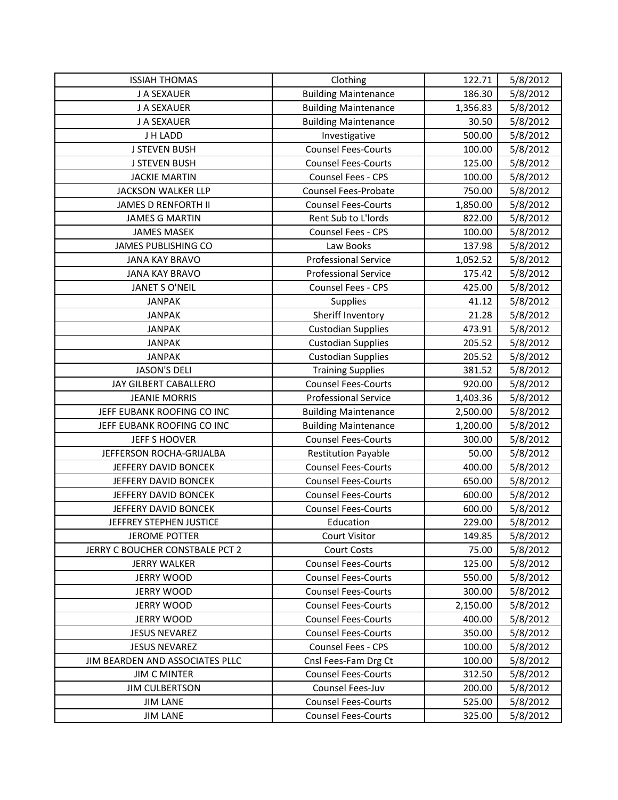| <b>ISSIAH THOMAS</b>            | Clothing                    | 122.71   | 5/8/2012 |
|---------------------------------|-----------------------------|----------|----------|
| J A SEXAUER                     | <b>Building Maintenance</b> | 186.30   | 5/8/2012 |
| J A SEXAUER                     | <b>Building Maintenance</b> | 1,356.83 | 5/8/2012 |
| J A SEXAUER                     | <b>Building Maintenance</b> | 30.50    | 5/8/2012 |
| J H LADD                        | Investigative               | 500.00   | 5/8/2012 |
| <b>J STEVEN BUSH</b>            | <b>Counsel Fees-Courts</b>  | 100.00   | 5/8/2012 |
| <b>J STEVEN BUSH</b>            | <b>Counsel Fees-Courts</b>  | 125.00   | 5/8/2012 |
| <b>JACKIE MARTIN</b>            | Counsel Fees - CPS          | 100.00   | 5/8/2012 |
| <b>JACKSON WALKER LLP</b>       | <b>Counsel Fees-Probate</b> | 750.00   | 5/8/2012 |
| <b>JAMES D RENFORTH II</b>      | <b>Counsel Fees-Courts</b>  | 1,850.00 | 5/8/2012 |
| <b>JAMES G MARTIN</b>           | Rent Sub to L'Iords         | 822.00   | 5/8/2012 |
| <b>JAMES MASEK</b>              | Counsel Fees - CPS          | 100.00   | 5/8/2012 |
| <b>JAMES PUBLISHING CO</b>      | Law Books                   | 137.98   | 5/8/2012 |
| <b>JANA KAY BRAVO</b>           | <b>Professional Service</b> | 1,052.52 | 5/8/2012 |
| <b>JANA KAY BRAVO</b>           | <b>Professional Service</b> | 175.42   | 5/8/2012 |
| <b>JANET S O'NEIL</b>           | Counsel Fees - CPS          | 425.00   | 5/8/2012 |
| <b>JANPAK</b>                   | Supplies                    | 41.12    | 5/8/2012 |
| <b>JANPAK</b>                   | Sheriff Inventory           | 21.28    | 5/8/2012 |
| <b>JANPAK</b>                   | <b>Custodian Supplies</b>   | 473.91   | 5/8/2012 |
| <b>JANPAK</b>                   | <b>Custodian Supplies</b>   | 205.52   | 5/8/2012 |
| <b>JANPAK</b>                   | <b>Custodian Supplies</b>   | 205.52   | 5/8/2012 |
| <b>JASON'S DELI</b>             | <b>Training Supplies</b>    | 381.52   | 5/8/2012 |
| JAY GILBERT CABALLERO           | <b>Counsel Fees-Courts</b>  | 920.00   | 5/8/2012 |
| <b>JEANIE MORRIS</b>            | <b>Professional Service</b> | 1,403.36 | 5/8/2012 |
| JEFF EUBANK ROOFING CO INC      | <b>Building Maintenance</b> | 2,500.00 | 5/8/2012 |
| JEFF EUBANK ROOFING CO INC      | <b>Building Maintenance</b> | 1,200.00 | 5/8/2012 |
| <b>JEFF S HOOVER</b>            | <b>Counsel Fees-Courts</b>  | 300.00   | 5/8/2012 |
| JEFFERSON ROCHA-GRIJALBA        | <b>Restitution Payable</b>  | 50.00    | 5/8/2012 |
| JEFFERY DAVID BONCEK            | <b>Counsel Fees-Courts</b>  | 400.00   | 5/8/2012 |
| JEFFERY DAVID BONCEK            | <b>Counsel Fees-Courts</b>  | 650.00   | 5/8/2012 |
| JEFFERY DAVID BONCEK            | <b>Counsel Fees-Courts</b>  | 600.00   | 5/8/2012 |
| JEFFERY DAVID BONCEK            | <b>Counsel Fees-Courts</b>  | 600.00   | 5/8/2012 |
| JEFFREY STEPHEN JUSTICE         | Education                   | 229.00   | 5/8/2012 |
| <b>JEROME POTTER</b>            | <b>Court Visitor</b>        | 149.85   | 5/8/2012 |
| JERRY C BOUCHER CONSTBALE PCT 2 | <b>Court Costs</b>          | 75.00    | 5/8/2012 |
| <b>JERRY WALKER</b>             | <b>Counsel Fees-Courts</b>  | 125.00   | 5/8/2012 |
| <b>JERRY WOOD</b>               | <b>Counsel Fees-Courts</b>  | 550.00   | 5/8/2012 |
| <b>JERRY WOOD</b>               | <b>Counsel Fees-Courts</b>  | 300.00   | 5/8/2012 |
| <b>JERRY WOOD</b>               | <b>Counsel Fees-Courts</b>  | 2,150.00 | 5/8/2012 |
| <b>JERRY WOOD</b>               | <b>Counsel Fees-Courts</b>  | 400.00   | 5/8/2012 |
| <b>JESUS NEVAREZ</b>            | <b>Counsel Fees-Courts</b>  | 350.00   | 5/8/2012 |
| <b>JESUS NEVAREZ</b>            | Counsel Fees - CPS          | 100.00   | 5/8/2012 |
| JIM BEARDEN AND ASSOCIATES PLLC | Cnsl Fees-Fam Drg Ct        | 100.00   | 5/8/2012 |
| <b>JIM C MINTER</b>             | <b>Counsel Fees-Courts</b>  | 312.50   | 5/8/2012 |
| <b>JIM CULBERTSON</b>           | Counsel Fees-Juv            | 200.00   | 5/8/2012 |
| <b>JIM LANE</b>                 | <b>Counsel Fees-Courts</b>  | 525.00   | 5/8/2012 |
| <b>JIM LANE</b>                 | <b>Counsel Fees-Courts</b>  | 325.00   | 5/8/2012 |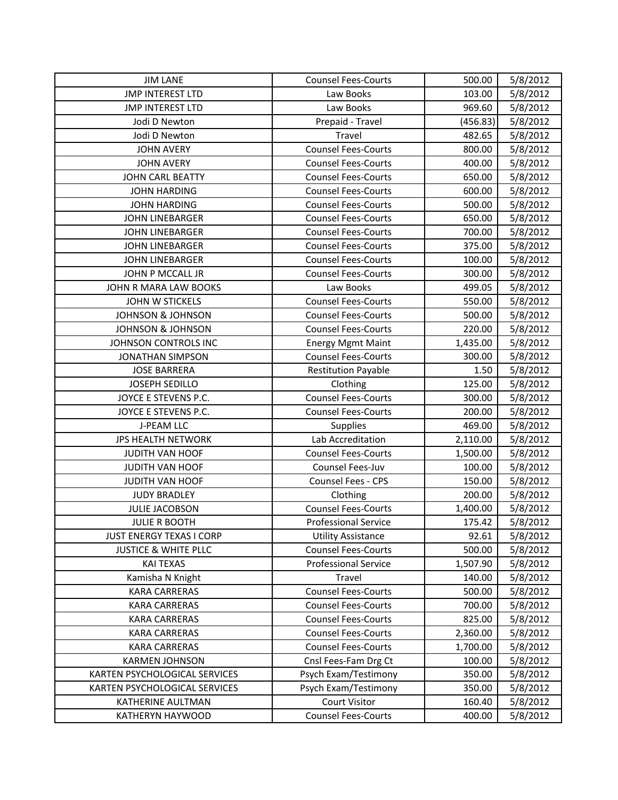| <b>JIM LANE</b>                 | <b>Counsel Fees-Courts</b>  | 500.00   | 5/8/2012 |
|---------------------------------|-----------------------------|----------|----------|
| <b>JMP INTEREST LTD</b>         | Law Books                   | 103.00   | 5/8/2012 |
| <b>JMP INTEREST LTD</b>         | Law Books                   | 969.60   | 5/8/2012 |
| Jodi D Newton                   | Prepaid - Travel            | (456.83) | 5/8/2012 |
| Jodi D Newton                   | Travel                      | 482.65   | 5/8/2012 |
| <b>JOHN AVERY</b>               | <b>Counsel Fees-Courts</b>  | 800.00   | 5/8/2012 |
| <b>JOHN AVERY</b>               | <b>Counsel Fees-Courts</b>  | 400.00   | 5/8/2012 |
| <b>JOHN CARL BEATTY</b>         | <b>Counsel Fees-Courts</b>  | 650.00   | 5/8/2012 |
| <b>JOHN HARDING</b>             | <b>Counsel Fees-Courts</b>  | 600.00   | 5/8/2012 |
| <b>JOHN HARDING</b>             | <b>Counsel Fees-Courts</b>  | 500.00   | 5/8/2012 |
| <b>JOHN LINEBARGER</b>          | <b>Counsel Fees-Courts</b>  | 650.00   | 5/8/2012 |
| <b>JOHN LINEBARGER</b>          | <b>Counsel Fees-Courts</b>  | 700.00   | 5/8/2012 |
| <b>JOHN LINEBARGER</b>          | <b>Counsel Fees-Courts</b>  | 375.00   | 5/8/2012 |
| <b>JOHN LINEBARGER</b>          | <b>Counsel Fees-Courts</b>  | 100.00   | 5/8/2012 |
| <b>JOHN P MCCALL JR</b>         | <b>Counsel Fees-Courts</b>  | 300.00   | 5/8/2012 |
| JOHN R MARA LAW BOOKS           | Law Books                   | 499.05   | 5/8/2012 |
| <b>JOHN W STICKELS</b>          | <b>Counsel Fees-Courts</b>  | 550.00   | 5/8/2012 |
| <b>JOHNSON &amp; JOHNSON</b>    | <b>Counsel Fees-Courts</b>  | 500.00   | 5/8/2012 |
| <b>JOHNSON &amp; JOHNSON</b>    | <b>Counsel Fees-Courts</b>  | 220.00   | 5/8/2012 |
| JOHNSON CONTROLS INC            | <b>Energy Mgmt Maint</b>    | 1,435.00 | 5/8/2012 |
| <b>JONATHAN SIMPSON</b>         | <b>Counsel Fees-Courts</b>  | 300.00   | 5/8/2012 |
| <b>JOSE BARRERA</b>             | <b>Restitution Payable</b>  | 1.50     | 5/8/2012 |
| <b>JOSEPH SEDILLO</b>           | Clothing                    | 125.00   | 5/8/2012 |
| JOYCE E STEVENS P.C.            | <b>Counsel Fees-Courts</b>  | 300.00   | 5/8/2012 |
| JOYCE E STEVENS P.C.            | <b>Counsel Fees-Courts</b>  | 200.00   | 5/8/2012 |
| <b>J-PEAM LLC</b>               | Supplies                    | 469.00   | 5/8/2012 |
| <b>JPS HEALTH NETWORK</b>       | Lab Accreditation           | 2,110.00 | 5/8/2012 |
| <b>JUDITH VAN HOOF</b>          | <b>Counsel Fees-Courts</b>  | 1,500.00 | 5/8/2012 |
| <b>JUDITH VAN HOOF</b>          | Counsel Fees-Juv            | 100.00   | 5/8/2012 |
| JUDITH VAN HOOF                 | Counsel Fees - CPS          | 150.00   | 5/8/2012 |
| <b>JUDY BRADLEY</b>             | Clothing                    | 200.00   | 5/8/2012 |
| <b>JULIE JACOBSON</b>           | <b>Counsel Fees-Courts</b>  | 1,400.00 | 5/8/2012 |
| <b>JULIE R BOOTH</b>            | <b>Professional Service</b> | 175.42   | 5/8/2012 |
| <b>JUST ENERGY TEXAS I CORP</b> | <b>Utility Assistance</b>   | 92.61    | 5/8/2012 |
| <b>JUSTICE &amp; WHITE PLLC</b> | <b>Counsel Fees-Courts</b>  | 500.00   | 5/8/2012 |
| <b>KAI TEXAS</b>                | <b>Professional Service</b> | 1,507.90 | 5/8/2012 |
| Kamisha N Knight                | Travel                      | 140.00   | 5/8/2012 |
| <b>KARA CARRERAS</b>            | <b>Counsel Fees-Courts</b>  | 500.00   | 5/8/2012 |
| <b>KARA CARRERAS</b>            | <b>Counsel Fees-Courts</b>  | 700.00   | 5/8/2012 |
| <b>KARA CARRERAS</b>            | <b>Counsel Fees-Courts</b>  | 825.00   | 5/8/2012 |
| <b>KARA CARRERAS</b>            | <b>Counsel Fees-Courts</b>  | 2,360.00 | 5/8/2012 |
| <b>KARA CARRERAS</b>            | <b>Counsel Fees-Courts</b>  | 1,700.00 | 5/8/2012 |
| <b>KARMEN JOHNSON</b>           | Cnsl Fees-Fam Drg Ct        | 100.00   | 5/8/2012 |
| KARTEN PSYCHOLOGICAL SERVICES   | Psych Exam/Testimony        | 350.00   | 5/8/2012 |
| KARTEN PSYCHOLOGICAL SERVICES   | Psych Exam/Testimony        | 350.00   | 5/8/2012 |
| KATHERINE AULTMAN               | <b>Court Visitor</b>        | 160.40   | 5/8/2012 |
| KATHERYN HAYWOOD                | <b>Counsel Fees-Courts</b>  | 400.00   | 5/8/2012 |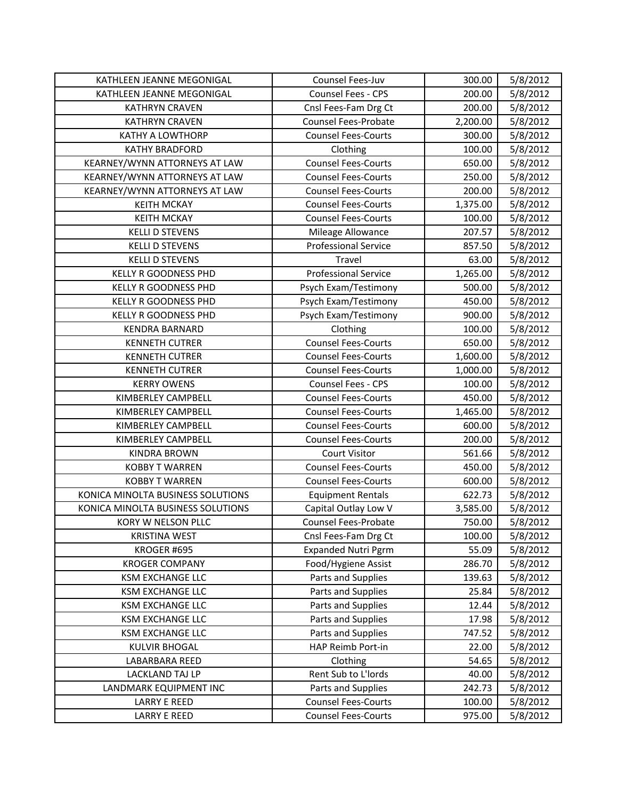| KATHLEEN JEANNE MEGONIGAL         | Counsel Fees-Juv            | 300.00   | 5/8/2012 |
|-----------------------------------|-----------------------------|----------|----------|
| KATHLEEN JEANNE MEGONIGAL         | Counsel Fees - CPS          | 200.00   | 5/8/2012 |
| <b>KATHRYN CRAVEN</b>             | Cnsl Fees-Fam Drg Ct        | 200.00   | 5/8/2012 |
| <b>KATHRYN CRAVEN</b>             | <b>Counsel Fees-Probate</b> | 2,200.00 | 5/8/2012 |
| <b>KATHY A LOWTHORP</b>           | <b>Counsel Fees-Courts</b>  | 300.00   | 5/8/2012 |
| <b>KATHY BRADFORD</b>             | Clothing                    | 100.00   | 5/8/2012 |
| KEARNEY/WYNN ATTORNEYS AT LAW     | <b>Counsel Fees-Courts</b>  | 650.00   | 5/8/2012 |
| KEARNEY/WYNN ATTORNEYS AT LAW     | <b>Counsel Fees-Courts</b>  | 250.00   | 5/8/2012 |
| KEARNEY/WYNN ATTORNEYS AT LAW     | <b>Counsel Fees-Courts</b>  | 200.00   | 5/8/2012 |
| <b>KEITH MCKAY</b>                | <b>Counsel Fees-Courts</b>  | 1,375.00 | 5/8/2012 |
| <b>KEITH MCKAY</b>                | <b>Counsel Fees-Courts</b>  | 100.00   | 5/8/2012 |
| <b>KELLI D STEVENS</b>            | Mileage Allowance           | 207.57   | 5/8/2012 |
| <b>KELLI D STEVENS</b>            | <b>Professional Service</b> | 857.50   | 5/8/2012 |
| <b>KELLI D STEVENS</b>            | Travel                      | 63.00    | 5/8/2012 |
| <b>KELLY R GOODNESS PHD</b>       | <b>Professional Service</b> | 1,265.00 | 5/8/2012 |
| <b>KELLY R GOODNESS PHD</b>       | Psych Exam/Testimony        | 500.00   | 5/8/2012 |
| <b>KELLY R GOODNESS PHD</b>       | Psych Exam/Testimony        | 450.00   | 5/8/2012 |
| <b>KELLY R GOODNESS PHD</b>       | Psych Exam/Testimony        | 900.00   | 5/8/2012 |
| <b>KENDRA BARNARD</b>             | Clothing                    | 100.00   | 5/8/2012 |
| <b>KENNETH CUTRER</b>             | <b>Counsel Fees-Courts</b>  | 650.00   | 5/8/2012 |
| <b>KENNETH CUTRER</b>             | <b>Counsel Fees-Courts</b>  | 1,600.00 | 5/8/2012 |
| <b>KENNETH CUTRER</b>             | <b>Counsel Fees-Courts</b>  | 1,000.00 | 5/8/2012 |
| <b>KERRY OWENS</b>                | Counsel Fees - CPS          | 100.00   | 5/8/2012 |
| KIMBERLEY CAMPBELL                | <b>Counsel Fees-Courts</b>  | 450.00   | 5/8/2012 |
| KIMBERLEY CAMPBELL                | <b>Counsel Fees-Courts</b>  | 1,465.00 | 5/8/2012 |
| KIMBERLEY CAMPBELL                | <b>Counsel Fees-Courts</b>  | 600.00   | 5/8/2012 |
| KIMBERLEY CAMPBELL                | <b>Counsel Fees-Courts</b>  | 200.00   | 5/8/2012 |
| <b>KINDRA BROWN</b>               | <b>Court Visitor</b>        | 561.66   | 5/8/2012 |
| <b>KOBBY T WARREN</b>             | <b>Counsel Fees-Courts</b>  | 450.00   | 5/8/2012 |
| <b>KOBBY T WARREN</b>             | <b>Counsel Fees-Courts</b>  | 600.00   | 5/8/2012 |
| KONICA MINOLTA BUSINESS SOLUTIONS | <b>Equipment Rentals</b>    | 622.73   | 5/8/2012 |
| KONICA MINOLTA BUSINESS SOLUTIONS | Capital Outlay Low V        | 3,585.00 | 5/8/2012 |
| KORY W NELSON PLLC                | Counsel Fees-Probate        | 750.00   | 5/8/2012 |
| <b>KRISTINA WEST</b>              | Cnsl Fees-Fam Drg Ct        | 100.00   | 5/8/2012 |
| KROGER #695                       | <b>Expanded Nutri Pgrm</b>  | 55.09    | 5/8/2012 |
| <b>KROGER COMPANY</b>             | Food/Hygiene Assist         | 286.70   | 5/8/2012 |
| <b>KSM EXCHANGE LLC</b>           | Parts and Supplies          | 139.63   | 5/8/2012 |
| <b>KSM EXCHANGE LLC</b>           | Parts and Supplies          | 25.84    | 5/8/2012 |
| <b>KSM EXCHANGE LLC</b>           | Parts and Supplies          | 12.44    | 5/8/2012 |
| <b>KSM EXCHANGE LLC</b>           | Parts and Supplies          | 17.98    | 5/8/2012 |
| <b>KSM EXCHANGE LLC</b>           | Parts and Supplies          | 747.52   | 5/8/2012 |
| <b>KULVIR BHOGAL</b>              | HAP Reimb Port-in           | 22.00    | 5/8/2012 |
| LABARBARA REED                    | Clothing                    | 54.65    | 5/8/2012 |
| LACKLAND TAJ LP                   | Rent Sub to L'Iords         | 40.00    | 5/8/2012 |
| LANDMARK EQUIPMENT INC            | Parts and Supplies          | 242.73   | 5/8/2012 |
| <b>LARRY E REED</b>               | <b>Counsel Fees-Courts</b>  | 100.00   | 5/8/2012 |
| <b>LARRY E REED</b>               | <b>Counsel Fees-Courts</b>  | 975.00   | 5/8/2012 |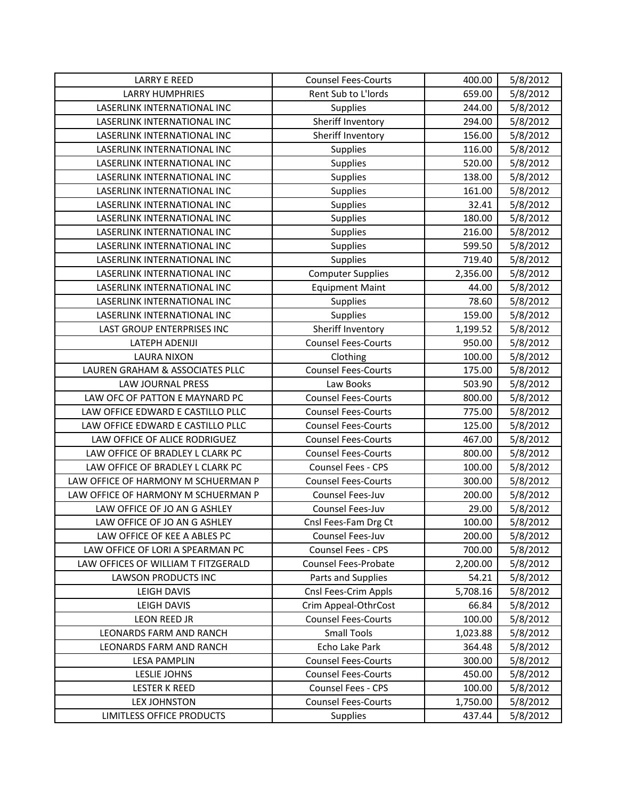| <b>LARRY E REED</b>                 | <b>Counsel Fees-Courts</b> | 400.00   | 5/8/2012 |
|-------------------------------------|----------------------------|----------|----------|
| <b>LARRY HUMPHRIES</b>              | Rent Sub to L'Iords        | 659.00   | 5/8/2012 |
| LASERLINK INTERNATIONAL INC         | Supplies                   | 244.00   | 5/8/2012 |
| LASERLINK INTERNATIONAL INC         | Sheriff Inventory          | 294.00   | 5/8/2012 |
| LASERLINK INTERNATIONAL INC         | Sheriff Inventory          | 156.00   | 5/8/2012 |
| LASERLINK INTERNATIONAL INC         | <b>Supplies</b>            | 116.00   | 5/8/2012 |
| LASERLINK INTERNATIONAL INC         | <b>Supplies</b>            | 520.00   | 5/8/2012 |
| LASERLINK INTERNATIONAL INC         | Supplies                   | 138.00   | 5/8/2012 |
| LASERLINK INTERNATIONAL INC         | <b>Supplies</b>            | 161.00   | 5/8/2012 |
| LASERLINK INTERNATIONAL INC         | Supplies                   | 32.41    | 5/8/2012 |
| LASERLINK INTERNATIONAL INC         | Supplies                   | 180.00   | 5/8/2012 |
| LASERLINK INTERNATIONAL INC         | Supplies                   | 216.00   | 5/8/2012 |
| LASERLINK INTERNATIONAL INC         | <b>Supplies</b>            | 599.50   | 5/8/2012 |
| LASERLINK INTERNATIONAL INC         | <b>Supplies</b>            | 719.40   | 5/8/2012 |
| LASERLINK INTERNATIONAL INC         | <b>Computer Supplies</b>   | 2,356.00 | 5/8/2012 |
| LASERLINK INTERNATIONAL INC         | <b>Equipment Maint</b>     | 44.00    | 5/8/2012 |
| LASERLINK INTERNATIONAL INC         | <b>Supplies</b>            | 78.60    | 5/8/2012 |
| LASERLINK INTERNATIONAL INC         | Supplies                   | 159.00   | 5/8/2012 |
| LAST GROUP ENTERPRISES INC          | Sheriff Inventory          | 1,199.52 | 5/8/2012 |
| <b>LATEPH ADENIJI</b>               | <b>Counsel Fees-Courts</b> | 950.00   | 5/8/2012 |
| <b>LAURA NIXON</b>                  | Clothing                   | 100.00   | 5/8/2012 |
| LAUREN GRAHAM & ASSOCIATES PLLC     | <b>Counsel Fees-Courts</b> | 175.00   | 5/8/2012 |
| <b>LAW JOURNAL PRESS</b>            | Law Books                  | 503.90   | 5/8/2012 |
| LAW OFC OF PATTON E MAYNARD PC      | <b>Counsel Fees-Courts</b> | 800.00   | 5/8/2012 |
| LAW OFFICE EDWARD E CASTILLO PLLC   | <b>Counsel Fees-Courts</b> | 775.00   | 5/8/2012 |
| LAW OFFICE EDWARD E CASTILLO PLLC   | <b>Counsel Fees-Courts</b> | 125.00   | 5/8/2012 |
| LAW OFFICE OF ALICE RODRIGUEZ       | <b>Counsel Fees-Courts</b> | 467.00   | 5/8/2012 |
| LAW OFFICE OF BRADLEY L CLARK PC    | <b>Counsel Fees-Courts</b> | 800.00   | 5/8/2012 |
| LAW OFFICE OF BRADLEY L CLARK PC    | Counsel Fees - CPS         | 100.00   | 5/8/2012 |
| LAW OFFICE OF HARMONY M SCHUERMAN P | <b>Counsel Fees-Courts</b> | 300.00   | 5/8/2012 |
| LAW OFFICE OF HARMONY M SCHUERMAN P | Counsel Fees-Juv           | 200.00   | 5/8/2012 |
| LAW OFFICE OF JO AN G ASHLEY        | Counsel Fees-Juv           | 29.00    | 5/8/2012 |
| LAW OFFICE OF JO AN G ASHLEY        | Cnsl Fees-Fam Drg Ct       | 100.00   | 5/8/2012 |
| LAW OFFICE OF KEE A ABLES PC        | Counsel Fees-Juv           | 200.00   | 5/8/2012 |
| LAW OFFICE OF LORI A SPEARMAN PC    | Counsel Fees - CPS         | 700.00   | 5/8/2012 |
| LAW OFFICES OF WILLIAM T FITZGERALD | Counsel Fees-Probate       | 2,200.00 | 5/8/2012 |
| LAWSON PRODUCTS INC                 | Parts and Supplies         | 54.21    | 5/8/2012 |
| LEIGH DAVIS                         | Cnsl Fees-Crim Appls       | 5,708.16 | 5/8/2012 |
| LEIGH DAVIS                         | Crim Appeal-OthrCost       | 66.84    | 5/8/2012 |
| LEON REED JR                        | <b>Counsel Fees-Courts</b> | 100.00   | 5/8/2012 |
| LEONARDS FARM AND RANCH             | <b>Small Tools</b>         | 1,023.88 | 5/8/2012 |
| LEONARDS FARM AND RANCH             | Echo Lake Park             | 364.48   | 5/8/2012 |
| <b>LESA PAMPLIN</b>                 | <b>Counsel Fees-Courts</b> | 300.00   | 5/8/2012 |
| LESLIE JOHNS                        | <b>Counsel Fees-Courts</b> | 450.00   | 5/8/2012 |
| <b>LESTER K REED</b>                | Counsel Fees - CPS         | 100.00   | 5/8/2012 |
| <b>LEX JOHNSTON</b>                 | <b>Counsel Fees-Courts</b> | 1,750.00 | 5/8/2012 |
| LIMITLESS OFFICE PRODUCTS           | <b>Supplies</b>            | 437.44   | 5/8/2012 |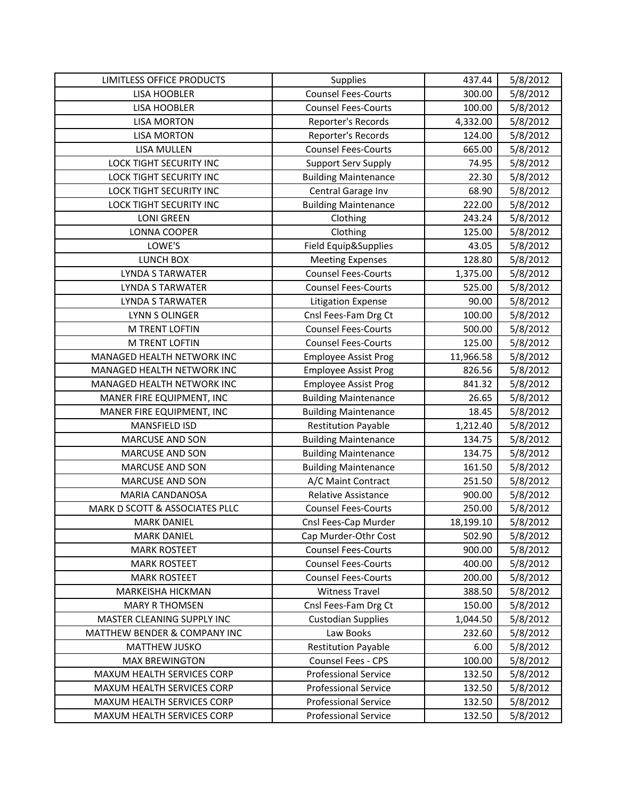| LIMITLESS OFFICE PRODUCTS      | Supplies                    | 437.44    | 5/8/2012 |
|--------------------------------|-----------------------------|-----------|----------|
| <b>LISA HOOBLER</b>            | <b>Counsel Fees-Courts</b>  | 300.00    | 5/8/2012 |
| <b>LISA HOOBLER</b>            | <b>Counsel Fees-Courts</b>  | 100.00    | 5/8/2012 |
| <b>LISA MORTON</b>             | Reporter's Records          | 4,332.00  | 5/8/2012 |
| <b>LISA MORTON</b>             | Reporter's Records          | 124.00    | 5/8/2012 |
| <b>LISA MULLEN</b>             | <b>Counsel Fees-Courts</b>  | 665.00    | 5/8/2012 |
| LOCK TIGHT SECURITY INC        | <b>Support Serv Supply</b>  | 74.95     | 5/8/2012 |
| LOCK TIGHT SECURITY INC        | <b>Building Maintenance</b> | 22.30     | 5/8/2012 |
| <b>LOCK TIGHT SECURITY INC</b> | Central Garage Inv          | 68.90     | 5/8/2012 |
| LOCK TIGHT SECURITY INC        | <b>Building Maintenance</b> | 222.00    | 5/8/2012 |
| <b>LONI GREEN</b>              | Clothing                    | 243.24    | 5/8/2012 |
| LONNA COOPER                   | Clothing                    | 125.00    | 5/8/2012 |
| LOWE'S                         | Field Equip&Supplies        | 43.05     | 5/8/2012 |
| LUNCH BOX                      | <b>Meeting Expenses</b>     | 128.80    | 5/8/2012 |
| LYNDA S TARWATER               | <b>Counsel Fees-Courts</b>  | 1,375.00  | 5/8/2012 |
| <b>LYNDA S TARWATER</b>        | <b>Counsel Fees-Courts</b>  | 525.00    | 5/8/2012 |
| LYNDA S TARWATER               | <b>Litigation Expense</b>   | 90.00     | 5/8/2012 |
| LYNN S OLINGER                 | Cnsl Fees-Fam Drg Ct        | 100.00    | 5/8/2012 |
| M TRENT LOFTIN                 | <b>Counsel Fees-Courts</b>  | 500.00    | 5/8/2012 |
| M TRENT LOFTIN                 | <b>Counsel Fees-Courts</b>  | 125.00    | 5/8/2012 |
| MANAGED HEALTH NETWORK INC     | <b>Employee Assist Prog</b> | 11,966.58 | 5/8/2012 |
| MANAGED HEALTH NETWORK INC     | <b>Employee Assist Prog</b> | 826.56    | 5/8/2012 |
| MANAGED HEALTH NETWORK INC     | <b>Employee Assist Prog</b> | 841.32    | 5/8/2012 |
| MANER FIRE EQUIPMENT, INC      | <b>Building Maintenance</b> | 26.65     | 5/8/2012 |
| MANER FIRE EQUIPMENT, INC      | <b>Building Maintenance</b> | 18.45     | 5/8/2012 |
| <b>MANSFIELD ISD</b>           | <b>Restitution Payable</b>  | 1,212.40  | 5/8/2012 |
| <b>MARCUSE AND SON</b>         | <b>Building Maintenance</b> | 134.75    | 5/8/2012 |
| <b>MARCUSE AND SON</b>         | <b>Building Maintenance</b> | 134.75    | 5/8/2012 |
| <b>MARCUSE AND SON</b>         | <b>Building Maintenance</b> | 161.50    | 5/8/2012 |
| <b>MARCUSE AND SON</b>         | A/C Maint Contract          | 251.50    | 5/8/2012 |
| MARIA CANDANOSA                | Relative Assistance         | 900.00    | 5/8/2012 |
| MARK D SCOTT & ASSOCIATES PLLC | <b>Counsel Fees-Courts</b>  | 250.00    | 5/8/2012 |
| <b>MARK DANIEL</b>             | Cnsl Fees-Cap Murder        | 18,199.10 | 5/8/2012 |
| <b>MARK DANIEL</b>             | Cap Murder-Othr Cost        | 502.90    | 5/8/2012 |
| <b>MARK ROSTEET</b>            | <b>Counsel Fees-Courts</b>  | 900.00    | 5/8/2012 |
| <b>MARK ROSTEET</b>            | <b>Counsel Fees-Courts</b>  | 400.00    | 5/8/2012 |
| <b>MARK ROSTEET</b>            | <b>Counsel Fees-Courts</b>  | 200.00    | 5/8/2012 |
| MARKEISHA HICKMAN              | <b>Witness Travel</b>       | 388.50    | 5/8/2012 |
| <b>MARY R THOMSEN</b>          | Cnsl Fees-Fam Drg Ct        | 150.00    | 5/8/2012 |
| MASTER CLEANING SUPPLY INC     | <b>Custodian Supplies</b>   | 1,044.50  | 5/8/2012 |
| MATTHEW BENDER & COMPANY INC   | Law Books                   | 232.60    | 5/8/2012 |
| MATTHEW JUSKO                  | <b>Restitution Payable</b>  | 6.00      | 5/8/2012 |
| <b>MAX BREWINGTON</b>          | Counsel Fees - CPS          | 100.00    | 5/8/2012 |
| MAXUM HEALTH SERVICES CORP     | <b>Professional Service</b> | 132.50    | 5/8/2012 |
| MAXUM HEALTH SERVICES CORP     | <b>Professional Service</b> | 132.50    | 5/8/2012 |
| MAXUM HEALTH SERVICES CORP     | <b>Professional Service</b> | 132.50    | 5/8/2012 |
| MAXUM HEALTH SERVICES CORP     | <b>Professional Service</b> | 132.50    | 5/8/2012 |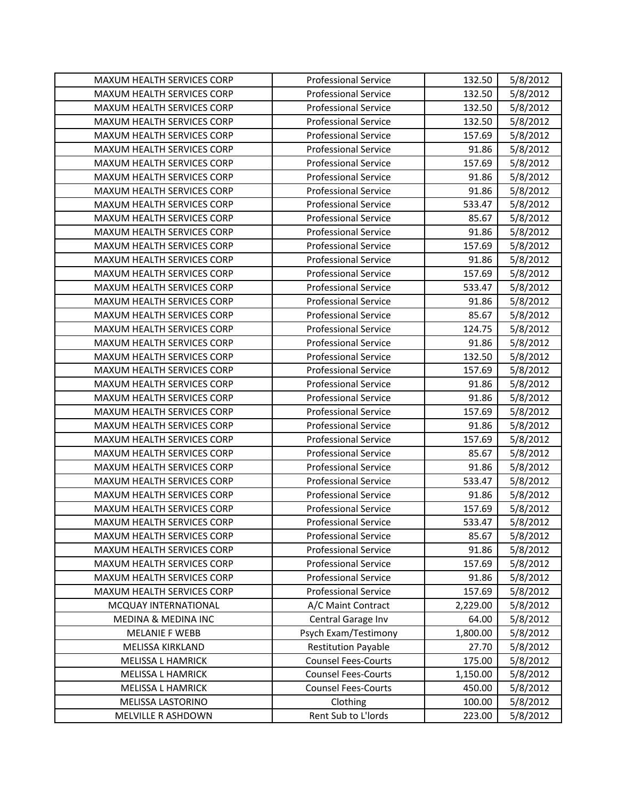| MAXUM HEALTH SERVICES CORP        | <b>Professional Service</b> | 132.50   | 5/8/2012 |
|-----------------------------------|-----------------------------|----------|----------|
| MAXUM HEALTH SERVICES CORP        | <b>Professional Service</b> | 132.50   | 5/8/2012 |
| MAXUM HEALTH SERVICES CORP        | <b>Professional Service</b> | 132.50   | 5/8/2012 |
| MAXUM HEALTH SERVICES CORP        | <b>Professional Service</b> | 132.50   | 5/8/2012 |
| MAXUM HEALTH SERVICES CORP        | <b>Professional Service</b> | 157.69   | 5/8/2012 |
| MAXUM HEALTH SERVICES CORP        | <b>Professional Service</b> | 91.86    | 5/8/2012 |
| MAXUM HEALTH SERVICES CORP        | <b>Professional Service</b> | 157.69   | 5/8/2012 |
| MAXUM HEALTH SERVICES CORP        | <b>Professional Service</b> | 91.86    | 5/8/2012 |
| MAXUM HEALTH SERVICES CORP        | <b>Professional Service</b> | 91.86    | 5/8/2012 |
| MAXUM HEALTH SERVICES CORP        | <b>Professional Service</b> | 533.47   | 5/8/2012 |
| MAXUM HEALTH SERVICES CORP        | <b>Professional Service</b> | 85.67    | 5/8/2012 |
| MAXUM HEALTH SERVICES CORP        | <b>Professional Service</b> | 91.86    | 5/8/2012 |
| MAXUM HEALTH SERVICES CORP        | <b>Professional Service</b> | 157.69   | 5/8/2012 |
| MAXUM HEALTH SERVICES CORP        | <b>Professional Service</b> | 91.86    | 5/8/2012 |
| MAXUM HEALTH SERVICES CORP        | <b>Professional Service</b> | 157.69   | 5/8/2012 |
| MAXUM HEALTH SERVICES CORP        | <b>Professional Service</b> | 533.47   | 5/8/2012 |
| MAXUM HEALTH SERVICES CORP        | <b>Professional Service</b> | 91.86    | 5/8/2012 |
| MAXUM HEALTH SERVICES CORP        | <b>Professional Service</b> | 85.67    | 5/8/2012 |
| MAXUM HEALTH SERVICES CORP        | <b>Professional Service</b> | 124.75   | 5/8/2012 |
| MAXUM HEALTH SERVICES CORP        | <b>Professional Service</b> | 91.86    | 5/8/2012 |
| MAXUM HEALTH SERVICES CORP        | <b>Professional Service</b> | 132.50   | 5/8/2012 |
| MAXUM HEALTH SERVICES CORP        | <b>Professional Service</b> | 157.69   | 5/8/2012 |
| MAXUM HEALTH SERVICES CORP        | <b>Professional Service</b> | 91.86    | 5/8/2012 |
| MAXUM HEALTH SERVICES CORP        | <b>Professional Service</b> | 91.86    | 5/8/2012 |
| MAXUM HEALTH SERVICES CORP        | <b>Professional Service</b> | 157.69   | 5/8/2012 |
| MAXUM HEALTH SERVICES CORP        | <b>Professional Service</b> | 91.86    | 5/8/2012 |
| MAXUM HEALTH SERVICES CORP        | <b>Professional Service</b> | 157.69   | 5/8/2012 |
| MAXUM HEALTH SERVICES CORP        | <b>Professional Service</b> | 85.67    | 5/8/2012 |
| MAXUM HEALTH SERVICES CORP        | <b>Professional Service</b> | 91.86    | 5/8/2012 |
| MAXUM HEALTH SERVICES CORP        | <b>Professional Service</b> | 533.47   | 5/8/2012 |
| MAXUM HEALTH SERVICES CORP        | <b>Professional Service</b> | 91.86    | 5/8/2012 |
| <b>MAXUM HEALTH SERVICES CORP</b> | <b>Professional Service</b> | 157.69   | 5/8/2012 |
| <b>MAXUM HEALTH SERVICES CORP</b> | <b>Professional Service</b> | 533.47   | 5/8/2012 |
| MAXUM HEALTH SERVICES CORP        | <b>Professional Service</b> | 85.67    | 5/8/2012 |
| MAXUM HEALTH SERVICES CORP        | <b>Professional Service</b> | 91.86    | 5/8/2012 |
| MAXUM HEALTH SERVICES CORP        | <b>Professional Service</b> | 157.69   | 5/8/2012 |
| MAXUM HEALTH SERVICES CORP        | <b>Professional Service</b> | 91.86    | 5/8/2012 |
| MAXUM HEALTH SERVICES CORP        | <b>Professional Service</b> | 157.69   | 5/8/2012 |
| MCQUAY INTERNATIONAL              | A/C Maint Contract          | 2,229.00 | 5/8/2012 |
| <b>MEDINA &amp; MEDINA INC</b>    | Central Garage Inv          | 64.00    | 5/8/2012 |
| <b>MELANIE F WEBB</b>             | Psych Exam/Testimony        | 1,800.00 | 5/8/2012 |
| MELISSA KIRKLAND                  | <b>Restitution Payable</b>  | 27.70    | 5/8/2012 |
| MELISSA L HAMRICK                 | <b>Counsel Fees-Courts</b>  | 175.00   | 5/8/2012 |
| <b>MELISSA L HAMRICK</b>          | <b>Counsel Fees-Courts</b>  | 1,150.00 | 5/8/2012 |
| MELISSA L HAMRICK                 | <b>Counsel Fees-Courts</b>  | 450.00   | 5/8/2012 |
| MELISSA LASTORINO                 | Clothing                    | 100.00   | 5/8/2012 |
| MELVILLE R ASHDOWN                | Rent Sub to L'Iords         | 223.00   | 5/8/2012 |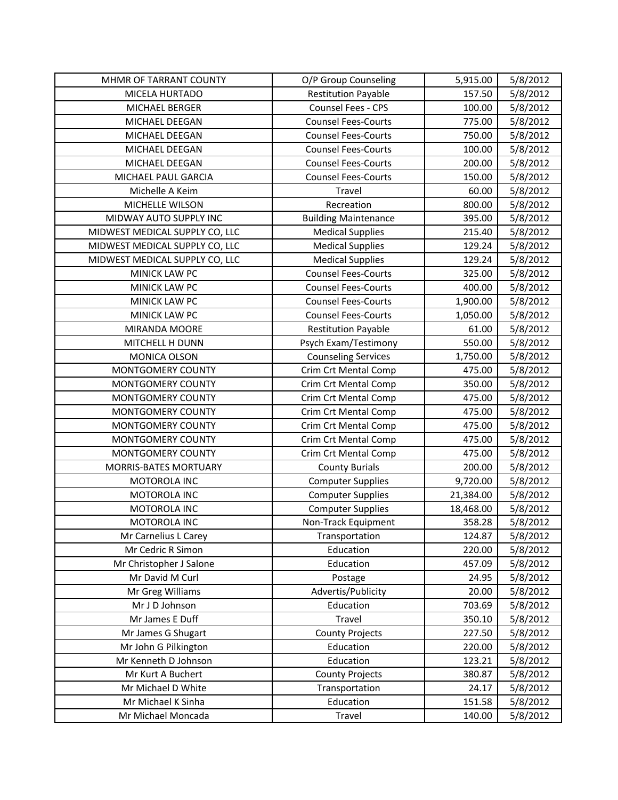| MHMR OF TARRANT COUNTY         | O/P Group Counseling        | 5,915.00  | 5/8/2012 |
|--------------------------------|-----------------------------|-----------|----------|
| MICELA HURTADO                 | <b>Restitution Payable</b>  | 157.50    | 5/8/2012 |
| MICHAEL BERGER                 | Counsel Fees - CPS          | 100.00    | 5/8/2012 |
| MICHAEL DEEGAN                 | <b>Counsel Fees-Courts</b>  | 775.00    | 5/8/2012 |
| MICHAEL DEEGAN                 | <b>Counsel Fees-Courts</b>  | 750.00    | 5/8/2012 |
| MICHAEL DEEGAN                 | <b>Counsel Fees-Courts</b>  | 100.00    | 5/8/2012 |
| MICHAEL DEEGAN                 | <b>Counsel Fees-Courts</b>  | 200.00    | 5/8/2012 |
| MICHAEL PAUL GARCIA            | <b>Counsel Fees-Courts</b>  | 150.00    | 5/8/2012 |
| Michelle A Keim                | Travel                      | 60.00     | 5/8/2012 |
| MICHELLE WILSON                | Recreation                  | 800.00    | 5/8/2012 |
| MIDWAY AUTO SUPPLY INC         | <b>Building Maintenance</b> | 395.00    | 5/8/2012 |
| MIDWEST MEDICAL SUPPLY CO, LLC | <b>Medical Supplies</b>     | 215.40    | 5/8/2012 |
| MIDWEST MEDICAL SUPPLY CO, LLC | <b>Medical Supplies</b>     | 129.24    | 5/8/2012 |
| MIDWEST MEDICAL SUPPLY CO, LLC | <b>Medical Supplies</b>     | 129.24    | 5/8/2012 |
| MINICK LAW PC                  | <b>Counsel Fees-Courts</b>  | 325.00    | 5/8/2012 |
| MINICK LAW PC                  | <b>Counsel Fees-Courts</b>  | 400.00    | 5/8/2012 |
| MINICK LAW PC                  | <b>Counsel Fees-Courts</b>  | 1,900.00  | 5/8/2012 |
| MINICK LAW PC                  | <b>Counsel Fees-Courts</b>  | 1,050.00  | 5/8/2012 |
| MIRANDA MOORE                  | <b>Restitution Payable</b>  | 61.00     | 5/8/2012 |
| MITCHELL H DUNN                | Psych Exam/Testimony        | 550.00    | 5/8/2012 |
| MONICA OLSON                   | <b>Counseling Services</b>  | 1,750.00  | 5/8/2012 |
| MONTGOMERY COUNTY              | Crim Crt Mental Comp        | 475.00    | 5/8/2012 |
| MONTGOMERY COUNTY              | Crim Crt Mental Comp        | 350.00    | 5/8/2012 |
| MONTGOMERY COUNTY              | <b>Crim Crt Mental Comp</b> | 475.00    | 5/8/2012 |
| MONTGOMERY COUNTY              | <b>Crim Crt Mental Comp</b> | 475.00    | 5/8/2012 |
| MONTGOMERY COUNTY              | Crim Crt Mental Comp        | 475.00    | 5/8/2012 |
| MONTGOMERY COUNTY              | Crim Crt Mental Comp        | 475.00    | 5/8/2012 |
| MONTGOMERY COUNTY              | Crim Crt Mental Comp        | 475.00    | 5/8/2012 |
| MORRIS-BATES MORTUARY          | <b>County Burials</b>       | 200.00    | 5/8/2012 |
| MOTOROLA INC                   | <b>Computer Supplies</b>    | 9,720.00  | 5/8/2012 |
| MOTOROLA INC                   | <b>Computer Supplies</b>    | 21,384.00 | 5/8/2012 |
| MOTOROLA INC                   | <b>Computer Supplies</b>    | 18,468.00 | 5/8/2012 |
| MOTOROLA INC                   | Non-Track Equipment         | 358.28    | 5/8/2012 |
| Mr Carnelius L Carey           | Transportation              | 124.87    | 5/8/2012 |
| Mr Cedric R Simon              | Education                   | 220.00    | 5/8/2012 |
| Mr Christopher J Salone        | Education                   | 457.09    | 5/8/2012 |
| Mr David M Curl                | Postage                     | 24.95     | 5/8/2012 |
| Mr Greg Williams               | Advertis/Publicity          | 20.00     | 5/8/2012 |
| Mr J D Johnson                 | Education                   | 703.69    | 5/8/2012 |
| Mr James E Duff                | Travel                      | 350.10    | 5/8/2012 |
| Mr James G Shugart             | <b>County Projects</b>      | 227.50    | 5/8/2012 |
| Mr John G Pilkington           | Education                   | 220.00    | 5/8/2012 |
| Mr Kenneth D Johnson           | Education                   | 123.21    | 5/8/2012 |
| Mr Kurt A Buchert              | <b>County Projects</b>      | 380.87    | 5/8/2012 |
| Mr Michael D White             | Transportation              | 24.17     | 5/8/2012 |
| Mr Michael K Sinha             | Education                   | 151.58    | 5/8/2012 |
| Mr Michael Moncada             | Travel                      | 140.00    | 5/8/2012 |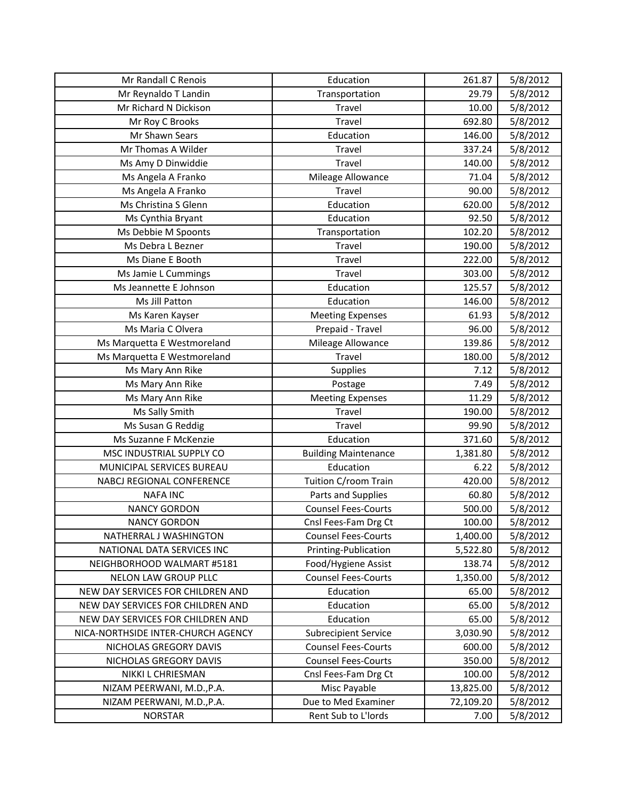| Mr Randall C Renois                | Education                   | 261.87    | 5/8/2012 |
|------------------------------------|-----------------------------|-----------|----------|
| Mr Reynaldo T Landin               | Transportation              | 29.79     | 5/8/2012 |
| Mr Richard N Dickison              | Travel                      | 10.00     | 5/8/2012 |
| Mr Roy C Brooks                    | Travel                      | 692.80    | 5/8/2012 |
| Mr Shawn Sears                     | Education                   | 146.00    | 5/8/2012 |
| Mr Thomas A Wilder                 | Travel                      | 337.24    | 5/8/2012 |
| Ms Amy D Dinwiddie                 | Travel                      | 140.00    | 5/8/2012 |
| Ms Angela A Franko                 | Mileage Allowance           | 71.04     | 5/8/2012 |
| Ms Angela A Franko                 | Travel                      | 90.00     | 5/8/2012 |
| Ms Christina S Glenn               | Education                   | 620.00    | 5/8/2012 |
| Ms Cynthia Bryant                  | Education                   | 92.50     | 5/8/2012 |
| Ms Debbie M Spoonts                | Transportation              | 102.20    | 5/8/2012 |
| Ms Debra L Bezner                  | Travel                      | 190.00    | 5/8/2012 |
| Ms Diane E Booth                   | Travel                      | 222.00    | 5/8/2012 |
| Ms Jamie L Cummings                | Travel                      | 303.00    | 5/8/2012 |
| Ms Jeannette E Johnson             | Education                   | 125.57    | 5/8/2012 |
| Ms Jill Patton                     | Education                   | 146.00    | 5/8/2012 |
| Ms Karen Kayser                    | <b>Meeting Expenses</b>     | 61.93     | 5/8/2012 |
| Ms Maria C Olvera                  | Prepaid - Travel            | 96.00     | 5/8/2012 |
| Ms Marquetta E Westmoreland        | Mileage Allowance           | 139.86    | 5/8/2012 |
| Ms Marquetta E Westmoreland        | Travel                      | 180.00    | 5/8/2012 |
| Ms Mary Ann Rike                   | Supplies                    | 7.12      | 5/8/2012 |
| Ms Mary Ann Rike                   | Postage                     | 7.49      | 5/8/2012 |
| Ms Mary Ann Rike                   | <b>Meeting Expenses</b>     | 11.29     | 5/8/2012 |
| Ms Sally Smith                     | Travel                      | 190.00    | 5/8/2012 |
| Ms Susan G Reddig                  | Travel                      | 99.90     | 5/8/2012 |
| Ms Suzanne F McKenzie              | Education                   | 371.60    | 5/8/2012 |
| MSC INDUSTRIAL SUPPLY CO           | <b>Building Maintenance</b> | 1,381.80  | 5/8/2012 |
| MUNICIPAL SERVICES BUREAU          | Education                   | 6.22      | 5/8/2012 |
| NABCJ REGIONAL CONFERENCE          | Tuition C/room Train        | 420.00    | 5/8/2012 |
| <b>NAFA INC</b>                    | Parts and Supplies          | 60.80     | 5/8/2012 |
| <b>NANCY GORDON</b>                | <b>Counsel Fees-Courts</b>  | 500.00    | 5/8/2012 |
| <b>NANCY GORDON</b>                | Cnsl Fees-Fam Drg Ct        | 100.00    | 5/8/2012 |
| NATHERRAL J WASHINGTON             | <b>Counsel Fees-Courts</b>  | 1,400.00  | 5/8/2012 |
| NATIONAL DATA SERVICES INC         | Printing-Publication        | 5,522.80  | 5/8/2012 |
| NEIGHBORHOOD WALMART #5181         | Food/Hygiene Assist         | 138.74    | 5/8/2012 |
| NELON LAW GROUP PLLC               | <b>Counsel Fees-Courts</b>  | 1,350.00  | 5/8/2012 |
| NEW DAY SERVICES FOR CHILDREN AND  | Education                   | 65.00     | 5/8/2012 |
| NEW DAY SERVICES FOR CHILDREN AND  | Education                   | 65.00     | 5/8/2012 |
| NEW DAY SERVICES FOR CHILDREN AND  | Education                   | 65.00     | 5/8/2012 |
| NICA-NORTHSIDE INTER-CHURCH AGENCY | <b>Subrecipient Service</b> | 3,030.90  | 5/8/2012 |
| NICHOLAS GREGORY DAVIS             | <b>Counsel Fees-Courts</b>  | 600.00    | 5/8/2012 |
| NICHOLAS GREGORY DAVIS             | <b>Counsel Fees-Courts</b>  | 350.00    | 5/8/2012 |
| NIKKI L CHRIESMAN                  | Cnsl Fees-Fam Drg Ct        | 100.00    | 5/8/2012 |
| NIZAM PEERWANI, M.D., P.A.         | Misc Payable                | 13,825.00 | 5/8/2012 |
| NIZAM PEERWANI, M.D., P.A.         | Due to Med Examiner         | 72,109.20 | 5/8/2012 |
| <b>NORSTAR</b>                     | Rent Sub to L'Iords         | 7.00      | 5/8/2012 |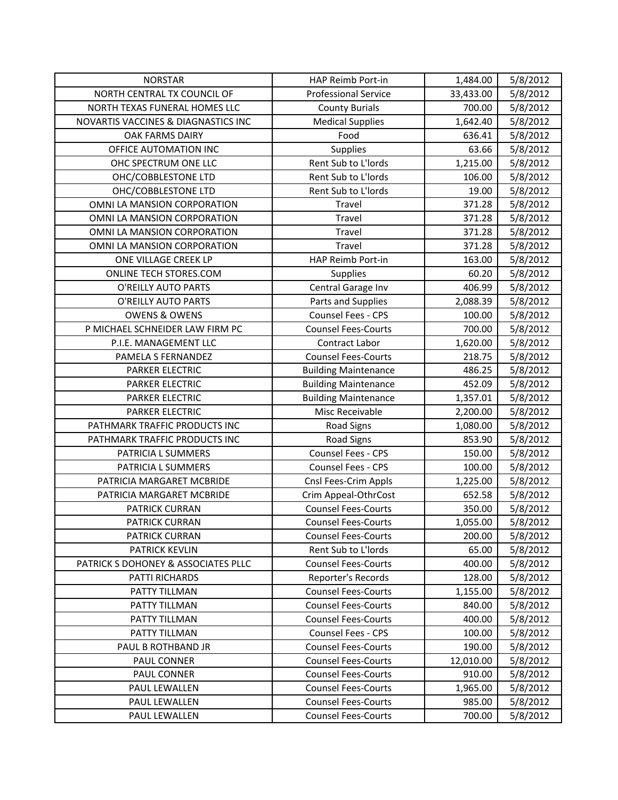| <b>NORSTAR</b>                      | HAP Reimb Port-in           | 1,484.00  | 5/8/2012 |
|-------------------------------------|-----------------------------|-----------|----------|
| NORTH CENTRAL TX COUNCIL OF         | <b>Professional Service</b> | 33,433.00 | 5/8/2012 |
| NORTH TEXAS FUNERAL HOMES LLC       | <b>County Burials</b>       | 700.00    | 5/8/2012 |
| NOVARTIS VACCINES & DIAGNASTICS INC | <b>Medical Supplies</b>     | 1,642.40  | 5/8/2012 |
| <b>OAK FARMS DAIRY</b>              | Food                        | 636.41    | 5/8/2012 |
| OFFICE AUTOMATION INC               | Supplies                    | 63.66     | 5/8/2012 |
| OHC SPECTRUM ONE LLC                | Rent Sub to L'Iords         | 1,215.00  | 5/8/2012 |
| OHC/COBBLESTONE LTD                 | Rent Sub to L'Iords         | 106.00    | 5/8/2012 |
| OHC/COBBLESTONE LTD                 | Rent Sub to L'Iords         | 19.00     | 5/8/2012 |
| OMNI LA MANSION CORPORATION         | Travel                      | 371.28    | 5/8/2012 |
| OMNI LA MANSION CORPORATION         | Travel                      | 371.28    | 5/8/2012 |
| OMNI LA MANSION CORPORATION         | Travel                      | 371.28    | 5/8/2012 |
| OMNI LA MANSION CORPORATION         | Travel                      | 371.28    | 5/8/2012 |
| ONE VILLAGE CREEK LP                | HAP Reimb Port-in           | 163.00    | 5/8/2012 |
| ONLINE TECH STORES.COM              | <b>Supplies</b>             | 60.20     | 5/8/2012 |
| O'REILLY AUTO PARTS                 | Central Garage Inv          | 406.99    | 5/8/2012 |
| O'REILLY AUTO PARTS                 | Parts and Supplies          | 2,088.39  | 5/8/2012 |
| <b>OWENS &amp; OWENS</b>            | Counsel Fees - CPS          | 100.00    | 5/8/2012 |
| P MICHAEL SCHNEIDER LAW FIRM PC     | <b>Counsel Fees-Courts</b>  | 700.00    | 5/8/2012 |
| P.I.E. MANAGEMENT LLC               | Contract Labor              | 1,620.00  | 5/8/2012 |
| PAMELA S FERNANDEZ                  | <b>Counsel Fees-Courts</b>  | 218.75    | 5/8/2012 |
| <b>PARKER ELECTRIC</b>              | <b>Building Maintenance</b> | 486.25    | 5/8/2012 |
| PARKER ELECTRIC                     | <b>Building Maintenance</b> | 452.09    | 5/8/2012 |
| PARKER ELECTRIC                     | <b>Building Maintenance</b> | 1,357.01  | 5/8/2012 |
| PARKER ELECTRIC                     | Misc Receivable             | 2,200.00  | 5/8/2012 |
| PATHMARK TRAFFIC PRODUCTS INC       | Road Signs                  | 1,080.00  | 5/8/2012 |
| PATHMARK TRAFFIC PRODUCTS INC       | <b>Road Signs</b>           | 853.90    | 5/8/2012 |
| PATRICIA L SUMMERS                  | Counsel Fees - CPS          | 150.00    | 5/8/2012 |
| PATRICIA L SUMMERS                  | Counsel Fees - CPS          | 100.00    | 5/8/2012 |
| PATRICIA MARGARET MCBRIDE           | Cnsl Fees-Crim Appls        | 1,225.00  | 5/8/2012 |
| PATRICIA MARGARET MCBRIDE           | Crim Appeal-OthrCost        | 652.58    | 5/8/2012 |
| PATRICK CURRAN                      | <b>Counsel Fees-Courts</b>  | 350.00    | 5/8/2012 |
| <b>PATRICK CURRAN</b>               | <b>Counsel Fees-Courts</b>  | 1,055.00  | 5/8/2012 |
| PATRICK CURRAN                      | <b>Counsel Fees-Courts</b>  | 200.00    | 5/8/2012 |
| <b>PATRICK KEVLIN</b>               | Rent Sub to L'Iords         | 65.00     | 5/8/2012 |
| PATRICK S DOHONEY & ASSOCIATES PLLC | <b>Counsel Fees-Courts</b>  | 400.00    | 5/8/2012 |
| PATTI RICHARDS                      | Reporter's Records          | 128.00    | 5/8/2012 |
| PATTY TILLMAN                       | <b>Counsel Fees-Courts</b>  | 1,155.00  | 5/8/2012 |
| PATTY TILLMAN                       | <b>Counsel Fees-Courts</b>  | 840.00    | 5/8/2012 |
| PATTY TILLMAN                       | <b>Counsel Fees-Courts</b>  | 400.00    | 5/8/2012 |
| PATTY TILLMAN                       | <b>Counsel Fees - CPS</b>   | 100.00    | 5/8/2012 |
| PAUL B ROTHBAND JR                  | <b>Counsel Fees-Courts</b>  | 190.00    | 5/8/2012 |
| PAUL CONNER                         | <b>Counsel Fees-Courts</b>  | 12,010.00 | 5/8/2012 |
| PAUL CONNER                         | <b>Counsel Fees-Courts</b>  | 910.00    | 5/8/2012 |
| PAUL LEWALLEN                       | <b>Counsel Fees-Courts</b>  | 1,965.00  | 5/8/2012 |
| PAUL LEWALLEN                       | <b>Counsel Fees-Courts</b>  | 985.00    | 5/8/2012 |
| PAUL LEWALLEN                       | <b>Counsel Fees-Courts</b>  | 700.00    | 5/8/2012 |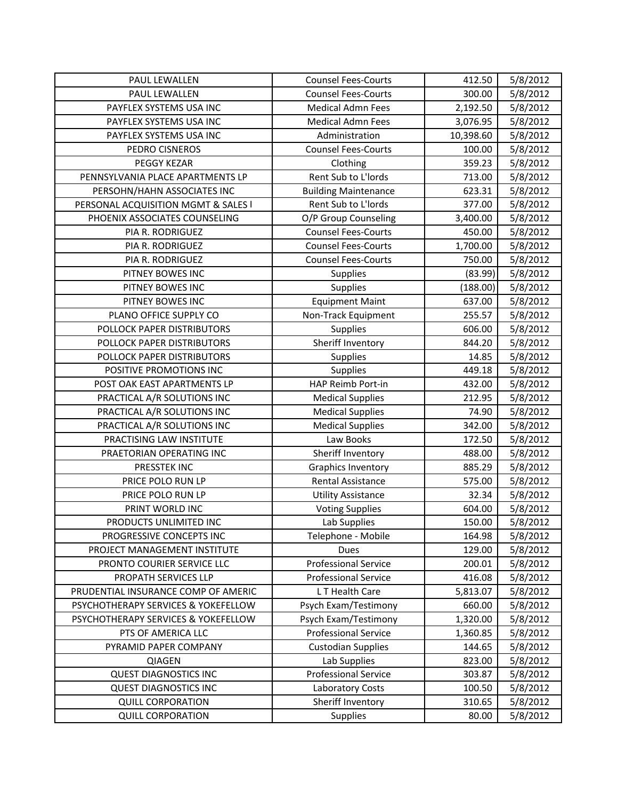| PAUL LEWALLEN                       | <b>Counsel Fees-Courts</b>  | 412.50    | 5/8/2012 |
|-------------------------------------|-----------------------------|-----------|----------|
| PAUL LEWALLEN                       | <b>Counsel Fees-Courts</b>  | 300.00    | 5/8/2012 |
| PAYFLEX SYSTEMS USA INC             | <b>Medical Admn Fees</b>    | 2,192.50  | 5/8/2012 |
| PAYFLEX SYSTEMS USA INC             | <b>Medical Admn Fees</b>    | 3,076.95  | 5/8/2012 |
| PAYFLEX SYSTEMS USA INC             | Administration              | 10,398.60 | 5/8/2012 |
| PEDRO CISNEROS                      | <b>Counsel Fees-Courts</b>  | 100.00    | 5/8/2012 |
| PEGGY KEZAR                         | Clothing                    | 359.23    | 5/8/2012 |
| PENNSYLVANIA PLACE APARTMENTS LP    | Rent Sub to L'Iords         | 713.00    | 5/8/2012 |
| PERSOHN/HAHN ASSOCIATES INC         | <b>Building Maintenance</b> | 623.31    | 5/8/2012 |
| PERSONAL ACQUISITION MGMT & SALES I | Rent Sub to L'Iords         | 377.00    | 5/8/2012 |
| PHOENIX ASSOCIATES COUNSELING       | O/P Group Counseling        | 3,400.00  | 5/8/2012 |
| PIA R. RODRIGUEZ                    | <b>Counsel Fees-Courts</b>  | 450.00    | 5/8/2012 |
| PIA R. RODRIGUEZ                    | <b>Counsel Fees-Courts</b>  | 1,700.00  | 5/8/2012 |
| PIA R. RODRIGUEZ                    | <b>Counsel Fees-Courts</b>  | 750.00    | 5/8/2012 |
| PITNEY BOWES INC                    | Supplies                    | (83.99)   | 5/8/2012 |
| PITNEY BOWES INC                    | Supplies                    | (188.00)  | 5/8/2012 |
| PITNEY BOWES INC                    | <b>Equipment Maint</b>      | 637.00    | 5/8/2012 |
| PLANO OFFICE SUPPLY CO              | Non-Track Equipment         | 255.57    | 5/8/2012 |
| POLLOCK PAPER DISTRIBUTORS          | Supplies                    | 606.00    | 5/8/2012 |
| POLLOCK PAPER DISTRIBUTORS          | Sheriff Inventory           | 844.20    | 5/8/2012 |
| POLLOCK PAPER DISTRIBUTORS          | Supplies                    | 14.85     | 5/8/2012 |
| POSITIVE PROMOTIONS INC             | Supplies                    | 449.18    | 5/8/2012 |
| POST OAK EAST APARTMENTS LP         | HAP Reimb Port-in           | 432.00    | 5/8/2012 |
| PRACTICAL A/R SOLUTIONS INC         | <b>Medical Supplies</b>     | 212.95    | 5/8/2012 |
| PRACTICAL A/R SOLUTIONS INC         | <b>Medical Supplies</b>     | 74.90     | 5/8/2012 |
| PRACTICAL A/R SOLUTIONS INC         | <b>Medical Supplies</b>     | 342.00    | 5/8/2012 |
| PRACTISING LAW INSTITUTE            | Law Books                   | 172.50    | 5/8/2012 |
| PRAETORIAN OPERATING INC            | Sheriff Inventory           | 488.00    | 5/8/2012 |
| PRESSTEK INC                        | <b>Graphics Inventory</b>   | 885.29    | 5/8/2012 |
| PRICE POLO RUN LP                   | Rental Assistance           | 575.00    | 5/8/2012 |
| PRICE POLO RUN LP                   | <b>Utility Assistance</b>   | 32.34     | 5/8/2012 |
| PRINT WORLD INC                     | <b>Voting Supplies</b>      | 604.00    | 5/8/2012 |
| PRODUCTS UNLIMITED INC              | Lab Supplies                | 150.00    | 5/8/2012 |
| PROGRESSIVE CONCEPTS INC            | Telephone - Mobile          | 164.98    | 5/8/2012 |
| PROJECT MANAGEMENT INSTITUTE        | Dues                        | 129.00    | 5/8/2012 |
| PRONTO COURIER SERVICE LLC          | <b>Professional Service</b> | 200.01    | 5/8/2012 |
| PROPATH SERVICES LLP                | <b>Professional Service</b> | 416.08    | 5/8/2012 |
| PRUDENTIAL INSURANCE COMP OF AMERIC | L T Health Care             | 5,813.07  | 5/8/2012 |
| PSYCHOTHERAPY SERVICES & YOKEFELLOW | Psych Exam/Testimony        | 660.00    | 5/8/2012 |
| PSYCHOTHERAPY SERVICES & YOKEFELLOW | Psych Exam/Testimony        | 1,320.00  | 5/8/2012 |
| PTS OF AMERICA LLC                  | <b>Professional Service</b> | 1,360.85  | 5/8/2012 |
| PYRAMID PAPER COMPANY               | <b>Custodian Supplies</b>   | 144.65    | 5/8/2012 |
| QIAGEN                              | Lab Supplies                | 823.00    | 5/8/2012 |
| <b>QUEST DIAGNOSTICS INC</b>        | <b>Professional Service</b> | 303.87    | 5/8/2012 |
| <b>QUEST DIAGNOSTICS INC</b>        | Laboratory Costs            | 100.50    | 5/8/2012 |
| <b>QUILL CORPORATION</b>            | Sheriff Inventory           | 310.65    | 5/8/2012 |
| <b>QUILL CORPORATION</b>            | Supplies                    | 80.00     | 5/8/2012 |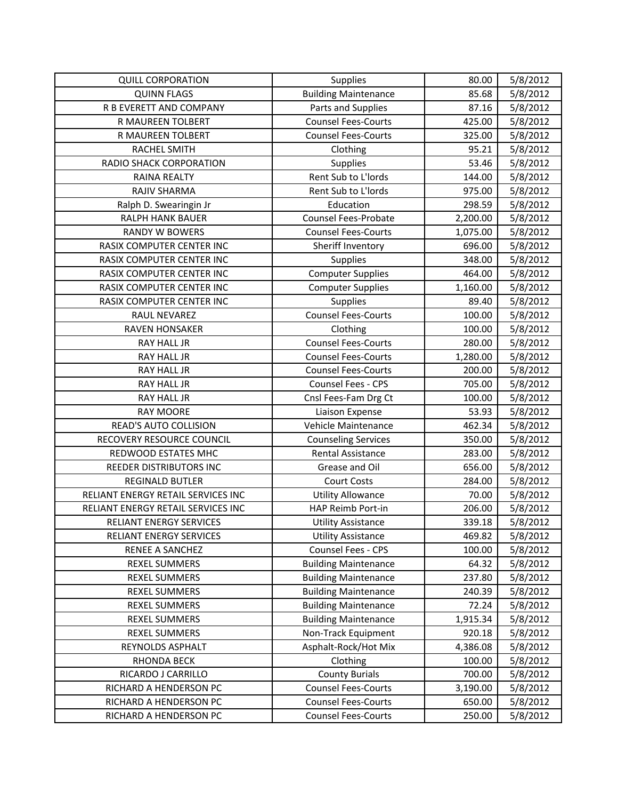| <b>QUILL CORPORATION</b>           | Supplies                    | 80.00    | 5/8/2012 |
|------------------------------------|-----------------------------|----------|----------|
| <b>QUINN FLAGS</b>                 | <b>Building Maintenance</b> | 85.68    | 5/8/2012 |
| R B EVERETT AND COMPANY            | Parts and Supplies          | 87.16    | 5/8/2012 |
| R MAUREEN TOLBERT                  | <b>Counsel Fees-Courts</b>  | 425.00   | 5/8/2012 |
| R MAUREEN TOLBERT                  | <b>Counsel Fees-Courts</b>  | 325.00   | 5/8/2012 |
| <b>RACHEL SMITH</b>                | Clothing                    | 95.21    | 5/8/2012 |
| RADIO SHACK CORPORATION            | Supplies                    | 53.46    | 5/8/2012 |
| RAINA REALTY                       | Rent Sub to L'Iords         | 144.00   | 5/8/2012 |
| RAJIV SHARMA                       | Rent Sub to L'Iords         | 975.00   | 5/8/2012 |
| Ralph D. Swearingin Jr             | Education                   | 298.59   | 5/8/2012 |
| RALPH HANK BAUER                   | <b>Counsel Fees-Probate</b> | 2,200.00 | 5/8/2012 |
| <b>RANDY W BOWERS</b>              | <b>Counsel Fees-Courts</b>  | 1,075.00 | 5/8/2012 |
| RASIX COMPUTER CENTER INC          | Sheriff Inventory           | 696.00   | 5/8/2012 |
| RASIX COMPUTER CENTER INC          | Supplies                    | 348.00   | 5/8/2012 |
| RASIX COMPUTER CENTER INC          | <b>Computer Supplies</b>    | 464.00   | 5/8/2012 |
| RASIX COMPUTER CENTER INC          | <b>Computer Supplies</b>    | 1,160.00 | 5/8/2012 |
| RASIX COMPUTER CENTER INC          | Supplies                    | 89.40    | 5/8/2012 |
| RAUL NEVAREZ                       | <b>Counsel Fees-Courts</b>  | 100.00   | 5/8/2012 |
| <b>RAVEN HONSAKER</b>              | Clothing                    | 100.00   | 5/8/2012 |
| <b>RAY HALL JR</b>                 | <b>Counsel Fees-Courts</b>  | 280.00   | 5/8/2012 |
| <b>RAY HALL JR</b>                 | <b>Counsel Fees-Courts</b>  | 1,280.00 | 5/8/2012 |
| RAY HALL JR                        | <b>Counsel Fees-Courts</b>  | 200.00   | 5/8/2012 |
| RAY HALL JR                        | Counsel Fees - CPS          | 705.00   | 5/8/2012 |
| <b>RAY HALL JR</b>                 | Cnsl Fees-Fam Drg Ct        | 100.00   | 5/8/2012 |
| <b>RAY MOORE</b>                   | Liaison Expense             | 53.93    | 5/8/2012 |
| READ'S AUTO COLLISION              | Vehicle Maintenance         | 462.34   | 5/8/2012 |
| RECOVERY RESOURCE COUNCIL          | <b>Counseling Services</b>  | 350.00   | 5/8/2012 |
| REDWOOD ESTATES MHC                | <b>Rental Assistance</b>    | 283.00   | 5/8/2012 |
| REEDER DISTRIBUTORS INC            | Grease and Oil              | 656.00   | 5/8/2012 |
| <b>REGINALD BUTLER</b>             | <b>Court Costs</b>          | 284.00   | 5/8/2012 |
| RELIANT ENERGY RETAIL SERVICES INC | <b>Utility Allowance</b>    | 70.00    | 5/8/2012 |
| RELIANT ENERGY RETAIL SERVICES INC | HAP Reimb Port-in           | 206.00   | 5/8/2012 |
| <b>RELIANT ENERGY SERVICES</b>     | Utility Assistance          | 339.18   | 5/8/2012 |
| RELIANT ENERGY SERVICES            | <b>Utility Assistance</b>   | 469.82   | 5/8/2012 |
| RENEE A SANCHEZ                    | Counsel Fees - CPS          | 100.00   | 5/8/2012 |
| <b>REXEL SUMMERS</b>               | <b>Building Maintenance</b> | 64.32    | 5/8/2012 |
| <b>REXEL SUMMERS</b>               | <b>Building Maintenance</b> | 237.80   | 5/8/2012 |
| <b>REXEL SUMMERS</b>               | <b>Building Maintenance</b> | 240.39   | 5/8/2012 |
| <b>REXEL SUMMERS</b>               | <b>Building Maintenance</b> | 72.24    | 5/8/2012 |
| <b>REXEL SUMMERS</b>               | <b>Building Maintenance</b> | 1,915.34 | 5/8/2012 |
| <b>REXEL SUMMERS</b>               | Non-Track Equipment         | 920.18   | 5/8/2012 |
| REYNOLDS ASPHALT                   | Asphalt-Rock/Hot Mix        | 4,386.08 | 5/8/2012 |
| <b>RHONDA BECK</b>                 | Clothing                    | 100.00   | 5/8/2012 |
| RICARDO J CARRILLO                 | <b>County Burials</b>       | 700.00   | 5/8/2012 |
| RICHARD A HENDERSON PC             | <b>Counsel Fees-Courts</b>  | 3,190.00 | 5/8/2012 |
| RICHARD A HENDERSON PC             | <b>Counsel Fees-Courts</b>  | 650.00   | 5/8/2012 |
| RICHARD A HENDERSON PC             | <b>Counsel Fees-Courts</b>  | 250.00   | 5/8/2012 |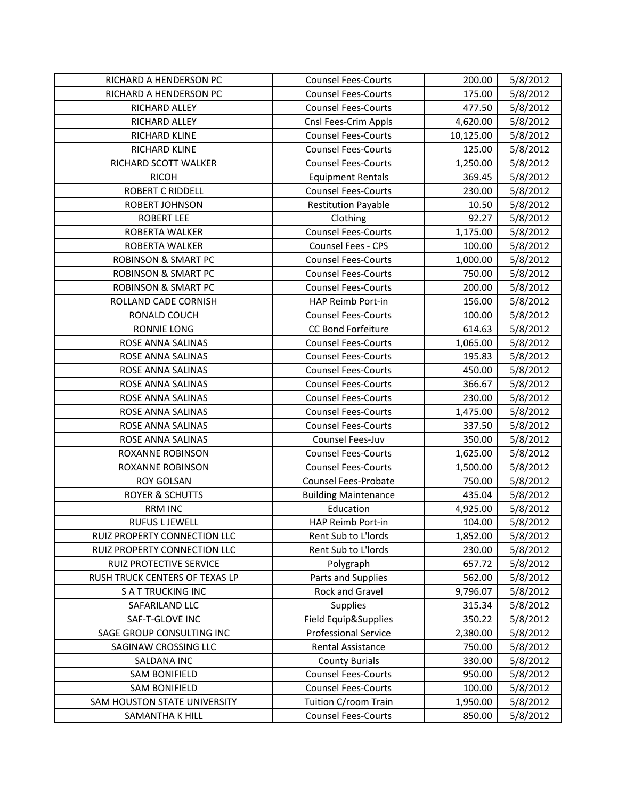| RICHARD A HENDERSON PC         | <b>Counsel Fees-Courts</b>  | 200.00    | 5/8/2012 |
|--------------------------------|-----------------------------|-----------|----------|
| RICHARD A HENDERSON PC         | <b>Counsel Fees-Courts</b>  | 175.00    | 5/8/2012 |
| <b>RICHARD ALLEY</b>           | <b>Counsel Fees-Courts</b>  | 477.50    | 5/8/2012 |
| RICHARD ALLEY                  | Cnsl Fees-Crim Appls        | 4,620.00  | 5/8/2012 |
| RICHARD KLINE                  | <b>Counsel Fees-Courts</b>  | 10,125.00 | 5/8/2012 |
| RICHARD KLINE                  | <b>Counsel Fees-Courts</b>  | 125.00    | 5/8/2012 |
| RICHARD SCOTT WALKER           | <b>Counsel Fees-Courts</b>  | 1,250.00  | 5/8/2012 |
| <b>RICOH</b>                   | <b>Equipment Rentals</b>    | 369.45    | 5/8/2012 |
| <b>ROBERT C RIDDELL</b>        | <b>Counsel Fees-Courts</b>  | 230.00    | 5/8/2012 |
| ROBERT JOHNSON                 | <b>Restitution Payable</b>  | 10.50     | 5/8/2012 |
| <b>ROBERT LEE</b>              | Clothing                    | 92.27     | 5/8/2012 |
| ROBERTA WALKER                 | <b>Counsel Fees-Courts</b>  | 1,175.00  | 5/8/2012 |
| ROBERTA WALKER                 | Counsel Fees - CPS          | 100.00    | 5/8/2012 |
| <b>ROBINSON &amp; SMART PC</b> | <b>Counsel Fees-Courts</b>  | 1,000.00  | 5/8/2012 |
| <b>ROBINSON &amp; SMART PC</b> | <b>Counsel Fees-Courts</b>  | 750.00    | 5/8/2012 |
| <b>ROBINSON &amp; SMART PC</b> | <b>Counsel Fees-Courts</b>  | 200.00    | 5/8/2012 |
| ROLLAND CADE CORNISH           | HAP Reimb Port-in           | 156.00    | 5/8/2012 |
| RONALD COUCH                   | <b>Counsel Fees-Courts</b>  | 100.00    | 5/8/2012 |
| RONNIE LONG                    | CC Bond Forfeiture          | 614.63    | 5/8/2012 |
| ROSE ANNA SALINAS              | <b>Counsel Fees-Courts</b>  | 1,065.00  | 5/8/2012 |
| ROSE ANNA SALINAS              | <b>Counsel Fees-Courts</b>  | 195.83    | 5/8/2012 |
| ROSE ANNA SALINAS              | <b>Counsel Fees-Courts</b>  | 450.00    | 5/8/2012 |
| ROSE ANNA SALINAS              | <b>Counsel Fees-Courts</b>  | 366.67    | 5/8/2012 |
| ROSE ANNA SALINAS              | <b>Counsel Fees-Courts</b>  | 230.00    | 5/8/2012 |
| ROSE ANNA SALINAS              | <b>Counsel Fees-Courts</b>  | 1,475.00  | 5/8/2012 |
| ROSE ANNA SALINAS              | <b>Counsel Fees-Courts</b>  | 337.50    | 5/8/2012 |
| ROSE ANNA SALINAS              | Counsel Fees-Juv            | 350.00    | 5/8/2012 |
| <b>ROXANNE ROBINSON</b>        | <b>Counsel Fees-Courts</b>  | 1,625.00  | 5/8/2012 |
| <b>ROXANNE ROBINSON</b>        | <b>Counsel Fees-Courts</b>  | 1,500.00  | 5/8/2012 |
| <b>ROY GOLSAN</b>              | <b>Counsel Fees-Probate</b> | 750.00    | 5/8/2012 |
| <b>ROYER &amp; SCHUTTS</b>     | <b>Building Maintenance</b> | 435.04    | 5/8/2012 |
| <b>RRM INC</b>                 | Education                   | 4,925.00  | 5/8/2012 |
| <b>RUFUS L JEWELL</b>          | <b>HAP Reimb Port-in</b>    | 104.00    | 5/8/2012 |
| RUIZ PROPERTY CONNECTION LLC   | Rent Sub to L'Iords         | 1,852.00  | 5/8/2012 |
| RUIZ PROPERTY CONNECTION LLC   | Rent Sub to L'Iords         | 230.00    | 5/8/2012 |
| RUIZ PROTECTIVE SERVICE        | Polygraph                   | 657.72    | 5/8/2012 |
| RUSH TRUCK CENTERS OF TEXAS LP | Parts and Supplies          | 562.00    | 5/8/2012 |
| <b>SATTRUCKING INC</b>         | Rock and Gravel             | 9,796.07  | 5/8/2012 |
| SAFARILAND LLC                 | <b>Supplies</b>             | 315.34    | 5/8/2012 |
| SAF-T-GLOVE INC                | Field Equip&Supplies        | 350.22    | 5/8/2012 |
| SAGE GROUP CONSULTING INC      | <b>Professional Service</b> | 2,380.00  | 5/8/2012 |
| SAGINAW CROSSING LLC           | Rental Assistance           | 750.00    | 5/8/2012 |
| SALDANA INC                    | <b>County Burials</b>       | 330.00    | 5/8/2012 |
| <b>SAM BONIFIELD</b>           | <b>Counsel Fees-Courts</b>  | 950.00    | 5/8/2012 |
| <b>SAM BONIFIELD</b>           | <b>Counsel Fees-Courts</b>  | 100.00    | 5/8/2012 |
| SAM HOUSTON STATE UNIVERSITY   | Tuition C/room Train        | 1,950.00  | 5/8/2012 |
| SAMANTHA K HILL                | <b>Counsel Fees-Courts</b>  | 850.00    | 5/8/2012 |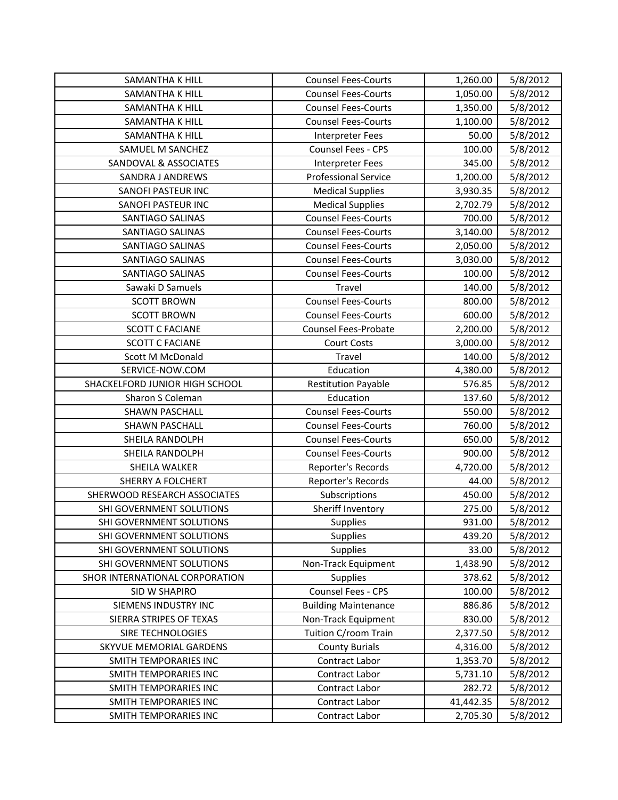| SAMANTHA K HILL                | <b>Counsel Fees-Courts</b>  | 1,260.00  | 5/8/2012 |
|--------------------------------|-----------------------------|-----------|----------|
| SAMANTHA K HILL                | <b>Counsel Fees-Courts</b>  | 1,050.00  | 5/8/2012 |
| <b>SAMANTHA K HILL</b>         | <b>Counsel Fees-Courts</b>  | 1,350.00  | 5/8/2012 |
| SAMANTHA K HILL                | <b>Counsel Fees-Courts</b>  | 1,100.00  | 5/8/2012 |
| SAMANTHA K HILL                | Interpreter Fees            | 50.00     | 5/8/2012 |
| SAMUEL M SANCHEZ               | Counsel Fees - CPS          | 100.00    | 5/8/2012 |
| SANDOVAL & ASSOCIATES          | <b>Interpreter Fees</b>     | 345.00    | 5/8/2012 |
| SANDRA J ANDREWS               | <b>Professional Service</b> | 1,200.00  | 5/8/2012 |
| SANOFI PASTEUR INC             | <b>Medical Supplies</b>     | 3,930.35  | 5/8/2012 |
| SANOFI PASTEUR INC             | <b>Medical Supplies</b>     | 2,702.79  | 5/8/2012 |
| <b>SANTIAGO SALINAS</b>        | <b>Counsel Fees-Courts</b>  | 700.00    | 5/8/2012 |
| SANTIAGO SALINAS               | <b>Counsel Fees-Courts</b>  | 3,140.00  | 5/8/2012 |
| <b>SANTIAGO SALINAS</b>        | <b>Counsel Fees-Courts</b>  | 2,050.00  | 5/8/2012 |
| SANTIAGO SALINAS               | <b>Counsel Fees-Courts</b>  | 3,030.00  | 5/8/2012 |
| SANTIAGO SALINAS               | <b>Counsel Fees-Courts</b>  | 100.00    | 5/8/2012 |
| Sawaki D Samuels               | Travel                      | 140.00    | 5/8/2012 |
| <b>SCOTT BROWN</b>             | <b>Counsel Fees-Courts</b>  | 800.00    | 5/8/2012 |
| <b>SCOTT BROWN</b>             | <b>Counsel Fees-Courts</b>  | 600.00    | 5/8/2012 |
| <b>SCOTT C FACIANE</b>         | Counsel Fees-Probate        | 2,200.00  | 5/8/2012 |
| <b>SCOTT C FACIANE</b>         | <b>Court Costs</b>          | 3,000.00  | 5/8/2012 |
| Scott M McDonald               | Travel                      | 140.00    | 5/8/2012 |
| SERVICE-NOW.COM                | Education                   | 4,380.00  | 5/8/2012 |
| SHACKELFORD JUNIOR HIGH SCHOOL | <b>Restitution Payable</b>  | 576.85    | 5/8/2012 |
| Sharon S Coleman               | Education                   | 137.60    | 5/8/2012 |
| <b>SHAWN PASCHALL</b>          | <b>Counsel Fees-Courts</b>  | 550.00    | 5/8/2012 |
| <b>SHAWN PASCHALL</b>          | <b>Counsel Fees-Courts</b>  | 760.00    | 5/8/2012 |
| SHEILA RANDOLPH                | <b>Counsel Fees-Courts</b>  | 650.00    | 5/8/2012 |
| SHEILA RANDOLPH                | <b>Counsel Fees-Courts</b>  | 900.00    | 5/8/2012 |
| <b>SHEILA WALKER</b>           | Reporter's Records          | 4,720.00  | 5/8/2012 |
| <b>SHERRY A FOLCHERT</b>       | Reporter's Records          | 44.00     | 5/8/2012 |
| SHERWOOD RESEARCH ASSOCIATES   | Subscriptions               | 450.00    | 5/8/2012 |
| SHI GOVERNMENT SOLUTIONS       | Sheriff Inventory           | 275.00    | 5/8/2012 |
| SHI GOVERNMENT SOLUTIONS       | Supplies                    | 931.00    | 5/8/2012 |
| SHI GOVERNMENT SOLUTIONS       | <b>Supplies</b>             | 439.20    | 5/8/2012 |
| SHI GOVERNMENT SOLUTIONS       | <b>Supplies</b>             | 33.00     | 5/8/2012 |
| SHI GOVERNMENT SOLUTIONS       | Non-Track Equipment         | 1,438.90  | 5/8/2012 |
| SHOR INTERNATIONAL CORPORATION | <b>Supplies</b>             | 378.62    | 5/8/2012 |
| SID W SHAPIRO                  | Counsel Fees - CPS          | 100.00    | 5/8/2012 |
| SIEMENS INDUSTRY INC           | <b>Building Maintenance</b> | 886.86    | 5/8/2012 |
| SIERRA STRIPES OF TEXAS        | Non-Track Equipment         | 830.00    | 5/8/2012 |
| SIRE TECHNOLOGIES              | Tuition C/room Train        | 2,377.50  | 5/8/2012 |
| SKYVUE MEMORIAL GARDENS        | <b>County Burials</b>       | 4,316.00  | 5/8/2012 |
| SMITH TEMPORARIES INC          | Contract Labor              | 1,353.70  | 5/8/2012 |
| SMITH TEMPORARIES INC          | Contract Labor              | 5,731.10  | 5/8/2012 |
| SMITH TEMPORARIES INC          | Contract Labor              | 282.72    | 5/8/2012 |
| SMITH TEMPORARIES INC          | Contract Labor              | 41,442.35 | 5/8/2012 |
| SMITH TEMPORARIES INC          | Contract Labor              | 2,705.30  | 5/8/2012 |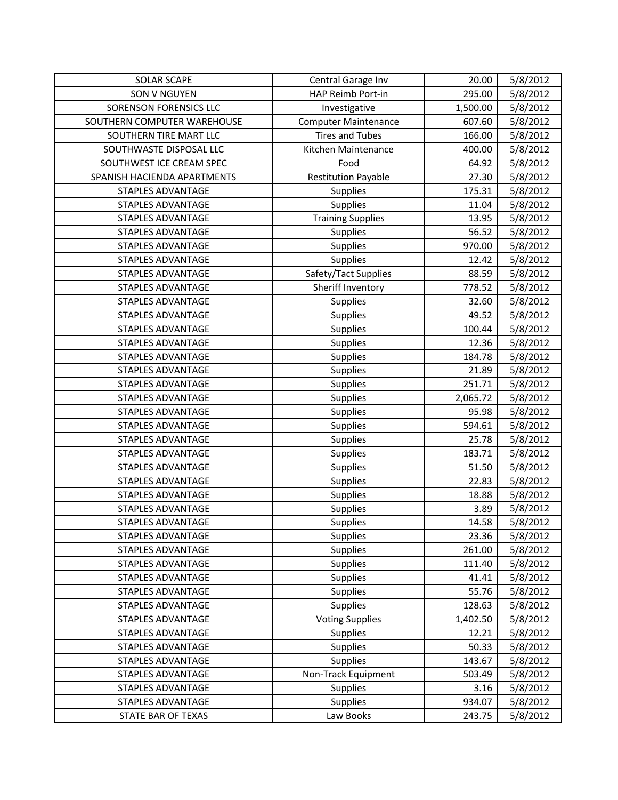| <b>SOLAR SCAPE</b>          | Central Garage Inv          | 20.00    | 5/8/2012 |
|-----------------------------|-----------------------------|----------|----------|
| <b>SON V NGUYEN</b>         | HAP Reimb Port-in           | 295.00   | 5/8/2012 |
| SORENSON FORENSICS LLC      | Investigative               | 1,500.00 | 5/8/2012 |
| SOUTHERN COMPUTER WAREHOUSE | <b>Computer Maintenance</b> | 607.60   | 5/8/2012 |
| SOUTHERN TIRE MART LLC      | <b>Tires and Tubes</b>      | 166.00   | 5/8/2012 |
| SOUTHWASTE DISPOSAL LLC     | Kitchen Maintenance         | 400.00   | 5/8/2012 |
| SOUTHWEST ICE CREAM SPEC    | Food                        | 64.92    | 5/8/2012 |
| SPANISH HACIENDA APARTMENTS | <b>Restitution Payable</b>  | 27.30    | 5/8/2012 |
| <b>STAPLES ADVANTAGE</b>    | <b>Supplies</b>             | 175.31   | 5/8/2012 |
| STAPLES ADVANTAGE           | Supplies                    | 11.04    | 5/8/2012 |
| <b>STAPLES ADVANTAGE</b>    | <b>Training Supplies</b>    | 13.95    | 5/8/2012 |
| STAPLES ADVANTAGE           | Supplies                    | 56.52    | 5/8/2012 |
| STAPLES ADVANTAGE           | <b>Supplies</b>             | 970.00   | 5/8/2012 |
| STAPLES ADVANTAGE           | <b>Supplies</b>             | 12.42    | 5/8/2012 |
| <b>STAPLES ADVANTAGE</b>    | Safety/Tact Supplies        | 88.59    | 5/8/2012 |
| STAPLES ADVANTAGE           | Sheriff Inventory           | 778.52   | 5/8/2012 |
| STAPLES ADVANTAGE           | Supplies                    | 32.60    | 5/8/2012 |
| <b>STAPLES ADVANTAGE</b>    | <b>Supplies</b>             | 49.52    | 5/8/2012 |
| <b>STAPLES ADVANTAGE</b>    | Supplies                    | 100.44   | 5/8/2012 |
| <b>STAPLES ADVANTAGE</b>    | Supplies                    | 12.36    | 5/8/2012 |
| <b>STAPLES ADVANTAGE</b>    | Supplies                    | 184.78   | 5/8/2012 |
| STAPLES ADVANTAGE           | <b>Supplies</b>             | 21.89    | 5/8/2012 |
| STAPLES ADVANTAGE           | <b>Supplies</b>             | 251.71   | 5/8/2012 |
| <b>STAPLES ADVANTAGE</b>    | Supplies                    | 2,065.72 | 5/8/2012 |
| STAPLES ADVANTAGE           | <b>Supplies</b>             | 95.98    | 5/8/2012 |
| STAPLES ADVANTAGE           | <b>Supplies</b>             | 594.61   | 5/8/2012 |
| <b>STAPLES ADVANTAGE</b>    | Supplies                    | 25.78    | 5/8/2012 |
| <b>STAPLES ADVANTAGE</b>    | <b>Supplies</b>             | 183.71   | 5/8/2012 |
| <b>STAPLES ADVANTAGE</b>    | <b>Supplies</b>             | 51.50    | 5/8/2012 |
| STAPLES ADVANTAGE           | <b>Supplies</b>             | 22.83    | 5/8/2012 |
| <b>STAPLES ADVANTAGE</b>    | Supplies                    | 18.88    | 5/8/2012 |
| <b>STAPLES ADVANTAGE</b>    | Supplies                    | 3.89     | 5/8/2012 |
| STAPLES ADVANTAGE           | <b>Supplies</b>             | 14.58    | 5/8/2012 |
| STAPLES ADVANTAGE           | Supplies                    | 23.36    | 5/8/2012 |
| STAPLES ADVANTAGE           | Supplies                    | 261.00   | 5/8/2012 |
| <b>STAPLES ADVANTAGE</b>    | Supplies                    | 111.40   | 5/8/2012 |
| STAPLES ADVANTAGE           | Supplies                    | 41.41    | 5/8/2012 |
| <b>STAPLES ADVANTAGE</b>    | Supplies                    | 55.76    | 5/8/2012 |
| STAPLES ADVANTAGE           | Supplies                    | 128.63   | 5/8/2012 |
| STAPLES ADVANTAGE           | <b>Voting Supplies</b>      | 1,402.50 | 5/8/2012 |
| STAPLES ADVANTAGE           | Supplies                    | 12.21    | 5/8/2012 |
| <b>STAPLES ADVANTAGE</b>    | Supplies                    | 50.33    | 5/8/2012 |
| <b>STAPLES ADVANTAGE</b>    | <b>Supplies</b>             | 143.67   | 5/8/2012 |
| STAPLES ADVANTAGE           | Non-Track Equipment         | 503.49   | 5/8/2012 |
| <b>STAPLES ADVANTAGE</b>    | Supplies                    | 3.16     | 5/8/2012 |
| <b>STAPLES ADVANTAGE</b>    | <b>Supplies</b>             | 934.07   | 5/8/2012 |
| STATE BAR OF TEXAS          | Law Books                   | 243.75   | 5/8/2012 |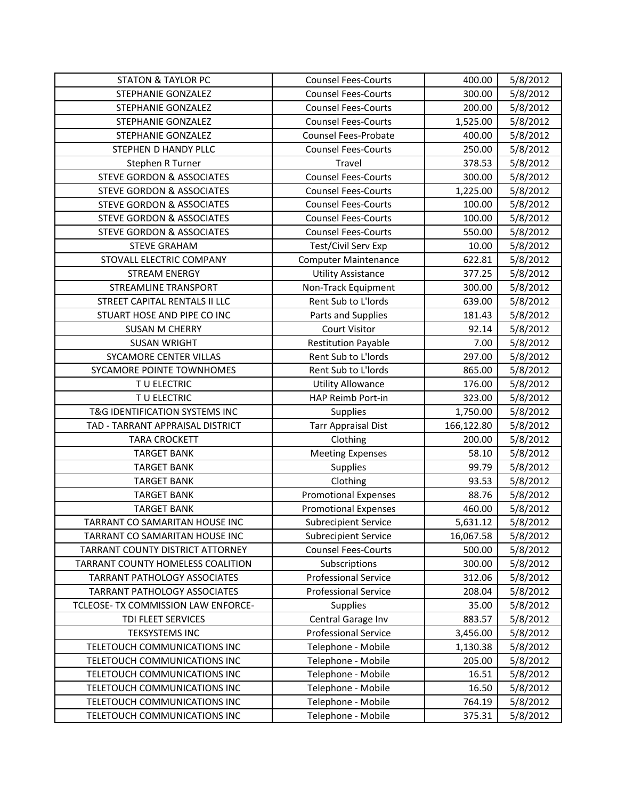| <b>STATON &amp; TAYLOR PC</b>         | <b>Counsel Fees-Courts</b>  | 400.00     | 5/8/2012 |
|---------------------------------------|-----------------------------|------------|----------|
| <b>STEPHANIE GONZALEZ</b>             | <b>Counsel Fees-Courts</b>  | 300.00     | 5/8/2012 |
| STEPHANIE GONZALEZ                    | <b>Counsel Fees-Courts</b>  | 200.00     | 5/8/2012 |
| <b>STEPHANIE GONZALEZ</b>             | <b>Counsel Fees-Courts</b>  | 1,525.00   | 5/8/2012 |
| STEPHANIE GONZALEZ                    | <b>Counsel Fees-Probate</b> | 400.00     | 5/8/2012 |
| STEPHEN D HANDY PLLC                  | <b>Counsel Fees-Courts</b>  | 250.00     | 5/8/2012 |
| Stephen R Turner                      | Travel                      | 378.53     | 5/8/2012 |
| <b>STEVE GORDON &amp; ASSOCIATES</b>  | <b>Counsel Fees-Courts</b>  | 300.00     | 5/8/2012 |
| <b>STEVE GORDON &amp; ASSOCIATES</b>  | <b>Counsel Fees-Courts</b>  | 1,225.00   | 5/8/2012 |
| <b>STEVE GORDON &amp; ASSOCIATES</b>  | <b>Counsel Fees-Courts</b>  | 100.00     | 5/8/2012 |
| <b>STEVE GORDON &amp; ASSOCIATES</b>  | <b>Counsel Fees-Courts</b>  | 100.00     | 5/8/2012 |
| <b>STEVE GORDON &amp; ASSOCIATES</b>  | <b>Counsel Fees-Courts</b>  | 550.00     | 5/8/2012 |
| <b>STEVE GRAHAM</b>                   | Test/Civil Serv Exp         | 10.00      | 5/8/2012 |
| STOVALL ELECTRIC COMPANY              | <b>Computer Maintenance</b> | 622.81     | 5/8/2012 |
| <b>STREAM ENERGY</b>                  | <b>Utility Assistance</b>   | 377.25     | 5/8/2012 |
| <b>STREAMLINE TRANSPORT</b>           | Non-Track Equipment         | 300.00     | 5/8/2012 |
| STREET CAPITAL RENTALS II LLC         | Rent Sub to L'Iords         | 639.00     | 5/8/2012 |
| STUART HOSE AND PIPE CO INC           | Parts and Supplies          | 181.43     | 5/8/2012 |
| <b>SUSAN M CHERRY</b>                 | <b>Court Visitor</b>        | 92.14      | 5/8/2012 |
| <b>SUSAN WRIGHT</b>                   | <b>Restitution Payable</b>  | 7.00       | 5/8/2012 |
| SYCAMORE CENTER VILLAS                | Rent Sub to L'Iords         | 297.00     | 5/8/2012 |
| SYCAMORE POINTE TOWNHOMES             | Rent Sub to L'Iords         | 865.00     | 5/8/2012 |
| TU ELECTRIC                           | <b>Utility Allowance</b>    | 176.00     | 5/8/2012 |
| TU ELECTRIC                           | HAP Reimb Port-in           | 323.00     | 5/8/2012 |
| T&G IDENTIFICATION SYSTEMS INC        | Supplies                    | 1,750.00   | 5/8/2012 |
| TAD - TARRANT APPRAISAL DISTRICT      | <b>Tarr Appraisal Dist</b>  | 166,122.80 | 5/8/2012 |
| <b>TARA CROCKETT</b>                  | Clothing                    | 200.00     | 5/8/2012 |
| <b>TARGET BANK</b>                    | <b>Meeting Expenses</b>     | 58.10      | 5/8/2012 |
| <b>TARGET BANK</b>                    | Supplies                    | 99.79      | 5/8/2012 |
| <b>TARGET BANK</b>                    | Clothing                    | 93.53      | 5/8/2012 |
| <b>TARGET BANK</b>                    | <b>Promotional Expenses</b> | 88.76      | 5/8/2012 |
| <b>TARGET BANK</b>                    | <b>Promotional Expenses</b> | 460.00     | 5/8/2012 |
| <b>TARRANT CO SAMARITAN HOUSE INC</b> | <b>Subrecipient Service</b> | 5,631.12   | 5/8/2012 |
| TARRANT CO SAMARITAN HOUSE INC        | <b>Subrecipient Service</b> | 16,067.58  | 5/8/2012 |
| TARRANT COUNTY DISTRICT ATTORNEY      | <b>Counsel Fees-Courts</b>  | 500.00     | 5/8/2012 |
| TARRANT COUNTY HOMELESS COALITION     | Subscriptions               | 300.00     | 5/8/2012 |
| <b>TARRANT PATHOLOGY ASSOCIATES</b>   | <b>Professional Service</b> | 312.06     | 5/8/2012 |
| <b>TARRANT PATHOLOGY ASSOCIATES</b>   | <b>Professional Service</b> | 208.04     | 5/8/2012 |
| TCLEOSE- TX COMMISSION LAW ENFORCE-   | Supplies                    | 35.00      | 5/8/2012 |
| TDI FLEET SERVICES                    | Central Garage Inv          | 883.57     | 5/8/2012 |
| <b>TEKSYSTEMS INC</b>                 | <b>Professional Service</b> | 3,456.00   | 5/8/2012 |
| TELETOUCH COMMUNICATIONS INC          | Telephone - Mobile          | 1,130.38   | 5/8/2012 |
| TELETOUCH COMMUNICATIONS INC          | Telephone - Mobile          | 205.00     | 5/8/2012 |
| TELETOUCH COMMUNICATIONS INC          | Telephone - Mobile          | 16.51      | 5/8/2012 |
| TELETOUCH COMMUNICATIONS INC          | Telephone - Mobile          | 16.50      | 5/8/2012 |
| TELETOUCH COMMUNICATIONS INC          | Telephone - Mobile          | 764.19     | 5/8/2012 |
| TELETOUCH COMMUNICATIONS INC          | Telephone - Mobile          | 375.31     | 5/8/2012 |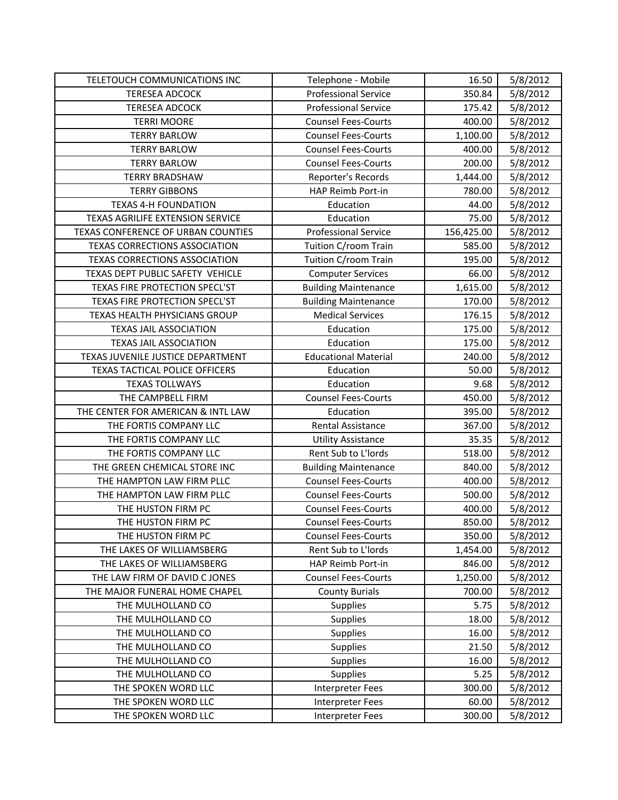| TELETOUCH COMMUNICATIONS INC         | Telephone - Mobile          | 16.50      | 5/8/2012 |
|--------------------------------------|-----------------------------|------------|----------|
| <b>TERESEA ADCOCK</b>                | <b>Professional Service</b> | 350.84     | 5/8/2012 |
| <b>TERESEA ADCOCK</b>                | <b>Professional Service</b> | 175.42     | 5/8/2012 |
| <b>TERRI MOORE</b>                   | <b>Counsel Fees-Courts</b>  | 400.00     | 5/8/2012 |
| <b>TERRY BARLOW</b>                  | <b>Counsel Fees-Courts</b>  | 1,100.00   | 5/8/2012 |
| <b>TERRY BARLOW</b>                  | <b>Counsel Fees-Courts</b>  | 400.00     | 5/8/2012 |
| <b>TERRY BARLOW</b>                  | <b>Counsel Fees-Courts</b>  | 200.00     | 5/8/2012 |
| <b>TERRY BRADSHAW</b>                | Reporter's Records          | 1,444.00   | 5/8/2012 |
| <b>TERRY GIBBONS</b>                 | HAP Reimb Port-in           | 780.00     | 5/8/2012 |
| <b>TEXAS 4-H FOUNDATION</b>          | Education                   | 44.00      | 5/8/2012 |
| TEXAS AGRILIFE EXTENSION SERVICE     | Education                   | 75.00      | 5/8/2012 |
| TEXAS CONFERENCE OF URBAN COUNTIES   | <b>Professional Service</b> | 156,425.00 | 5/8/2012 |
| <b>TEXAS CORRECTIONS ASSOCIATION</b> | Tuition C/room Train        | 585.00     | 5/8/2012 |
| <b>TEXAS CORRECTIONS ASSOCIATION</b> | Tuition C/room Train        | 195.00     | 5/8/2012 |
| TEXAS DEPT PUBLIC SAFETY VEHICLE     | <b>Computer Services</b>    | 66.00      | 5/8/2012 |
| TEXAS FIRE PROTECTION SPECL'ST       | <b>Building Maintenance</b> | 1,615.00   | 5/8/2012 |
| TEXAS FIRE PROTECTION SPECL'ST       | <b>Building Maintenance</b> | 170.00     | 5/8/2012 |
| TEXAS HEALTH PHYSICIANS GROUP        | <b>Medical Services</b>     | 176.15     | 5/8/2012 |
| <b>TEXAS JAIL ASSOCIATION</b>        | Education                   | 175.00     | 5/8/2012 |
| <b>TEXAS JAIL ASSOCIATION</b>        | Education                   | 175.00     | 5/8/2012 |
| TEXAS JUVENILE JUSTICE DEPARTMENT    | <b>Educational Material</b> | 240.00     | 5/8/2012 |
| TEXAS TACTICAL POLICE OFFICERS       | Education                   | 50.00      | 5/8/2012 |
| <b>TEXAS TOLLWAYS</b>                | Education                   | 9.68       | 5/8/2012 |
| THE CAMPBELL FIRM                    | <b>Counsel Fees-Courts</b>  | 450.00     | 5/8/2012 |
| THE CENTER FOR AMERICAN & INTL LAW   | Education                   | 395.00     | 5/8/2012 |
| THE FORTIS COMPANY LLC               | Rental Assistance           | 367.00     | 5/8/2012 |
| THE FORTIS COMPANY LLC               | <b>Utility Assistance</b>   | 35.35      | 5/8/2012 |
| THE FORTIS COMPANY LLC               | Rent Sub to L'Iords         | 518.00     | 5/8/2012 |
| THE GREEN CHEMICAL STORE INC         | <b>Building Maintenance</b> | 840.00     | 5/8/2012 |
| THE HAMPTON LAW FIRM PLLC            | <b>Counsel Fees-Courts</b>  | 400.00     | 5/8/2012 |
| THE HAMPTON LAW FIRM PLLC            | <b>Counsel Fees-Courts</b>  | 500.00     | 5/8/2012 |
| THE HUSTON FIRM PC                   | <b>Counsel Fees-Courts</b>  | 400.00     | 5/8/2012 |
| THE HUSTON FIRM PC                   | <b>Counsel Fees-Courts</b>  | 850.00     | 5/8/2012 |
| THE HUSTON FIRM PC                   | <b>Counsel Fees-Courts</b>  | 350.00     | 5/8/2012 |
| THE LAKES OF WILLIAMSBERG            | Rent Sub to L'Iords         | 1,454.00   | 5/8/2012 |
| THE LAKES OF WILLIAMSBERG            | HAP Reimb Port-in           | 846.00     | 5/8/2012 |
| THE LAW FIRM OF DAVID C JONES        | <b>Counsel Fees-Courts</b>  | 1,250.00   | 5/8/2012 |
| THE MAJOR FUNERAL HOME CHAPEL        | <b>County Burials</b>       | 700.00     | 5/8/2012 |
| THE MULHOLLAND CO                    | Supplies                    | 5.75       | 5/8/2012 |
| THE MULHOLLAND CO                    | <b>Supplies</b>             | 18.00      | 5/8/2012 |
| THE MULHOLLAND CO                    | <b>Supplies</b>             | 16.00      | 5/8/2012 |
| THE MULHOLLAND CO                    | Supplies                    | 21.50      | 5/8/2012 |
| THE MULHOLLAND CO                    | <b>Supplies</b>             | 16.00      | 5/8/2012 |
| THE MULHOLLAND CO                    | Supplies                    | 5.25       | 5/8/2012 |
| THE SPOKEN WORD LLC                  | Interpreter Fees            | 300.00     | 5/8/2012 |
| THE SPOKEN WORD LLC                  | Interpreter Fees            | 60.00      | 5/8/2012 |
| THE SPOKEN WORD LLC                  | Interpreter Fees            | 300.00     | 5/8/2012 |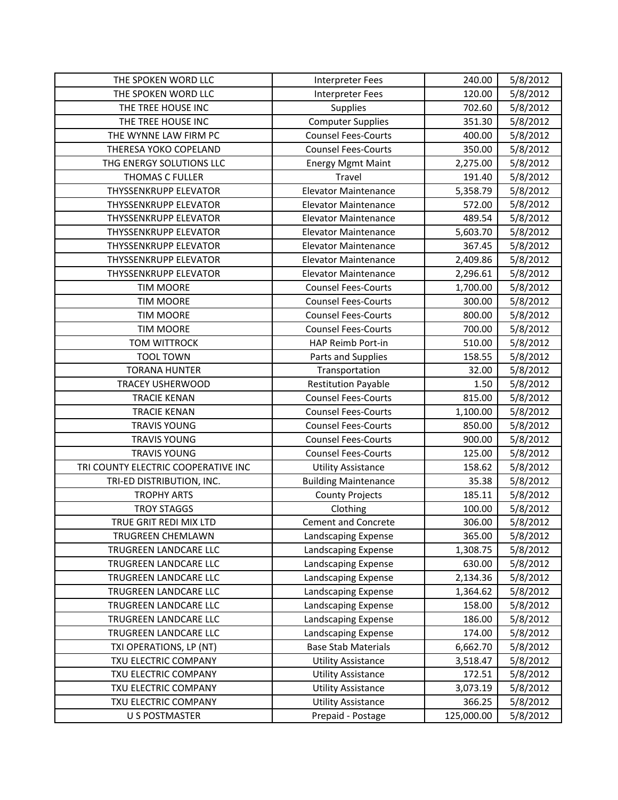| THE SPOKEN WORD LLC                 | <b>Interpreter Fees</b>     | 240.00     | 5/8/2012 |
|-------------------------------------|-----------------------------|------------|----------|
| THE SPOKEN WORD LLC                 | <b>Interpreter Fees</b>     | 120.00     | 5/8/2012 |
| THE TREE HOUSE INC                  | Supplies                    | 702.60     | 5/8/2012 |
| THE TREE HOUSE INC                  | <b>Computer Supplies</b>    | 351.30     | 5/8/2012 |
| THE WYNNE LAW FIRM PC               | <b>Counsel Fees-Courts</b>  | 400.00     | 5/8/2012 |
| THERESA YOKO COPELAND               | <b>Counsel Fees-Courts</b>  | 350.00     | 5/8/2012 |
| THG ENERGY SOLUTIONS LLC            | <b>Energy Mgmt Maint</b>    | 2,275.00   | 5/8/2012 |
| <b>THOMAS C FULLER</b>              | Travel                      | 191.40     | 5/8/2012 |
| <b>THYSSENKRUPP ELEVATOR</b>        | <b>Elevator Maintenance</b> | 5,358.79   | 5/8/2012 |
| <b>THYSSENKRUPP ELEVATOR</b>        | <b>Elevator Maintenance</b> | 572.00     | 5/8/2012 |
| <b>THYSSENKRUPP ELEVATOR</b>        | <b>Elevator Maintenance</b> | 489.54     | 5/8/2012 |
| <b>THYSSENKRUPP ELEVATOR</b>        | <b>Elevator Maintenance</b> | 5,603.70   | 5/8/2012 |
| <b>THYSSENKRUPP ELEVATOR</b>        | <b>Elevator Maintenance</b> | 367.45     | 5/8/2012 |
| <b>THYSSENKRUPP ELEVATOR</b>        | <b>Elevator Maintenance</b> | 2,409.86   | 5/8/2012 |
| <b>THYSSENKRUPP ELEVATOR</b>        | <b>Elevator Maintenance</b> | 2,296.61   | 5/8/2012 |
| <b>TIM MOORE</b>                    | <b>Counsel Fees-Courts</b>  | 1,700.00   | 5/8/2012 |
| <b>TIM MOORE</b>                    | <b>Counsel Fees-Courts</b>  | 300.00     | 5/8/2012 |
| <b>TIM MOORE</b>                    | <b>Counsel Fees-Courts</b>  | 800.00     | 5/8/2012 |
| <b>TIM MOORE</b>                    | <b>Counsel Fees-Courts</b>  | 700.00     | 5/8/2012 |
| <b>TOM WITTROCK</b>                 | HAP Reimb Port-in           | 510.00     | 5/8/2012 |
| <b>TOOL TOWN</b>                    | Parts and Supplies          | 158.55     | 5/8/2012 |
| <b>TORANA HUNTER</b>                | Transportation              | 32.00      | 5/8/2012 |
| <b>TRACEY USHERWOOD</b>             | <b>Restitution Payable</b>  | 1.50       | 5/8/2012 |
| <b>TRACIE KENAN</b>                 | <b>Counsel Fees-Courts</b>  | 815.00     | 5/8/2012 |
| <b>TRACIE KENAN</b>                 | <b>Counsel Fees-Courts</b>  | 1,100.00   | 5/8/2012 |
| <b>TRAVIS YOUNG</b>                 | <b>Counsel Fees-Courts</b>  | 850.00     | 5/8/2012 |
| <b>TRAVIS YOUNG</b>                 | <b>Counsel Fees-Courts</b>  | 900.00     | 5/8/2012 |
| <b>TRAVIS YOUNG</b>                 | <b>Counsel Fees-Courts</b>  | 125.00     | 5/8/2012 |
| TRI COUNTY ELECTRIC COOPERATIVE INC | <b>Utility Assistance</b>   | 158.62     | 5/8/2012 |
| TRI-ED DISTRIBUTION, INC.           | <b>Building Maintenance</b> | 35.38      | 5/8/2012 |
| <b>TROPHY ARTS</b>                  | <b>County Projects</b>      | 185.11     | 5/8/2012 |
| <b>TROY STAGGS</b>                  | Clothing                    | 100.00     | 5/8/2012 |
| TRUE GRIT REDI MIX LTD              | <b>Cement and Concrete</b>  | 306.00     | 5/8/2012 |
| TRUGREEN CHEMLAWN                   | Landscaping Expense         | 365.00     | 5/8/2012 |
| TRUGREEN LANDCARE LLC               | Landscaping Expense         | 1,308.75   | 5/8/2012 |
| TRUGREEN LANDCARE LLC               | Landscaping Expense         | 630.00     | 5/8/2012 |
| TRUGREEN LANDCARE LLC               | Landscaping Expense         | 2,134.36   | 5/8/2012 |
| TRUGREEN LANDCARE LLC               | Landscaping Expense         | 1,364.62   | 5/8/2012 |
| TRUGREEN LANDCARE LLC               | Landscaping Expense         | 158.00     | 5/8/2012 |
| TRUGREEN LANDCARE LLC               | Landscaping Expense         | 186.00     | 5/8/2012 |
| TRUGREEN LANDCARE LLC               | Landscaping Expense         | 174.00     | 5/8/2012 |
| TXI OPERATIONS, LP (NT)             | <b>Base Stab Materials</b>  | 6,662.70   | 5/8/2012 |
| TXU ELECTRIC COMPANY                | <b>Utility Assistance</b>   | 3,518.47   | 5/8/2012 |
| TXU ELECTRIC COMPANY                | <b>Utility Assistance</b>   | 172.51     | 5/8/2012 |
| TXU ELECTRIC COMPANY                | <b>Utility Assistance</b>   | 3,073.19   | 5/8/2012 |
| TXU ELECTRIC COMPANY                | <b>Utility Assistance</b>   | 366.25     | 5/8/2012 |
| <b>U S POSTMASTER</b>               | Prepaid - Postage           | 125,000.00 | 5/8/2012 |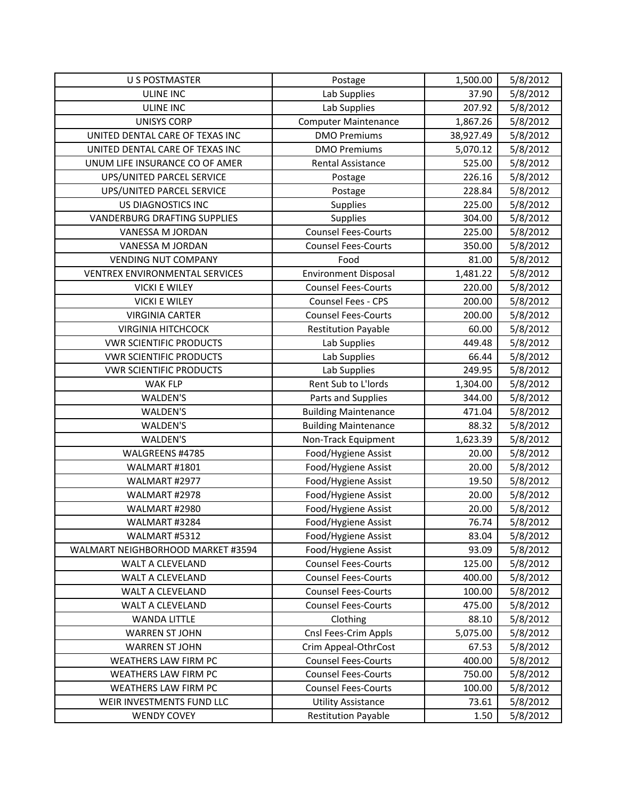| <b>U S POSTMASTER</b>               | Postage                     | 1,500.00  | 5/8/2012 |
|-------------------------------------|-----------------------------|-----------|----------|
| <b>ULINE INC</b>                    | Lab Supplies                | 37.90     | 5/8/2012 |
| <b>ULINE INC</b>                    | Lab Supplies                | 207.92    | 5/8/2012 |
| <b>UNISYS CORP</b>                  | <b>Computer Maintenance</b> | 1,867.26  | 5/8/2012 |
| UNITED DENTAL CARE OF TEXAS INC     | <b>DMO Premiums</b>         | 38,927.49 | 5/8/2012 |
| UNITED DENTAL CARE OF TEXAS INC     | <b>DMO Premiums</b>         | 5,070.12  | 5/8/2012 |
| UNUM LIFE INSURANCE CO OF AMER      | Rental Assistance           | 525.00    | 5/8/2012 |
| UPS/UNITED PARCEL SERVICE           | Postage                     | 226.16    | 5/8/2012 |
| UPS/UNITED PARCEL SERVICE           | Postage                     | 228.84    | 5/8/2012 |
| US DIAGNOSTICS INC                  | Supplies                    | 225.00    | 5/8/2012 |
| <b>VANDERBURG DRAFTING SUPPLIES</b> | Supplies                    | 304.00    | 5/8/2012 |
| VANESSA M JORDAN                    | <b>Counsel Fees-Courts</b>  | 225.00    | 5/8/2012 |
| VANESSA M JORDAN                    | <b>Counsel Fees-Courts</b>  | 350.00    | 5/8/2012 |
| <b>VENDING NUT COMPANY</b>          | Food                        | 81.00     | 5/8/2012 |
| VENTREX ENVIRONMENTAL SERVICES      | <b>Environment Disposal</b> | 1,481.22  | 5/8/2012 |
| <b>VICKI E WILEY</b>                | <b>Counsel Fees-Courts</b>  | 220.00    | 5/8/2012 |
| <b>VICKI E WILEY</b>                | Counsel Fees - CPS          | 200.00    | 5/8/2012 |
| <b>VIRGINIA CARTER</b>              | <b>Counsel Fees-Courts</b>  | 200.00    | 5/8/2012 |
| <b>VIRGINIA HITCHCOCK</b>           | <b>Restitution Payable</b>  | 60.00     | 5/8/2012 |
| <b>VWR SCIENTIFIC PRODUCTS</b>      | Lab Supplies                | 449.48    | 5/8/2012 |
| <b>VWR SCIENTIFIC PRODUCTS</b>      | Lab Supplies                | 66.44     | 5/8/2012 |
| <b>VWR SCIENTIFIC PRODUCTS</b>      | Lab Supplies                | 249.95    | 5/8/2012 |
| <b>WAK FLP</b>                      | Rent Sub to L'Iords         | 1,304.00  | 5/8/2012 |
| <b>WALDEN'S</b>                     | Parts and Supplies          | 344.00    | 5/8/2012 |
| <b>WALDEN'S</b>                     | <b>Building Maintenance</b> | 471.04    | 5/8/2012 |
| WALDEN'S                            | <b>Building Maintenance</b> | 88.32     | 5/8/2012 |
| <b>WALDEN'S</b>                     | Non-Track Equipment         | 1,623.39  | 5/8/2012 |
| WALGREENS #4785                     | Food/Hygiene Assist         | 20.00     | 5/8/2012 |
| WALMART #1801                       | Food/Hygiene Assist         | 20.00     | 5/8/2012 |
| WALMART #2977                       | Food/Hygiene Assist         | 19.50     | 5/8/2012 |
| WALMART #2978                       | Food/Hygiene Assist         | 20.00     | 5/8/2012 |
| WALMART #2980                       | Food/Hygiene Assist         | 20.00     | 5/8/2012 |
| WALMART #3284                       | Food/Hygiene Assist         | 76.74     | 5/8/2012 |
| WALMART #5312                       | Food/Hygiene Assist         | 83.04     | 5/8/2012 |
| WALMART NEIGHBORHOOD MARKET #3594   | Food/Hygiene Assist         | 93.09     | 5/8/2012 |
| WALT A CLEVELAND                    | <b>Counsel Fees-Courts</b>  | 125.00    | 5/8/2012 |
| WALT A CLEVELAND                    | <b>Counsel Fees-Courts</b>  | 400.00    | 5/8/2012 |
| WALT A CLEVELAND                    | <b>Counsel Fees-Courts</b>  | 100.00    | 5/8/2012 |
| WALT A CLEVELAND                    | <b>Counsel Fees-Courts</b>  | 475.00    | 5/8/2012 |
| <b>WANDA LITTLE</b>                 | Clothing                    | 88.10     | 5/8/2012 |
| <b>WARREN ST JOHN</b>               | Cnsl Fees-Crim Appls        | 5,075.00  | 5/8/2012 |
| <b>WARREN ST JOHN</b>               | Crim Appeal-OthrCost        | 67.53     | 5/8/2012 |
| WEATHERS LAW FIRM PC                | <b>Counsel Fees-Courts</b>  | 400.00    | 5/8/2012 |
| WEATHERS LAW FIRM PC                | <b>Counsel Fees-Courts</b>  | 750.00    | 5/8/2012 |
| WEATHERS LAW FIRM PC                | <b>Counsel Fees-Courts</b>  | 100.00    | 5/8/2012 |
| WEIR INVESTMENTS FUND LLC           | <b>Utility Assistance</b>   | 73.61     | 5/8/2012 |
| <b>WENDY COVEY</b>                  | <b>Restitution Payable</b>  | 1.50      | 5/8/2012 |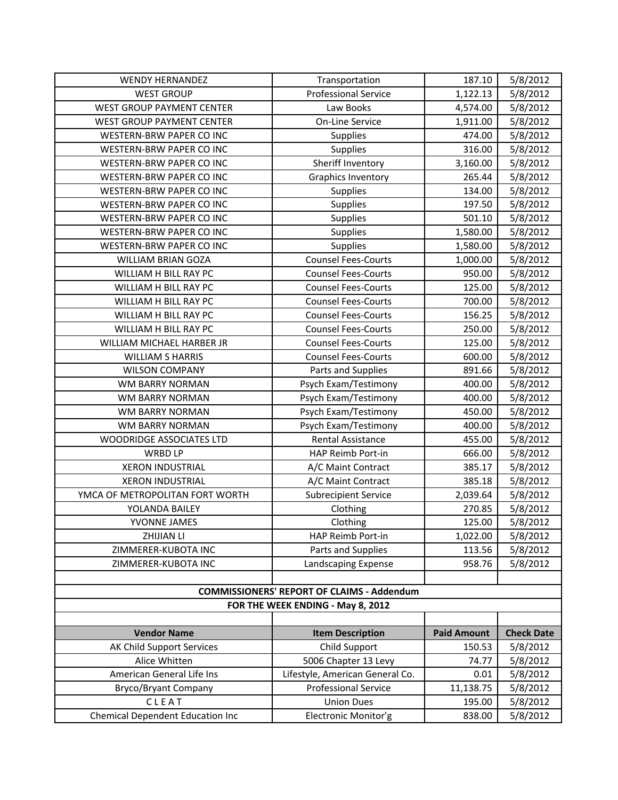| <b>WENDY HERNANDEZ</b>                    | Transportation                                    | 187.10             | 5/8/2012          |
|-------------------------------------------|---------------------------------------------------|--------------------|-------------------|
| <b>WEST GROUP</b>                         | <b>Professional Service</b>                       | 1,122.13           | 5/8/2012          |
| <b>WEST GROUP PAYMENT CENTER</b>          | Law Books                                         | 4,574.00           | 5/8/2012          |
| WEST GROUP PAYMENT CENTER                 | On-Line Service                                   | 1,911.00           | 5/8/2012          |
| WESTERN-BRW PAPER CO INC                  | <b>Supplies</b>                                   | 474.00             | 5/8/2012          |
| WESTERN-BRW PAPER CO INC                  | Supplies                                          | 316.00             | 5/8/2012          |
| WESTERN-BRW PAPER CO INC                  | Sheriff Inventory                                 | 3,160.00           | 5/8/2012          |
| WESTERN-BRW PAPER CO INC                  | <b>Graphics Inventory</b>                         | 265.44             | 5/8/2012          |
| WESTERN-BRW PAPER CO INC                  | Supplies                                          | 134.00             | 5/8/2012          |
| WESTERN-BRW PAPER CO INC                  | Supplies                                          | 197.50             | 5/8/2012          |
| WESTERN-BRW PAPER CO INC                  | <b>Supplies</b>                                   | 501.10             | 5/8/2012          |
| WESTERN-BRW PAPER CO INC                  | Supplies                                          | 1,580.00           | 5/8/2012          |
| WESTERN-BRW PAPER CO INC                  | Supplies                                          | 1,580.00           | 5/8/2012          |
| <b>WILLIAM BRIAN GOZA</b>                 | <b>Counsel Fees-Courts</b>                        | 1,000.00           | 5/8/2012          |
| WILLIAM H BILL RAY PC                     | <b>Counsel Fees-Courts</b>                        | 950.00             | 5/8/2012          |
| WILLIAM H BILL RAY PC                     | <b>Counsel Fees-Courts</b>                        | 125.00             | 5/8/2012          |
| WILLIAM H BILL RAY PC                     | <b>Counsel Fees-Courts</b>                        | 700.00             | 5/8/2012          |
| WILLIAM H BILL RAY PC                     | <b>Counsel Fees-Courts</b>                        | 156.25             | 5/8/2012          |
| WILLIAM H BILL RAY PC                     | <b>Counsel Fees-Courts</b>                        | 250.00             | 5/8/2012          |
| WILLIAM MICHAEL HARBER JR                 | <b>Counsel Fees-Courts</b>                        | 125.00             | 5/8/2012          |
| <b>WILLIAM S HARRIS</b>                   | <b>Counsel Fees-Courts</b>                        | 600.00             | 5/8/2012          |
| <b>WILSON COMPANY</b>                     | Parts and Supplies                                | 891.66             | 5/8/2012          |
| <b>WM BARRY NORMAN</b>                    | Psych Exam/Testimony                              | 400.00             | 5/8/2012          |
| WM BARRY NORMAN                           | Psych Exam/Testimony                              | 400.00             | 5/8/2012          |
| <b>WM BARRY NORMAN</b>                    | Psych Exam/Testimony                              | 450.00             | 5/8/2012          |
| WM BARRY NORMAN                           | Psych Exam/Testimony                              | 400.00             | 5/8/2012          |
| WOODRIDGE ASSOCIATES LTD                  | Rental Assistance                                 | 455.00             | 5/8/2012          |
| <b>WRBD LP</b>                            | HAP Reimb Port-in                                 | 666.00             | 5/8/2012          |
| <b>XERON INDUSTRIAL</b>                   | A/C Maint Contract                                | 385.17             | 5/8/2012          |
| <b>XERON INDUSTRIAL</b>                   | A/C Maint Contract                                | 385.18             | 5/8/2012          |
| YMCA OF METROPOLITAN FORT WORTH           | <b>Subrecipient Service</b>                       | 2,039.64           | 5/8/2012          |
| YOLANDA BAILEY                            | Clothing                                          | 270.85             | 5/8/2012          |
| YVONNE JAMES                              | Clothing                                          | 125.00             | 5/8/2012          |
| ZHIJIAN LI                                | HAP Reimb Port-in                                 | 1,022.00           | 5/8/2012          |
| ZIMMERER-KUBOTA INC                       | Parts and Supplies                                | 113.56             | 5/8/2012          |
| ZIMMERER-KUBOTA INC                       | Landscaping Expense                               | 958.76             | 5/8/2012          |
|                                           |                                                   |                    |                   |
|                                           | <b>COMMISSIONERS' REPORT OF CLAIMS - Addendum</b> |                    |                   |
|                                           | FOR THE WEEK ENDING - May 8, 2012                 |                    |                   |
|                                           |                                                   |                    |                   |
| <b>Vendor Name</b>                        | <b>Item Description</b>                           | <b>Paid Amount</b> | <b>Check Date</b> |
| AK Child Support Services                 | Child Support                                     | 150.53             | 5/8/2012          |
| Alice Whitten                             | 5006 Chapter 13 Levy                              | 74.77              | 5/8/2012          |
| American General Life Ins                 | Lifestyle, American General Co.                   | 0.01               | 5/8/2012          |
| <b>Bryco/Bryant Company</b>               | <b>Professional Service</b>                       | 11,138.75          | 5/8/2012          |
| CLEAT<br>Chemical Dependent Education Inc | <b>Union Dues</b>                                 | 195.00             | 5/8/2012          |
|                                           | Electronic Monitor'g                              | 838.00             | 5/8/2012          |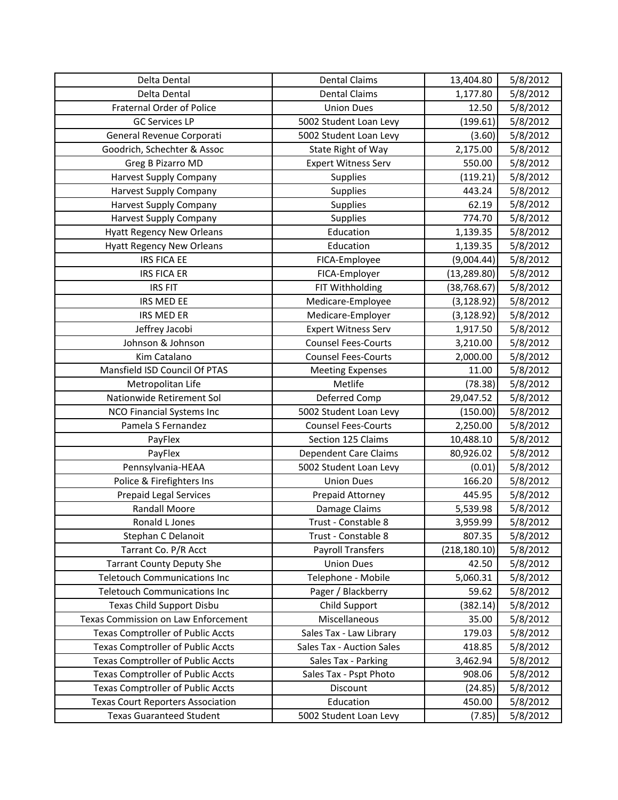| Delta Dental                             | <b>Dental Claims</b>       | 13,404.80     | 5/8/2012 |
|------------------------------------------|----------------------------|---------------|----------|
| Delta Dental                             | <b>Dental Claims</b>       | 1,177.80      | 5/8/2012 |
| Fraternal Order of Police                | <b>Union Dues</b>          | 12.50         | 5/8/2012 |
| <b>GC Services LP</b>                    | 5002 Student Loan Levy     | (199.61)      | 5/8/2012 |
| General Revenue Corporati                | 5002 Student Loan Levy     | (3.60)        | 5/8/2012 |
| Goodrich, Schechter & Assoc              | State Right of Way         | 2,175.00      | 5/8/2012 |
| Greg B Pizarro MD                        | <b>Expert Witness Serv</b> | 550.00        | 5/8/2012 |
| Harvest Supply Company                   | Supplies                   | (119.21)      | 5/8/2012 |
| Harvest Supply Company                   | Supplies                   | 443.24        | 5/8/2012 |
| <b>Harvest Supply Company</b>            | Supplies                   | 62.19         | 5/8/2012 |
| Harvest Supply Company                   | Supplies                   | 774.70        | 5/8/2012 |
| <b>Hyatt Regency New Orleans</b>         | Education                  | 1,139.35      | 5/8/2012 |
| <b>Hyatt Regency New Orleans</b>         | Education                  | 1,139.35      | 5/8/2012 |
| <b>IRS FICA EE</b>                       | FICA-Employee              | (9,004.44)    | 5/8/2012 |
| <b>IRS FICA ER</b>                       | FICA-Employer              | (13, 289.80)  | 5/8/2012 |
| <b>IRS FIT</b>                           | FIT Withholding            | (38, 768.67)  | 5/8/2012 |
| <b>IRS MED EE</b>                        | Medicare-Employee          | (3, 128.92)   | 5/8/2012 |
| IRS MED ER                               | Medicare-Employer          | (3, 128.92)   | 5/8/2012 |
| Jeffrey Jacobi                           | <b>Expert Witness Serv</b> | 1,917.50      | 5/8/2012 |
| Johnson & Johnson                        | <b>Counsel Fees-Courts</b> | 3,210.00      | 5/8/2012 |
| Kim Catalano                             | <b>Counsel Fees-Courts</b> | 2,000.00      | 5/8/2012 |
| Mansfield ISD Council Of PTAS            | <b>Meeting Expenses</b>    | 11.00         | 5/8/2012 |
| Metropolitan Life                        | Metlife                    | (78.38)       | 5/8/2012 |
| Nationwide Retirement Sol                | Deferred Comp              | 29,047.52     | 5/8/2012 |
| NCO Financial Systems Inc                | 5002 Student Loan Levy     | (150.00)      | 5/8/2012 |
| Pamela S Fernandez                       | <b>Counsel Fees-Courts</b> | 2,250.00      | 5/8/2012 |
| PayFlex                                  | Section 125 Claims         | 10,488.10     | 5/8/2012 |
| PayFlex                                  | Dependent Care Claims      | 80,926.02     | 5/8/2012 |
| Pennsylvania-HEAA                        | 5002 Student Loan Levy     | (0.01)        | 5/8/2012 |
| Police & Firefighters Ins                | <b>Union Dues</b>          | 166.20        | 5/8/2012 |
| <b>Prepaid Legal Services</b>            | Prepaid Attorney           | 445.95        | 5/8/2012 |
| <b>Randall Moore</b>                     | Damage Claims              | 5,539.98      | 5/8/2012 |
| Ronald L Jones                           | Trust - Constable 8        | 3,959.99      | 5/8/2012 |
| Stephan C Delanoit                       | Trust - Constable 8        | 807.35        | 5/8/2012 |
| Tarrant Co. P/R Acct                     | <b>Payroll Transfers</b>   | (218, 180.10) | 5/8/2012 |
| <b>Tarrant County Deputy She</b>         | <b>Union Dues</b>          | 42.50         | 5/8/2012 |
| <b>Teletouch Communications Inc</b>      | Telephone - Mobile         | 5,060.31      | 5/8/2012 |
| <b>Teletouch Communications Inc</b>      | Pager / Blackberry         | 59.62         | 5/8/2012 |
| Texas Child Support Disbu                | Child Support              | (382.14)      | 5/8/2012 |
| Texas Commission on Law Enforcement      | Miscellaneous              | 35.00         | 5/8/2012 |
| <b>Texas Comptroller of Public Accts</b> | Sales Tax - Law Library    | 179.03        | 5/8/2012 |
| <b>Texas Comptroller of Public Accts</b> | Sales Tax - Auction Sales  | 418.85        | 5/8/2012 |
| <b>Texas Comptroller of Public Accts</b> | Sales Tax - Parking        | 3,462.94      | 5/8/2012 |
| <b>Texas Comptroller of Public Accts</b> | Sales Tax - Pspt Photo     | 908.06        | 5/8/2012 |
| <b>Texas Comptroller of Public Accts</b> | Discount                   | (24.85)       | 5/8/2012 |
| <b>Texas Court Reporters Association</b> | Education                  | 450.00        | 5/8/2012 |
| <b>Texas Guaranteed Student</b>          | 5002 Student Loan Levy     | (7.85)        | 5/8/2012 |